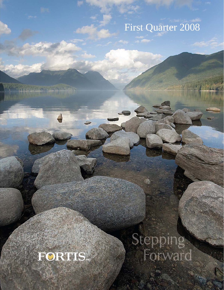# First Quarter 2008



THE PASSAGE TANK

Stepping.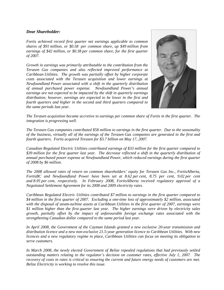#### *Dear Shareholder:*

*Fortis achieved record first quarter net earnings applicable to common shares of \$91 million, or \$0.58 per common share, up \$49 million from earnings of \$42 million, or \$0.38 per common share, for the first quarter of 2007.* 

*Growth in earnings was primarily attributable to the contribution from the Terasen Gas companies and also reflected improved performance at Caribbean Utilities. The growth was partially offset by higher corporate costs associated with the Terasen acquisition and lower earnings at Newfoundland Power associated with a shift in the quarterly distribution of annual purchased power expense. Newfoundland Power's annual earnings are not expected to be impacted by the shift in quarterly earnings distribution; however, earnings are expected to be lower in the first and fourth quarters and higher in the second and third quarters compared to the same periods last year.* 



*The Terasen acquisition became accretive to earnings per common share of Fortis in the first quarter. The integration is progressing well.* 

*The Terasen Gas companies contributed \$58 million to earnings in the first quarter. Due to the seasonality of the business, virtually all of the earnings of the Terasen Gas companies are generated in the first and fourth quarters. Fortis acquired Terasen for \$3.7 billion on May 17, 2007.* 

*Canadian Regulated Electric Utilities contributed earnings of \$33 million for the first quarter compared to \$39 million for the first quarter last year. The decrease reflected a shift in the quarterly distribution of annual purchased power expense at Newfoundland Power, which reduced earnings during the first quarter of 2008 by \$6 million.* 

*The 2008 allowed rates of return on common shareholders' equity for Terasen Gas Inc., FortisAlberta, FortisBC and Newfoundland Power have been set at 8.62 per cent, 8.75 per cent, 9.02 per cent and 8.95 per cent, respectively. In February 2008, FortisAlberta received regulatory approval of a Negotiated Settlement Agreement for its 2008 and 2009 electricity rates.* 

*Caribbean Regulated Electric Utilities contributed \$7 million to earnings in the first quarter compared to \$4 million in the first quarter of 2007. Excluding a one-time loss of approximately \$2 million, associated with the disposal of steam-turbine assets at Caribbean Utilities in the first quarter of 2007, earnings were \$1 million higher than the first quarter last year. The higher earnings were driven by electricity sales growth, partially offset by the impact of unfavourable foreign exchange rates associated with the strengthening Canadian dollar compared to the same period last year.* 

*In April 2008, the Government of the Cayman Islands granted a new exclusive 20-year transmission and distribution licence and a new non-exclusive 21.5-year generation licence to Caribbean Utilities. With new licences and a new regulatory regime in place, Caribbean Utilities can focus on meeting its obligation to serve customers.* 

*In March 2008, the newly elected Government of Belize repealed regulations that had previously settled outstanding matters relating to the regulator's decision on customer rates, effective July 1, 2007. The recovery of costs in rates is critical to ensuring the current and future energy needs of customers are met. Belize Electricity is working to resolve this issue.*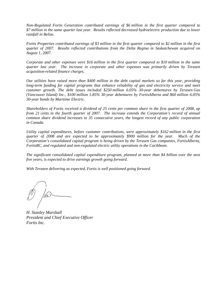*Non-Regulated Fortis Generation contributed earnings of \$6 million in the first quarter compared to \$7 million in the same quarter last year. Results reflected decreased hydroelectric production due to lower rainfall in Belize.* 

*Fortis Properties contributed earnings of \$3 million in the first quarter compared to \$2 million in the first quarter of 2007. Results reflected contributions from the Delta Regina in Saskatchewan acquired on August 1, 2007.* 

*Corporate and other expenses were \$16 million in the first quarter compared to \$10 million in the same quarter last year. The increase in corporate and other expenses was primarily driven by Terasen acquisition-related finance charges.* 

*Our utilities have raised more than \$400 million in the debt capital markets so far this year, providing long-term funding for capital programs that enhance reliability of gas and electricity service and meet customer growth. The debt issues included \$250 million 6.05% 30-year debentures by Terasen Gas (Vancouver Island) Inc., \$100 million 5.85% 30-year debentures by FortisAlberta and \$60 million 6.05% 30-year bonds by Maritime Electric.* 

*Shareholders of Fortis received a dividend of 25 cents per common share in the first quarter of 2008, up from 21 cents in the fourth quarter of 2007. The increase extends the Corporation's record of annual common share dividend increases to 35 consecutive years, the longest record of any public corporation in Canada.* 

*Utility capital expenditures, before customer contributions, were approximately \$162 million in the first quarter of 2008 and are expected to be approximately \$900 million for the year. Much of the Corporation's consolidated capital program is being driven by the Terasen Gas companies, FortisAlberta, FortisBC, and regulated and non-regulated electric utility operations in the Caribbean.* 

*The significant consolidated capital expenditure program, planned at more than \$4 billion over the next five years, is expected to drive earnings growth going forward.* 

*With Terasen delivering as expected, Fortis is well positioned going forward.* 

*H. Stanley Marshall President and Chief Executive Officer Fortis Inc.*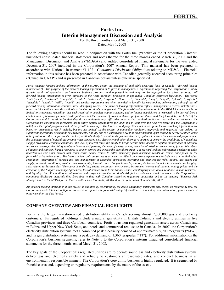# **Fortis Inc. Interim Management Discussion and Analysis**

For the three months ended March 31, 2008

Dated May 1, 2008

The following analysis should be read in conjunction with the Fortis Inc. ("Fortis" or the "Corporation") interim unaudited consolidated financial statements and notes thereto for the three months ended March 31, 2008 and the Management Discussion and Analysis ("MD&A) and audited consolidated financial statements for the year ended December 31, 2007 included in the Corporation's 2007 Annual Report. This material has been prepared in accordance with National Instrument 51-102 - *Continuous Disclosure Obligations* relating to MD&As. Financial information in this release has been prepared in accordance with Canadian generally accepted accounting principles ("Canadian GAAP") and is presented in Canadian dollars unless otherwise specified.

*Fortis includes forward-looking information in the MD&A within the meaning of applicable securities laws in Canada ("forward-looking information"). The purpose of the forward-looking information is to provide management's expectations regarding the Corporation's future growth, results of operations, performance, business prospects and opportunities and may not be appropriate for other purposes. All forward-looking information is given pursuant to the "safe harbour" provisions of applicable Canadian securities legislation. The words "anticipates", "believes", "budgets", "could", "estimates", "expects", "forecasts", "intends", "may", "might", "plans", "projects", "schedule", "should", "will", "would" and similar expressions are often intended to identify forward-looking information, although not all forward-looking information contains these identifying words. The forward-looking information reflects management's current beliefs and is based on information currently available to the Corporation's management. The forward-looking information in the MD&A includes, but is not limited to, statements regarding: that cash required to complete capital spending and to finance acquisitions is expected to be derived from a combination of borrowings under credit facilities and the issuance of common shares, preference shares and long-term debt; the belief of the Corporation and its subsidiaries that they do not anticipate any difficulties in accessing required capital on reasonable market terms; the Corporation's consolidated forecasted gross utility capital expenditures for 2008 and in total over the next five years and the Corporation's belief that its capital program should drive growth in earnings. The forecasts and projections that make up the forward-looking information are based on assumptions which include, but are not limited to: the receipt of applicable regulatory approvals and requested rate orders; no significant operational disruptions or environmental liability due to a catastrophic event or environmental upset caused by severe weather, other acts of nature or other major events; the Corporation's ability to maintain its gas and electricity systems to ensure their continued performance; the competitiveness of natural gas pricing when compared with electricity and other alternative sources of energy; the availability of natural gas supply; favourable economic conditions; the level of interest rates; the ability to hedge certain risks; access to capital; maintenance of adequate insurance coverage; the ability to obtain licences and permits; the level of energy prices; retention of existing service areas; favourable labour relations; and sufficient human resources to deliver service and execute the capital program. The forward-looking information is subject to risks, uncertainties and other factors that could cause actual results to differ materially from historical results or results anticipated by the forward-looking information. The factors which could cause results or events to differ from current expectations include, but are not limited to: regulation; integration of Terasen Inc. and management of expanded operations; operating and maintenance risks; natural gas prices and supply; economic conditions; weather and seasonality; interest rates; changes in tax legislation; derivative financial instruments and hedging; risks related to Terasen Gas (Vancouver Island) Inc.; capital resources; environment; insurance; licences and permits; energy prices and the cessation of the Niagara Exchange Agreement; loss of service area; First Nations Lands; counterparty risk; labour relations; human resources; and liquidity risk. For additional information with respect to the Corporation's risk factors, reference should be made to the Corporation's continuous disclosure materials filed from time to time with Canadian securities regulatory authorities and to the heading "Business Risk Management" in the MD&A for the three-months ended March 31, 2008 and for the year ended December 31, 2007.* 

*All forward-looking information in the MD&A is qualified by its entirety by the above cautionary statements and, except as required by law, the Corporation undertakes no obligation to revise or update any forward-looking information as a result of new information, future events or otherwise after the date hereof.* 

### **COMPANY OVERVIEW AND FINANCIAL HIGHLIGHTS**

Fortis is the largest investor-owned distribution utility in Canada serving almost 2,000,000 gas and electricity customers. Its regulated holdings include a natural gas utility in British Columbia and electric utilities in five Canadian provinces and three Caribbean countries. Fortis owns non-regulated generation assets across Canada and in Belize and Upper New York State, and hotels and commercial real estate in Canada. In 2007, the Corporation's electricity distribution systems met a combined peak electricity demand of approximately 5,700 megawatts ("MW") and its gas distribution systems met a peak day demand of 1,360 terajoules ("TJ"). For additional information on the Corporation's business segments, refer to Note 1 to the Corporation's interim unaudited consolidated financial statements for the three months ended March 31, 2008.

The key goals of the Corporation's regulated utilities are to operate sound gas and electricity distribution systems, deliver gas and electricity safely and reliably to customers at reasonable rates, and conduct business in an environmentally responsible manner. The Corporation's core utility business is highly regulated. It is segmented by franchise area and, depending on regulatory requirements, by the nature of the assets.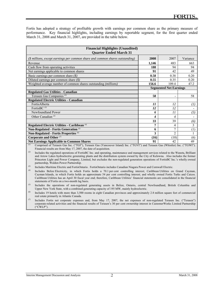Fortis has adopted a strategy of profitable growth with earnings per common share as the primary measure of performance. Key financial highlights, including earnings by reportable segment, for the first quarter ended March 31, 2008 and March 31, 2007, are provided in the table below.

| <b>Financial Highlights (Unaudited)</b>                                                                                              |                               |                          |          |  |
|--------------------------------------------------------------------------------------------------------------------------------------|-------------------------------|--------------------------|----------|--|
| <b>Quarter Ended March 31</b>                                                                                                        |                               |                          |          |  |
|                                                                                                                                      |                               |                          |          |  |
| (\$ millions, except earnings per common share and common shares outstanding)                                                        | 2008                          | 2007                     | Variance |  |
| Revenue                                                                                                                              | 1,146                         | 483                      | 663      |  |
| Cash flow from operating activities                                                                                                  | 188                           | 94                       | 94       |  |
| Net earnings applicable to common shares                                                                                             | 91                            | 42                       | 49       |  |
| Basic earnings per common share $(\$)$                                                                                               | 0.58                          | 0.38                     | 0.20     |  |
| Diluted earnings per common share $(\$)$                                                                                             | 0.55                          | 0.35                     | 0.20     |  |
| Weighted average number of common shares outstanding (millions)                                                                      | 156.6                         | 109.4                    | 47.2     |  |
|                                                                                                                                      | <b>Segmented Net Earnings</b> |                          |          |  |
| <b>Regulated Gas Utilities - Canadian</b>                                                                                            |                               |                          |          |  |
| Terasen Gas Companies <sup>(1)</sup>                                                                                                 | 58                            |                          | 58       |  |
| <b>Regulated Electric Utilities - Canadian</b>                                                                                       |                               |                          |          |  |
| FortisAlberta                                                                                                                        | 11                            | 12                       | (I)      |  |
| FortisBC $(2)$                                                                                                                       | 12                            | 12                       |          |  |
| Newfoundland Power                                                                                                                   | 6                             | 11                       | (5)      |  |
| Other Canadian <sup>(3)</sup>                                                                                                        | 4                             | $\overline{\mathcal{A}}$ |          |  |
|                                                                                                                                      | 33                            | 39                       | (6)      |  |
| Regulated Electric Utilities - Caribbean <sup>(4)</sup>                                                                              | 7                             | 4                        | 3        |  |
| Non-Regulated - Fortis Generation <sup>(5)</sup>                                                                                     | 6                             | $\overline{7}$           | (1)      |  |
| Non-Regulated - Fortis Properties <sup>(6)</sup>                                                                                     | 3                             | $\mathfrak{D}$           |          |  |
| Corporate and Other <sup>(7)</sup>                                                                                                   | (16)                          | (10)                     | (6)      |  |
| 91<br>42<br><b>Net Earnings Applicable to Common Shares</b><br>49                                                                    |                               |                          |          |  |
| (1)<br>Comprised of Terasen Gas Inc. ("TGI"), Terasen Gas (Vancouver Island) Inc. ("TGVI") and Terasen Gas (Whistler) Inc. ("TGWI"). |                               |                          |          |  |

Financial results are from May 17, 2007, the date of acquisition.

*(2)* Includes the regulated operations of FortisBC Inc. and operating, maintenance and management services related to the Waneta, Brilliant and Arrow Lakes hydroelectric generating plants and the distribution system owned by the City of Kelowna. Also includes the former Princeton Light and Power Company, Limited, but excludes the non-regulated generation operations of FortisBC Inc.'s wholly owned partnership, Walden Power Partnership.

*(3)* Includes Maritime Electric and FortisOntario. FortisOntario includes Canadian Niagara Power and Cornwall Electric.

*(4)* Includes Belize Electricity, in which Fortis holds a 70.1 per cent controlling interest; Caribbean Utilities on Grand Cayman, Cayman Islands, in which Fortis holds an approximate 54 per cent controlling interest; and wholly owned Fortis Turks and Caicos. Caribbean Utilities has an April 30 fiscal year end; therefore, Caribbean Utilities' financial statements are consolidated in the financial statements of Fortis on a two-month lag basis.

*(5)* Includes the operations of non-regulated generating assets in Belize, Ontario, central Newfoundland, British Columbia and Upper New York State, with a combined generating capacity of 195 MW, mainly hydroelectric.

*(6)* Includes 19 hotels with more than 3,500 rooms in eight Canadian provinces and approximately 2.8 million square feet of commercial real estate primarily in Atlantic Canada.

*(7)* Includes Fortis net corporate expenses and, from May 17, 2007, the net expenses of non-regulated Terasen Inc. ("Terasen") corporate-related activities and the financial results of Terasen's 30 per cent ownership interest in CustomerWorks Limited Partnership ("CWLP").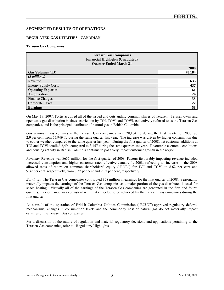#### **SEGMENTED RESULTS OF OPERATIONS**

#### **REGULATED GAS UTILITIES - CANADIAN**

#### **Terasen Gas Companies**

l

| <b>Terasen Gas Companies</b><br><b>Financial Highlights (Unaudited)</b><br><b>Quarter Ended March 31</b> |        |  |
|----------------------------------------------------------------------------------------------------------|--------|--|
|                                                                                                          | 2008   |  |
| <b>Gas Volumes (TJ)</b>                                                                                  | 78,184 |  |
| $($$ millions)                                                                                           |        |  |
| Revenue                                                                                                  | 635    |  |
| <b>Energy Supply Costs</b>                                                                               | 437    |  |
| <b>Operating Expenses</b>                                                                                | 61     |  |
| Amortization                                                                                             | 24     |  |
| <b>Finance Charges</b>                                                                                   | 33     |  |
| Corporate Taxes                                                                                          | 22     |  |
| <b>Earnings</b>                                                                                          | 58     |  |

On May 17, 2007, Fortis acquired all of the issued and outstanding common shares of Terasen. Terasen owns and operates a gas distribution business carried on by TGI, TGVI and TGWI, collectively referred to as the Terasen Gas companies, and is the principal distributor of natural gas in British Columbia.

*Gas volumes:* Gas volumes at the Terasen Gas companies were 78,184 TJ during the first quarter of 2008, up 2.9 per cent from 75,949 TJ during the same quarter last year. The increase was driven by higher consumption due to cooler weather compared to the same quarter last year. During the first quarter of 2008, net customer additions at TGI and TGVI totalled 2,494 compared to 3,157 during the same quarter last year. Favourable economic conditions and housing activity in British Columbia continue to positively impact customer growth in the region.

*Revenue:* Revenue was \$635 million for the first quarter of 2008. Factors favourably impacting revenue included increased consumption and higher customer rates effective January 1, 2008, reflecting an increase in the 2008 allowed rates of return on common shareholders' equity ("ROE") for TGI and TGVI to 8.62 per cent and 9.32 per cent, respectively, from 8.37 per cent and 9.07 per cent, respectively.

*Earnings:* The Terasen Gas companies contributed \$58 million in earnings for the first quarter of 2008. Seasonality materially impacts the earnings of the Terasen Gas companies as a major portion of the gas distributed is used for space heating. Virtually all of the earnings of the Terasen Gas companies are generated in the first and fourth quarters. Performance was consistent with that expected to be achieved by the Terasen Gas companies during the first quarter.

As a result of the operation of British Columbia Utilities Commission ("BCUC")-approved regulatory deferral mechanisms, changes in consumption levels and the commodity cost of natural gas do not materially impact earnings of the Terasen Gas companies.

For a discussion of the nature of regulation and material regulatory decisions and applications pertaining to the Terasen Gas companies, refer to "Regulatory Highlights".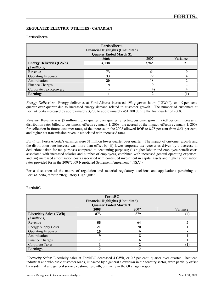#### **REGULATED ELECTRIC UTILITIES - CANADIAN**

#### **FortisAlberta**

l

| <b>FortisAlberta</b><br><b>Financial Highlights (Unaudited)</b><br><b>Quarter Ended March 31</b> |       |       |     |  |
|--------------------------------------------------------------------------------------------------|-------|-------|-----|--|
| Variance<br>2007<br>2008                                                                         |       |       |     |  |
| <b>Energy Deliveries (GWh)</b>                                                                   | 4,138 | 3,945 | 193 |  |
| $(S\text{ millions})$                                                                            |       |       |     |  |
| Revenue                                                                                          | 73    | 64    | Q   |  |
| <b>Operating Expenses</b>                                                                        | 33    | 29    |     |  |
| Amortization                                                                                     | 20    | 18    | ↑   |  |
| Finance Charges                                                                                  | 9     | Q     |     |  |
| Corporate Tax Recovery                                                                           |       | (4)   |     |  |
| <b>Earnings</b>                                                                                  |       | 12    |     |  |

*Energy Deliveries:* Energy deliveries at FortisAlberta increased 193 gigawatt hours ("GWh"), or 4.9 per cent, quarter over quarter due to increased energy demand related to customer growth. The number of customers at FortisAlberta increased by approximately 3,200 to approximately 451,300 during the first quarter of 2008.

*Revenue:* Revenue was \$9 million higher quarter over quarter reflecting customer growth; a 6.8 per cent increase in distribution rates billed to customers, effective January 1, 2008; the accrual of the impact, effective January 1, 2008 for collection in future customer rates, of the increase in the 2008 allowed ROE to 8.75 per cent from 8.51 per cent; and higher net transmission revenue associated with increased rates.

*Earnings:* FortisAlberta's earnings were \$1 million lower quarter over quarter. The impact of customer growth and the distribution rate increase was more than offset by: (i) lower corporate tax recoveries driven by a decrease in deductions taken for tax purposes compared to accounting purposes; (ii) higher labour and employee-benefit costs associated with increased salaries and number of employees, combined with increased general operating expenses; and (iii) increased amortization costs associated with continued investment in capital assets and higher amortization rates provided for in the 2008/2009 Negotiated Settlement Agreement ("NSA").

For a discussion of the nature of regulation and material regulatory decisions and applications pertaining to FortisAlberta, refer to "Regulatory Highlights".

#### **FortisBC**

| FortisBC<br><b>Financial Highlights (Unaudited)</b><br><b>Quarter Ended March 31</b> |                          |     |     |  |  |
|--------------------------------------------------------------------------------------|--------------------------|-----|-----|--|--|
|                                                                                      | Variance<br>2007<br>2008 |     |     |  |  |
| <b>Electricity Sales (GWh)</b>                                                       | 875                      | 879 | (4) |  |  |
| $($$ millions)                                                                       |                          |     |     |  |  |
| Revenue                                                                              | 66                       | 64  |     |  |  |
| <b>Energy Supply Costs</b>                                                           | 21                       | 20  |     |  |  |
| <b>Operating Expenses</b>                                                            | 16                       | 16  |     |  |  |
| Amortization                                                                         | 9                        | δ   |     |  |  |
| Finance Charges                                                                      | −                        | h   |     |  |  |
| Corporate Taxes                                                                      |                          |     |     |  |  |
| <b>Earnings</b>                                                                      | 12                       |     |     |  |  |

*Electricity Sales:* Electricity sales at FortisBC decreased 4 GWh, or 0.5 per cent, quarter over quarter. Reduced industrial and wholesale customer loads, impacted by a general slowdown in the forestry sector, were partially offset by residential and general service customer growth, primarily in the Okanagan region.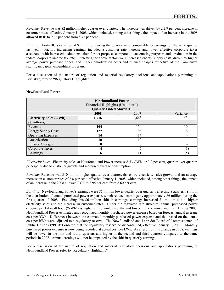*Revenue:* Revenue was \$2 million higher quarter over quarter. The increase was driven by a 2.9 per cent increase in customer rates, effective January 1, 2008, which included, among other things, the impact of an increase in the 2008 allowed ROE to 9.02 per cent from 8.77 per cent.

*Earnings:* FortisBC's earnings of \$12 million during the quarter were comparable to earnings for the same quarter last year. Factors increasing earnings included a customer rate increase and lower effective corporate taxes associated with increased deductions taken for tax purposes compared to accounting purposes and a reduction in the federal corporate income tax rate. Offsetting the above factors were increased energy supply costs, driven by higher average power purchase prices, and higher amortization costs and finance charges reflective of the Company's significant capital expenditure program.

For a discussion of the nature of regulation and material regulatory decisions and applications pertaining to FortisBC, refer to "Regulatory Highlights".

#### **Newfoundland Power**

l

| <b>Newfoundland Power</b>      |                                         |       |          |  |  |
|--------------------------------|-----------------------------------------|-------|----------|--|--|
|                                | <b>Financial Highlights (Unaudited)</b> |       |          |  |  |
|                                | <b>Quarter Ended March 31</b>           |       |          |  |  |
|                                | 2008                                    | 2007  | Variance |  |  |
| <b>Electricity Sales (GWh)</b> | 1,716                                   | 1,663 | 53       |  |  |
| $($$ millions)                 |                                         |       |          |  |  |
| Revenue                        | 164                                     | 154   | 10       |  |  |
| <b>Energy Supply Costs</b>     | 122                                     | 106   | 16       |  |  |
| <b>Operating Expenses</b>      | 14                                      | 14    |          |  |  |
| Amortization                   | 10                                      | 10    |          |  |  |
| Finance Charges                | 8                                       | 8     |          |  |  |
| Corporate Taxes                | 4                                       |       |          |  |  |
| <b>Earnings</b>                | 6                                       |       | 5        |  |  |

*Electricity Sales:* Electricity sales at Newfoundland Power increased 53 GWh, or 3.2 per cent, quarter over quarter, principally due to customer growth and increased average consumption.

*Revenue:* Revenue was \$10 million higher quarter over quarter, driven by electricity sales growth and an average increase in customer rates of 2.8 per cent, effective January 1, 2008, which included, among other things, the impact of an increase in the 2008 allowed ROE to 8.95 per cent from 8.60 per cent.

*Earnings:* Newfoundland Power's earnings were \$5 million lower quarter over quarter, reflecting a quarterly shift in the distribution of annual purchased power expense, which reduced earnings by approximately \$6 million during the first quarter of 2008. Excluding this \$6 million shift in earnings, earnings increased \$1 million due to higher electricity sales and the increase in customer rates. Under the regulated rate structure, annual purchased power expense per kilowatt hour ("kWh") is higher in the winter months and lower in the summer months. During 2007, Newfoundland Power estimated and recognized monthly purchased power expense based on forecast annual average cost per kWh. Differences between the estimated monthly purchased power expense and that based on the actual cost per kWh were adjusted to a regulatory reserve. The Newfoundland and Labrador Board of Commissioners of Public Utilities ("PUB") ordered that the regulatory reserve be discontinued, effective January 1, 2008. Monthly purchased power expense is now being recorded at actual cost per kWh. As a result of this change in 2008, earnings will be lower in the first and fourth quarters and higher in the second and third quarters compared to the same periods in 2007. Annual earnings will not be impacted by the shift in quarterly earnings.

For a discussion of the nature of regulation and material regulatory decisions and applications pertaining to Newfoundland Power, refer to "Regulatory Highlights".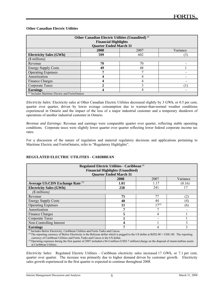#### **Other Canadian Electric Utilities**

l

| Other Canadian Electric Utilities (Unaudited) <sup>(1)</sup><br><b>Financial Highlights</b><br><b>Quarter Ended March 31</b> |      |      |          |  |
|------------------------------------------------------------------------------------------------------------------------------|------|------|----------|--|
|                                                                                                                              | 2008 | 2007 | Variance |  |
| <b>Electricity Sales (GWh)</b>                                                                                               | 599  | 602  | (3)      |  |
| $($$ millions)                                                                                                               |      |      |          |  |
| Revenue                                                                                                                      | 70   | 70   |          |  |
| <b>Energy Supply Costs</b>                                                                                                   | 49   | 48   |          |  |
| <b>Operating Expenses</b>                                                                                                    |      | Ξ    |          |  |
| Amortization                                                                                                                 |      | 4    |          |  |
| Finance Charges                                                                                                              |      | 4    |          |  |
| Corporate Taxes                                                                                                              |      | 2    |          |  |
| <b>Earnings</b>                                                                                                              |      |      |          |  |
| $\binom{1}{1}$ Includes Maritime Electric and FortisOntario                                                                  |      |      |          |  |

*Electricity Sales:* Electricity sales at Other Canadian Electric Utilities decreased slightly by 3 GWh, or 0.5 per cent, quarter over quarter, driven by lower average consumption due to warmer-than-normal weather conditions experienced in Ontario and the impact of the loss of a major industrial customer and a temporary shutdown of operations of another industrial customer in Ontario.

*Revenue and Earnings:* Revenue and earnings were comparable quarter over quarter, reflecting stable operating conditions. Corporate taxes were slightly lower quarter over quarter reflecting lower federal corporate income tax rates.

For a discussion of the nature of regulation and material regulatory decisions and applications pertaining to Maritime Electric and FortisOntario, refer to "Regulatory Highlights".

#### **REGULATED ELECTRIC UTILITIES - CARIBBEAN**

| Regulated Electric Utilities - Caribbean <sup>(1)</sup>                                                                                                                                                                                                                                                                                                                                                                                                                           |                               |            |          |  |  |
|-----------------------------------------------------------------------------------------------------------------------------------------------------------------------------------------------------------------------------------------------------------------------------------------------------------------------------------------------------------------------------------------------------------------------------------------------------------------------------------|-------------------------------|------------|----------|--|--|
| <b>Financial Highlights (Unaudited)</b>                                                                                                                                                                                                                                                                                                                                                                                                                                           |                               |            |          |  |  |
|                                                                                                                                                                                                                                                                                                                                                                                                                                                                                   | <b>Quarter Ended March 31</b> |            |          |  |  |
|                                                                                                                                                                                                                                                                                                                                                                                                                                                                                   | 2008                          | 2007       | Variance |  |  |
| Average US:CDN Exchange Rate <sup>(2)</sup>                                                                                                                                                                                                                                                                                                                                                                                                                                       | 1.01                          | 1.17       | (0.16)   |  |  |
| <b>Electricity Sales (GWh)</b>                                                                                                                                                                                                                                                                                                                                                                                                                                                    | 258                           | 241        | 17       |  |  |
| $($$ millions)                                                                                                                                                                                                                                                                                                                                                                                                                                                                    |                               |            |          |  |  |
| Revenue                                                                                                                                                                                                                                                                                                                                                                                                                                                                           | 75                            | 77         | (2)      |  |  |
| <b>Energy Supply Costs</b>                                                                                                                                                                                                                                                                                                                                                                                                                                                        | 40                            | 44         | (4)      |  |  |
| <b>Operating Expenses</b>                                                                                                                                                                                                                                                                                                                                                                                                                                                         | 11                            | $17^{(3)}$ | (6)      |  |  |
| Amortization                                                                                                                                                                                                                                                                                                                                                                                                                                                                      | 7                             |            |          |  |  |
| Finance Charges                                                                                                                                                                                                                                                                                                                                                                                                                                                                   | 5                             | 4          |          |  |  |
| Corporate Taxes                                                                                                                                                                                                                                                                                                                                                                                                                                                                   |                               |            |          |  |  |
| Non-Controlling Interest                                                                                                                                                                                                                                                                                                                                                                                                                                                          |                               |            |          |  |  |
| <b>Earnings</b><br>4                                                                                                                                                                                                                                                                                                                                                                                                                                                              |                               |            |          |  |  |
| $(1)$ Includes Belize Electricity, Caribbean Utilities and Fortis Turks and Caicos.<br><sup>(2)</sup> The reporting currency of Belize Electricity is the Belizean dollar which is pegged to the US dollar at BZ\$2.00 = US\$1.00. The reporting<br>currency of Caribbean Utilities and Fortis Turks and Caicos is the US dollar.<br>$\beta$ ) $\alpha$ at the state $\alpha$ $\beta$ $\alpha$ $\alpha$ $\alpha$ is the state $\alpha$ in the state $\alpha$ is the state $\beta$ |                               |            |          |  |  |

*(3)* Operating expenses during the first quarter of 2007 included a \$4.4 million (US\$3.7 million) charge on the disposal of steam-turbine assets at Caribbean Utilities.

*Electricity Sales:* Regulated Electric Utilities - Caribbean electricity sales increased 17 GWh, or 7.1 per cent, quarter over quarter. The increase was primarily due to higher demand driven by customer growth. Electricity sales growth experienced in the first quarter is expected to continue throughout 2008.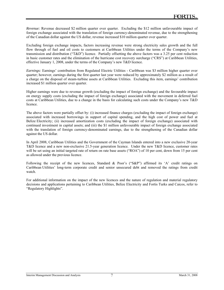*Revenue:* Revenue decreased \$2 million quarter over quarter. Excluding the \$12 million unfavourable impact of foreign exchange associated with the translation of foreign currency-denominated revenue, due to the strengthening of the Canadian dollar against the US dollar, revenue increased \$10 million quarter over quarter.

Excluding foreign exchange impacts, factors increasing revenue were strong electricity sales growth and the full flow through of fuel and oil costs to customers at Caribbean Utilities under the terms of the Company's new transmission and distribution ("T&D") licence. Partially offsetting the above factors was a 3.25 per cent reduction in basic customer rates and the elimination of the hurricane cost recovery surcharge ("CRS") at Caribbean Utilities, effective January 1, 2008, under the terms of the Company's new T&D licence.

*Earnings:* Earnings' contribution from Regulated Electric Utilities - Caribbean was \$3 million higher quarter over quarter; however, earnings during the first quarter last year were reduced by approximately \$2 million as a result of a charge on the disposal of steam-turbine assets at Caribbean Utilities. Excluding this item, earnings' contribution increased \$1 million quarter over quarter.

Higher earnings were due to revenue growth (excluding the impact of foreign exchange) and the favourable impact on energy supply costs (excluding the impact of foreign exchange) associated with the movement in deferred fuel costs at Caribbean Utilities, due to a change in the basis for calculating such costs under the Company's new T&D licence.

The above factors were partially offset by: (i) increased finance charges (excluding the impact of foreign exchange) associated with increased borrowings in support of capital spending, and the high cost of power and fuel at Belize Electricity; (ii) increased amortization costs (excluding the impact of foreign exchange) associated with continued investment in capital assets; and (iii) the \$1 million unfavourable impact of foreign exchange associated with the translation of foreign currency-denominated earnings, due to the strengthening of the Canadian dollar against the US dollar.

In April 2008, Caribbean Utilities and the Government of the Cayman Islands entered into a new exclusive 20-year T&D licence and a new non-exclusive 21.5-year generation licence. Under the new T&D licence, customer rates will be set using an initial targeted rate of return on rate base assets ("ROA") of 10 per cent, down from 15 per cent as allowed under the previous licence.

Following the receipt of the new licences, Standard & Poor's ("S&P") affirmed its 'A' credit ratings on Caribbean Utilities' long-term corporate credit and senior unsecured debt and removed the ratings from credit watch.

For additional information on the impact of the new licences and the nature of regulation and material regulatory decisions and applications pertaining to Caribbean Utilities, Belize Electricity and Fortis Turks and Caicos, refer to "Regulatory Highlights".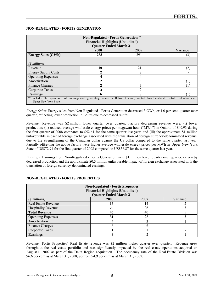#### **NON-REGULATED - FORTIS GENERATION**

l

| Non-Regulated - Fortis Generation <sup>(1)</sup><br><b>Financial Highlights (Unaudited)</b><br><b>Quarter Ended March 31</b>                              |             |                |          |
|-----------------------------------------------------------------------------------------------------------------------------------------------------------|-------------|----------------|----------|
|                                                                                                                                                           | 2008        | 2007           | Variance |
| <b>Energy Sales (GWh)</b>                                                                                                                                 | 288         | 291            | (3)      |
|                                                                                                                                                           |             |                |          |
| $($$ millions)                                                                                                                                            |             |                |          |
| Revenue                                                                                                                                                   | 19          | 21             | (2       |
| <b>Energy Supply Costs</b>                                                                                                                                | $\mathbf 2$ | $\mathfrak{D}$ |          |
| <b>Operating Expenses</b>                                                                                                                                 | Δ           | 4              |          |
| Amortization                                                                                                                                              |             |                |          |
| Finance Charges                                                                                                                                           |             |                |          |
| Corporate Taxes                                                                                                                                           | 3           | 2              |          |
| <b>Earnings</b>                                                                                                                                           |             |                |          |
| Includes the operations of non-regulated generating assets in Belize, Ontario, central Newfoundland, British Columbia and<br><b>Upper New York State.</b> |             |                |          |

*Energy Sales*: Energy sales from Non-Regulated - Fortis Generation decreased 3 GWh, or 1.0 per cent, quarter over quarter, reflecting lower production in Belize due to decreased rainfall.

*Revenue:* Revenue was \$2 million lower quarter over quarter. Factors decreasing revenue were: (i) lower production; (ii) reduced average wholesale energy prices per megawatt hour ("MWh") in Ontario of \$49.93 during the first quarter of 2008 compared to \$52.61 for the same quarter last year; and (iii) the approximate \$1 million unfavourable impact of foreign exchange associated with the translation of foreign currency-denominated revenue, due to the strengthening of the Canadian dollar against the US dollar compared to the same quarter last year. Partially offsetting the above factors were higher average wholesale energy prices per MWh in Upper New York State of US\$72.91 for the first quarter of 2008 compared to US\$56.87 for the same quarter last year.

*Earnings:* Earnings from Non-Regulated - Fortis Generation were \$1 million lower quarter over quarter, driven by decreased production and the approximate \$0.5 million unfavourable impact of foreign exchange associated with the translation of foreign currency-denominated earnings.

| <b>Non-Regulated - Fortis Properties</b><br><b>Financial Highlights (Unaudited)</b><br><b>Quarter Ended March 31</b> |      |      |          |
|----------------------------------------------------------------------------------------------------------------------|------|------|----------|
| $($$ millions)                                                                                                       | 2008 | 2007 | Variance |
| <b>Real Estate Revenue</b>                                                                                           | 16   | 14   |          |
| <b>Hospitality Revenue</b>                                                                                           | 29   | 26   |          |
| <b>Total Revenue</b>                                                                                                 | 45   | 40   |          |
| <b>Operating Expenses</b>                                                                                            | 31   | 28   |          |
| Amortization                                                                                                         |      |      |          |
| Finance Charges                                                                                                      |      |      |          |
| Corporate Taxes                                                                                                      |      |      |          |
| <b>Earnings</b>                                                                                                      |      |      |          |

#### **NON-REGULATED - FORTIS PROPERTIES**

*Revenue:* Fortis Properties' Real Estate revenue was \$2 million higher quarter over quarter. Revenue grew throughout the real estate portfolio and was significantly impacted by the real estate operations acquired on August 1, 2007 as part of the Delta Regina acquisition. The occupancy rate of the Real Estate Division was 96.6 per cent as at March 31, 2008, up from 94.9 per cent as at March 31, 2007.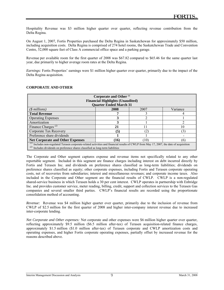Hospitality Revenue was \$3 million higher quarter over quarter, reflecting revenue contribution from the Delta Regina.

On August 1, 2007, Fortis Properties purchased the Delta Regina in Saskatchewan for approximately \$50 million, including acquisition costs. Delta Regina is comprised of 274 hotel rooms, the Saskatchewan Trade and Convention Centre, 52,000 square feet of Class A commercial office space and a parking garage.

Revenue per available room for the first quarter of 2008 was \$67.82 compared to \$65.46 for the same quarter last year, due primarily to higher average room rates at the Delta Regina.

*Earnings:* Fortis Properties' earnings were \$1 million higher quarter over quarter, primarily due to the impact of the Delta Regina acquisition.

| Corporate and Other <sup>(1)</sup><br><b>Financial Highlights (Unaudited)</b>                                                                                                                                              |                               |          |          |  |
|----------------------------------------------------------------------------------------------------------------------------------------------------------------------------------------------------------------------------|-------------------------------|----------|----------|--|
|                                                                                                                                                                                                                            | <b>Quarter Ended March 31</b> |          |          |  |
| $($$ millions)                                                                                                                                                                                                             | 2008                          | 2007     | Variance |  |
| <b>Total Revenue</b>                                                                                                                                                                                                       |                               |          |          |  |
| <b>Operating Expenses</b>                                                                                                                                                                                                  |                               |          |          |  |
| Amortization                                                                                                                                                                                                               |                               |          |          |  |
| Finance Charges <sup><math>(2)</math></sup>                                                                                                                                                                                | 21                            | ו ו      | 10       |  |
| Corporate Tax Recovery                                                                                                                                                                                                     | (5)                           | $^{(2)}$ |          |  |
| Preference share dividends                                                                                                                                                                                                 |                               |          |          |  |
| (10)<br><b>Net Corporate and Other Expenses</b><br>(16)<br>$\lceil \theta \rceil$                                                                                                                                          |                               |          |          |  |
| Includes non-regulated Terasen corporate-related activities and financial results of CWLP from May 17, 2007, the date of acquisition<br>(2)<br>Includes dividends on preference shares classified as long-term liabilities |                               |          |          |  |

#### **CORPORATE AND OTHER**

l

The Corporate and Other segment captures expense and revenue items not specifically related to any other reportable segment. Included in this segment are finance charges including interest on debt incurred directly by Fortis and Terasen Inc. and dividends on preference shares classified as long-term liabilities; dividends on preference shares classified as equity; other corporate expenses, including Fortis and Terasen corporate operating costs, net of recoveries from subsidiaries; interest and miscellaneous revenues; and corporate income taxes. Also included in the Corporate and Other segment are the financial results of CWLP. CWLP is a non-regulated shared-service business in which Terasen holds a 30 per cent interest. CWLP operates in partnership with Enbridge Inc. and provides customer service, meter reading, billing, credit, support and collection services to the Terasen Gas companies and several smaller third parties. CWLP's financial results are recorded using the proportionate consolidation method of accounting.

*Revenue:* Revenue was \$4 million higher quarter over quarter, primarily due to the inclusion of revenue from CWLP of \$2.5 million for the first quarter of 2008 and higher inter-company interest revenue due to increased inter-corporate lending.

*Net Corporate and Other expenses:* Net corporate and other expenses were \$6 million higher quarter over quarter, reflecting approximately \$9.5 million (\$6.5 million after-tax) of Terasen acquisition-related finance charges, approximately \$1.5 million (\$1.0 million after-tax) of Terasen corporate and CWLP amortization costs and operating expenses, and higher Fortis corporate operating expenses, partially offset by increased revenue for the reasons described above.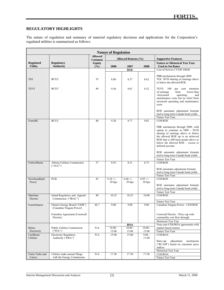#### **REGULATORY HIGHLIGHTS**

l

The nature of regulation and summary of material regulatory decisions and applications for the Corporation's regulated utilities is summarized as follows:

| <b>Nature of Regulation</b>  |                                                          |                          |                    |                     |                    |                                                                                                                                                                                                                                                       |
|------------------------------|----------------------------------------------------------|--------------------------|--------------------|---------------------|--------------------|-------------------------------------------------------------------------------------------------------------------------------------------------------------------------------------------------------------------------------------------------------|
|                              |                                                          | <b>Allowed</b><br>Common |                    | Allowed Returns (%) |                    | <b>Supportive Features</b>                                                                                                                                                                                                                            |
| <b>Regulated</b>             | <b>Regulatory</b>                                        | <b>Equity</b>            |                    |                     |                    | <b>Future or Historical Test Year</b>                                                                                                                                                                                                                 |
| <b>Utility</b>               | <b>Authority</b>                                         | (9/0)                    | 2006               | 2007                | 2008               | <b>Used to Set Rates</b>                                                                                                                                                                                                                              |
|                              |                                                          |                          |                    | <b>ROE</b>          |                    | Cost of Service ("COS")/ROE                                                                                                                                                                                                                           |
| <b>TGI</b>                   | <b>BCUC</b>                                              | 35                       | 8.80               | 8.37                | 8.62               | PBR mechanisms through 2009:<br>TGI: 50/50 sharing of earnings above<br>or below the allowed ROE.                                                                                                                                                     |
| <b>TGVI</b>                  | <b>BCUC</b>                                              | 40                       | 9.50               | 9.07                | 9.32               | TGVI: 100<br>cent retention<br>per<br>of earnings<br>from<br>lower-than<br>-forecasted<br>operating<br>and<br>maintenance costs but no relief from<br>increased operating and maintenance<br>costs<br>ROE automatic adjustment formula                |
|                              |                                                          |                          |                    |                     |                    | tied to long-term Canada bond yields                                                                                                                                                                                                                  |
| FortisBC                     | <b>BCUC</b>                                              | 40                       | 9.20               | 8.77                | 9.02               | Future Test Year<br><b>COS/ROE</b>                                                                                                                                                                                                                    |
|                              |                                                          |                          |                    |                     |                    | PBR mechanism through 2008, with<br>option to continue in 2009 - 50/50<br>sharing of earnings above or below<br>the allowed ROE up to an achieved<br>ROE that is 200 basis points above or<br>below the allowed $ROE -$ excess to<br>deferral account |
|                              |                                                          |                          |                    |                     |                    | ROE automatic adjustment formula<br>tied to long-term Canada bond yields                                                                                                                                                                              |
| FortisAlberta                | Alberta Utilities Commission                             | 37                       | 8.93               | 8.51                | 8.75               | Future Test Year<br>COS/ROE                                                                                                                                                                                                                           |
|                              | ("AUC")                                                  |                          |                    |                     |                    | ROE automatic adjustment formula<br>tied to long-term Canada bond yields<br>Future Test Year                                                                                                                                                          |
| Newfoundland                 | <b>PUB</b>                                               | 45                       | $9.24 +/-$         | $8.60 +/-$          | $8.95 +/-$         | <b>COS/ROE</b>                                                                                                                                                                                                                                        |
| Power                        |                                                          |                          | 50 bps             | 50 bps              | 50 bps             | ROE automatic adjustment formula<br>tied to long-term Canada bond yields<br>Future Test Year                                                                                                                                                          |
| Maritime                     | Island Regulatory and Appeals                            | 40                       | 10.25              | 10.25               | 10.00              | <b>COS/ROE</b>                                                                                                                                                                                                                                        |
| Electric                     | Commission ("IRAC")                                      |                          |                    |                     |                    |                                                                                                                                                                                                                                                       |
| FortisOntario                | Ontario Energy Board ("OEB")<br>(Canadian Niagara Power) | 46.7                     | 9.00               | 9.00                | 9.00               | Future Test Year<br>Canadian Niagara Power - COS/ROE                                                                                                                                                                                                  |
|                              | Franchise Agreement (Cornwall<br>Electric)               |                          |                    |                     |                    | Cornwall Electric - Price cap with<br>commodity cost flow through                                                                                                                                                                                     |
|                              |                                                          |                          |                    | <b>ROA</b>          |                    | Historical Test Year<br>Four-year COS/ROA agreements with                                                                                                                                                                                             |
| <b>Belize</b><br>Electricity | <b>Public Utilities Commission</b><br>("PUC")            | N/A                      | $10.00 -$<br>15.00 | $10.00 -$<br>15.00  | $10.00 -$<br>15.00 | market-based returns<br><b>Future Test Year</b>                                                                                                                                                                                                       |
| Caribbean                    | <b>Electricity Regulatory</b>                            | N/A                      | 15.00              | 15.00               | $9.00 -$           | COS/ROA                                                                                                                                                                                                                                               |
| Utilities                    | Authority ("ERA")                                        |                          |                    |                     | 11.00              | Rate-cap<br>adjustment<br>mechanism<br>("RCAM") based on consumer price<br>indices                                                                                                                                                                    |
| Fortis Turks and             | Utilities make annual filings                            | N/A                      | 17.50              | 17.50               | 17.50              | Historical Test Year<br>COS/ROA                                                                                                                                                                                                                       |
| Caicos                       | with the Energy Commission                               |                          |                    |                     |                    | Future Test Year                                                                                                                                                                                                                                      |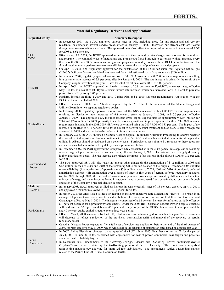| <b>Material Regulatory Decisions and Applications</b> |                                                                                                                                                                                                                                                                                                                                                                                                                                                                                                                                                                                                                                                                                                                                                                                                                                                                                                                                                                                                                                                                                                                                                                                                                                                                                                                                                                                                                                                |  |  |  |
|-------------------------------------------------------|------------------------------------------------------------------------------------------------------------------------------------------------------------------------------------------------------------------------------------------------------------------------------------------------------------------------------------------------------------------------------------------------------------------------------------------------------------------------------------------------------------------------------------------------------------------------------------------------------------------------------------------------------------------------------------------------------------------------------------------------------------------------------------------------------------------------------------------------------------------------------------------------------------------------------------------------------------------------------------------------------------------------------------------------------------------------------------------------------------------------------------------------------------------------------------------------------------------------------------------------------------------------------------------------------------------------------------------------------------------------------------------------------------------------------------------------|--|--|--|
| <b>Regulated Utility</b>                              | <b>Summary Description</b>                                                                                                                                                                                                                                                                                                                                                                                                                                                                                                                                                                                                                                                                                                                                                                                                                                                                                                                                                                                                                                                                                                                                                                                                                                                                                                                                                                                                                     |  |  |  |
| TGI<br>TGVI                                           | In December 2007, the BCUC approved various rates at TGI, including those for mid-stream and delivery for<br>residential customers in several service areas, effective January 1, 2008. Increased mid-stream costs are flowed<br>through to customers without mark-up. The approved rates also reflect the impact of an increase in the allowed ROE<br>for $2008$ to $8.62$ per cent.<br>Effective April 1, 2008, the BCUC approved an increase in the commodity rates charged to customers for natural gas<br>and propane. The commodity cost of natural gas and propane are flowed through to customers without markup. Every<br>three months TGI and TGVI review natural gas and propane commodity prices with the BCUC in order to ensure the<br>flow through rates charged to customers are sufficient to cover the cost of purchasing gas and propane.<br>On April 1, 2008, final regulatory approval for the construction of the 1.5 billion-cubic foot liquefied natural gas<br>("LNG") facility on Vancouver Island was received for a total estimated cost of approximately \$200 million.                                                                                                                                                                                                                                                                                                                                           |  |  |  |
| FortisBC                                              | In December 2007, regulatory approval was received of the NSA associated with 2008 revenue requirements resulting<br>in a customer rate increase of 2.9 per cent, effective January 1, 2008. The rate increase is primarily the result of the<br>Company's capital investment program. Rates for 2008 reflect an allowed ROE of 9.02 per cent.<br>In April 2008, the BCUC approved an interim increase of 0.8 per cent to FortisBC's customer rates, effective<br>May 1, 2008, as a result of BC Hydro's recent interim rate increase, which has increased FortisBC's cost to purchase<br>power from BC Hydro by 5.06 per cent.<br>FortisBC intends on filing a 2009 and 2010 Capital Plan and a 2009 Revenue Requirements Application with the<br>BCUC in the second half of 2008.                                                                                                                                                                                                                                                                                                                                                                                                                                                                                                                                                                                                                                                            |  |  |  |
| FortisAlberta                                         | Effective January 1, 2008, FortisAlberta is regulated by the AUC due to the separation of the Alberta Energy and<br>Utilities Board into two separate regulatory bodies.<br>In February 2008, regulatory approval was received of the NSA associated with 2008/2009 revenue requirements<br>resulting in distribution rate increases of 6.8 per cent, effective January 1, 2008, and 7.3 per cent, effective<br>January 1, 2009. The approved NSA includes forecast gross capital expenditures of approximately \$264 million for<br>2008 and \$296 million for 2009, primarily to meet customer growth and improve system reliability. The 2008 revenue<br>requirements included in the 2008/2009 NSA were determined using the 2007 ROE of 8.51 per cent. The impact of the<br>increase in the ROE to 8.75 per cent for 2008 is subject to deferral-account treatment and, as such, is being recognized<br>as earned in 2008 and is expected to be collected in future customer rates.<br>In February 2008, the AUC initiated a Generic Cost of Capital Preliminary Questions Proceeding to address whether<br>the cost of capital adjustment formula continues to yield a fair ROE and whether capital structures for all applicable<br>utilities in Alberta should be addressed on a generic basis. FortisAlberta has submitted a response to these questions<br>and anticipates that a more formal regulatory review process will follow. |  |  |  |
| Newfoundland<br>Power                                 | In December 2007, the PUB approved the Company's NSA associated with the 2008 general rate application resulting<br>in an average 2.8 per cent increase in customer rates, effective January 1, 2008. The rate increase is largely driven by<br>higher amortization costs. The rate increase also reflects the impact of an increase in the allowed ROE to 8.95 per cent<br>for 2008.<br>The PUB-approved NSA will also result in, among other things: (i) the amortization of \$7.2 million in 2008 and<br>\$4.6 million in each of 2009 and 2010 of the remaining \$16.4 million balance of the original December 2005 unbilled<br>revenue liability; (ii) amortization of approximately \$3.9 million in each of 2008, 2009 and 2010 of previously deferred<br>amortization expense; (iii) amortization over a period of three to five years of certain deferred regulatory balances;<br>(iv) for 2008 through 2010, the deferral of variations in purchase power expense caused by differences in the actual<br>unit cost of energy and the unit cost reflected in customer rates to be recovered from, or refunded to, customers through<br>operation of the Company's rate stabilization account.                                                                                                                                                                                                                                        |  |  |  |
| Maritime<br>Electric                                  | In January 2008, IRAC approved, as filed, an increase in basic electricity rates of 1.8 per cent, effective April 1, 2008,<br>and approved a maximum allowed ROE of 10.0 per cent for 2008.                                                                                                                                                                                                                                                                                                                                                                                                                                                                                                                                                                                                                                                                                                                                                                                                                                                                                                                                                                                                                                                                                                                                                                                                                                                    |  |  |  |
| FortisOntario                                         | In March 2008, the OEB issued its decision relating to the 2008 Incentive Rate Mechanism ("IRM"). The result is an<br>average 1.1 per cent increase in electricity distribution rates for operations in each of Fort Erie, Port Colborne and<br>Gananoque, effective May 1, 2008. The increase is comprised of a 2.1 per cent increase for inflation, partially offset by<br>a 1 per cent decrease for a productivity adjustment. Under the 2008 IRM, Canadian Niagara Power's capital structure<br>will be deemed at 53.3 per cent debt and 46.7 per cent equity, as part of the OEB's plan to move to a 60 per cent debt<br>and 40 per cent equity capital structure over a three-year period.<br>Effective May 1, 2008, as ordered by the OEB, retail transmission rates charged to Canadian Niagara Power customers<br>will decrease to reflect a reduction of the provincial transmission tariff and removal of the recovery of certain<br>regulatory assets.<br>Canadian Niagara Power expects to file a full cost-of-service rate application before the end of the third quarter of<br>2008, for rates effective May 1, 2009, which will result in the rebasing of distribution rates based on a future test year.                                                                                                                                                                                                                     |  |  |  |
| Belize<br>Electricity                                 | In 2007, Belize Electricity objected to and appealed the PUC's June 2007 Final Decision on tariffs for the period<br>July 1, 2007 to June 30, 2008, associated with adjustments for cost of power, commercial loss targets and penalties<br>associated with reliability targets.<br>In December 2007, amendments to the Electricity (Tariffs, Charges and Quality of Services Standards) Bylaws<br>("Bylaws") were enacted affecting the tariff-setting process at Belize Electricity. The result was a simplified<br>tariff-setting methodology allowing for improved rate stabilization. The amendments settled outstanding matters<br>related to the PUC's June 2007 Final Decision on tariffs.                                                                                                                                                                                                                                                                                                                                                                                                                                                                                                                                                                                                                                                                                                                                             |  |  |  |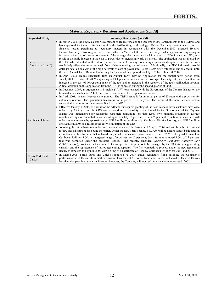|                                       | <b>Material Regulatory Decisions and Applications (cont'd)</b>                                                                                                                                                                                                                                                                                                                                                                                                                                                                                                                                                                                                                                                                                                                                                                                                                                                                                                                                                                                                                                                                                                                                                                                                                                                                                                                                                                                                                                                                                                                                                                                                                                                                                                                                                                                                                                                                                                                                                                                                                                                                                                                     |  |  |  |  |  |  |  |
|---------------------------------------|------------------------------------------------------------------------------------------------------------------------------------------------------------------------------------------------------------------------------------------------------------------------------------------------------------------------------------------------------------------------------------------------------------------------------------------------------------------------------------------------------------------------------------------------------------------------------------------------------------------------------------------------------------------------------------------------------------------------------------------------------------------------------------------------------------------------------------------------------------------------------------------------------------------------------------------------------------------------------------------------------------------------------------------------------------------------------------------------------------------------------------------------------------------------------------------------------------------------------------------------------------------------------------------------------------------------------------------------------------------------------------------------------------------------------------------------------------------------------------------------------------------------------------------------------------------------------------------------------------------------------------------------------------------------------------------------------------------------------------------------------------------------------------------------------------------------------------------------------------------------------------------------------------------------------------------------------------------------------------------------------------------------------------------------------------------------------------------------------------------------------------------------------------------------------------|--|--|--|--|--|--|--|
| <b>Regulated Utility</b>              | <b>Summary Description (cont'd)</b>                                                                                                                                                                                                                                                                                                                                                                                                                                                                                                                                                                                                                                                                                                                                                                                                                                                                                                                                                                                                                                                                                                                                                                                                                                                                                                                                                                                                                                                                                                                                                                                                                                                                                                                                                                                                                                                                                                                                                                                                                                                                                                                                                |  |  |  |  |  |  |  |
| <b>Belize</b><br>Electricity (cont'd) | In March 2008, the newly elected Government of Belize repealed the December 2007 amendments to the Bylaws and<br>has expressed its intent to further simplify the tariff-setting methodology. Belize Electricity continues to report its<br>financial results pertaining to regulatory matters in accordance with the December 2007 amended Bylaws.<br>Belize Electricity is working to resolve this matter. In March 2008, Belize Electricity filed an application requesting an<br>increase in the cost of power component of the average electricity rate by 15 per cent, or BZ6.5 cents per kWh, as a<br>result of the rapid increase in the cost of power due to increasing world oil prices. The application was disallowed by<br>the PUC who cited that, in the interim, a decrease in the Company's operating expenses and capital expenditures levels<br>would help offset the impact on cash flow of the increasing cost of power. Additionally, the PUC indicated it would<br>defer its detailed analysis of the high deferrals of cost of power into Belize Electricity's rate stabilization account until<br>the next Annual Tariff Review Proceeding for the annual tariff period for July 1, 2008 to June 30, 2009.<br>In April 2008, Belize Electricity filed its Annual Tariff Review Application for the annual tariff period from<br>July 1, 2008 to June 30, 2009 requesting a 13.4 per cent increase in the average electricity rate, as a result of an<br>increase in the cost of power component of the rate and an increase in the recovery of the rate stabilization account.<br>A final decision on this application from the PUC is expected during the second quarter of 2008.                                                                                                                                                                                                                                                                                                                                                                                                                                                                         |  |  |  |  |  |  |  |
| Caribbean Utilities                   | In December 2007, an Agreement in Principle ("AIP") was reached with the Government of the Cayman Islands on the<br>terms of a new exclusive T&D licence and a new non-exclusive generation licence.<br>In April 2008, the new licences were granted. The $T\&D$ licence is for an initial period of 20 years with a provision for<br>automatic renewal. The generation licence is for a period of 21.5 years. The terms of the new licences remain<br>substantially the same as the terms outlined in the AIP.<br>Effective January 1, 2008, as a result of the AIP and subsequent granting of the new licences, basic customer rates were<br>reduced by 3.25 per cent, the CRS was removed and a fuel-duty rebate funded by the Government of the Cayman<br>Islands was implemented for residential customers consuming less than 1,500 kWh monthly, resulting in average<br>monthly savings to residential customers of approximately 15 per cent. The 3.25 per cent reduction in basic rates will<br>reduce annual revenue by approximately US\$2.1 million. Additionally, Caribbean Utilities has forgone US\$2.6 million<br>of revenue in 2008 as a result of the early elimination of the CRS.<br>Following the initial basic rate reduction, customer rates will be frozen until May 31, 2009 and will be subject to annual<br>review and adjustment each June thereafter. Under the new T&D licence, a RCAM will be used to adjust basic rates in<br>accordance with a formula that is based on published consumer price indices. The RCAM is designed to maintain<br>Caribbean Utilities ROA in a targeted range of 9 per cent to 11 per cent, down from an allowed ROA of 15 per cent<br>that was permitted under the previous licence. The recently amended Electricity Regularity Authority Law<br>(2005 Revision), provides for the conduct of a competitive bid process to be managed by the ERA for new generating<br>capacity and the replacement of retired generating capacity. The first competitive process under the new generation<br>licence is expected to begin in 2008 with a filing of a Certificate of Need by Caribbean Utilities for 2011 and 2012. |  |  |  |  |  |  |  |
| Fortis Turks and<br>Caicos            | In March 2008, Fortis Turks and Caicos submitted its 2007 annual regulatory filing outlining the Company's<br>performance in 2007 and its capital expansion plans for 2008. Fortis Turks and Caicos' achieved ROA in 2007 was<br>less than that permitted under its licences; however, the Company will not seek any basic rate increases in 2008.                                                                                                                                                                                                                                                                                                                                                                                                                                                                                                                                                                                                                                                                                                                                                                                                                                                                                                                                                                                                                                                                                                                                                                                                                                                                                                                                                                                                                                                                                                                                                                                                                                                                                                                                                                                                                                 |  |  |  |  |  |  |  |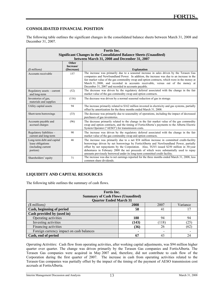#### **CONSOLIDATED FINANCIAL POSITION**

l

The following table outlines the significant changes in the consolidated balance sheets between March 31, 2008 and December 31, 2007.

| <b>Fortis</b> Inc.                                                                |                    |                                                                                                                                                                                                                                                                                                                                                                                                                                                         |  |  |  |
|-----------------------------------------------------------------------------------|--------------------|---------------------------------------------------------------------------------------------------------------------------------------------------------------------------------------------------------------------------------------------------------------------------------------------------------------------------------------------------------------------------------------------------------------------------------------------------------|--|--|--|
|                                                                                   |                    | <b>Significant Changes in the Consolidated Balance Sheets (Unaudited)</b>                                                                                                                                                                                                                                                                                                                                                                               |  |  |  |
|                                                                                   |                    | between March 31, 2008 and December 31, 2007                                                                                                                                                                                                                                                                                                                                                                                                            |  |  |  |
|                                                                                   | Other<br>Increase/ |                                                                                                                                                                                                                                                                                                                                                                                                                                                         |  |  |  |
| $(S$ millions)                                                                    | (Decrease)         | <b>Explanation</b>                                                                                                                                                                                                                                                                                                                                                                                                                                      |  |  |  |
| Accounts receivable                                                               | 157                | The increase was primarily due to a seasonal increase in sales driven by the Terasen Gas<br>companies and Newfoundland Power. In addition, the increase was due to an increase in the<br>fair market value of the gas commodity swap and option contracts, which were in the money at<br>March 31, 2008, and recorded in accounts receivable, versus out of the money at<br>December 31, 2007 and recorded in accounts payable.                         |  |  |  |
| Regulatory assets – current<br>and long-term                                      | (52)               | The decrease was driven by the regulatory deferral associated with the change in the fair<br>market value of the gas commodity swap and option contracts.                                                                                                                                                                                                                                                                                               |  |  |  |
| Inventories of gas,<br>materials and supplies                                     | (116)              | The decrease was driven by a normal seasonal reduction of gas in storage.                                                                                                                                                                                                                                                                                                                                                                               |  |  |  |
| Utility capital assets                                                            | 94                 | The increase primarily related to \$162 million invested in electricity and gas systems, partially<br>offset by amortization for the three months ended March 31, 2008.                                                                                                                                                                                                                                                                                 |  |  |  |
| Short-term borrowings                                                             | (33)               | The decrease was primarily due to seasonality of operations, including the impact of decreased<br>purchases of gas inventories.                                                                                                                                                                                                                                                                                                                         |  |  |  |
| Accounts payable and<br>accrued charges                                           | (96)               | The decrease primarily related to the change in the fair market value of the gas commodity<br>swap and option contracts, and the timing of FortisAlberta's payments to the Alberta Electric<br>System Operator ("AESO") for transmission costs.                                                                                                                                                                                                         |  |  |  |
| Regulatory liabilities -<br>current and long-term                                 | 90                 | The increase was driven by the regulatory deferral associated with the change in the fair<br>market value of the gas commodity swap and option contracts.                                                                                                                                                                                                                                                                                               |  |  |  |
| Long-term debt and capital<br>lease obligations<br>(including current<br>portion) | 46                 | The increase was primarily due to a net \$54 million increase in committed credit-facility<br>borrowings driven by net borrowings by FortisAlberta and Newfoundland Power, partially<br>offset by net repayments by the Corporation. Also, TGVI issued \$250 million in 30-year<br>debentures in February 2008 the net proceeds of which were substantially used to repay<br>amounts previously borrowed under its long-term committed credit facility. |  |  |  |
| Shareholders' equity                                                              | 71                 | The increase was due to net earnings reported for the three months ended March 31, 2008, less<br>common share dividends.                                                                                                                                                                                                                                                                                                                                |  |  |  |

### **LIQUIDITY AND CAPITAL RESOURCES**

The following table outlines the summary of cash flows.

| Fortis Inc.<br><b>Summary of Cash Flows (Unaudited)</b> |       |       |          |  |  |  |
|---------------------------------------------------------|-------|-------|----------|--|--|--|
| <b>Quarter Ended March 31</b>                           |       |       |          |  |  |  |
| $($$ millions)                                          | 2008  | 2007  | Variance |  |  |  |
| Cash, beginning of period                               | 58    | 41    |          |  |  |  |
| Cash provided by (used in)                              |       |       |          |  |  |  |
| Operating activities                                    | 188   | 94    | 94       |  |  |  |
| Investing activities                                    | (143) | (118) | (25      |  |  |  |
| Financing activities                                    | (36)  | 26    | (62)     |  |  |  |
| Foreign currency impact on cash balances                |       |       |          |  |  |  |
| Cash, end of period                                     | 67    | 43    | 24       |  |  |  |

*Operating Activities:* Cash flow from operating activities, after working capital adjustments, was \$94 million higher quarter over quarter. The change was driven primarily by the Terasen Gas companies and FortisAlberta. The Terasen Gas companies were acquired in May 2007 and, therefore, did not contribute to cash flow of the Corporation during the first quarter of 2007. The increase in cash from operating activities related to the Terasen Gas companies was partially offset by the impact of the timing of the payment of AESO transmission cost accruals at FortisAlberta.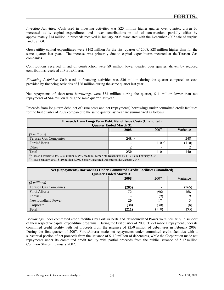*Investing Activities:* Cash used in investing activities was \$25 million higher quarter over quarter, driven by increased utility capital expenditures and lower contributions in aid of construction, partially offset by approximately \$14 million in proceeds received in January 2008 associated with the December 2007 sale of surplus land by TGI.

Gross utility capital expenditures were \$162 million for the first quarter of 2008, \$28 million higher than for the same quarter last year. The increase was primarily due to capital expenditures incurred at the Terasen Gas companies.

Contributions received in aid of construction were \$9 million lower quarter over quarter, driven by reduced contributions received at FortisAlberta.

*Financing Activities:* Cash used in financing activities was \$36 million during the quarter compared to cash provided by financing activities of \$26 million during the same quarter last year.

Net repayments of short-term borrowings were \$33 million during the quarter, \$11 million lower than net repayments of \$44 million during the same quarter last year.

Proceeds from long-term debt, net of issue costs and net (repayments) borrowings under committed credit facilities for the first quarter of 2008 compared to the same quarter last year are summarized as follows:

| Proceeds from Long-Term Debt, Net of Issue Costs (Unaudited)                                              |             |             |       |  |  |  |  |
|-----------------------------------------------------------------------------------------------------------|-------------|-------------|-------|--|--|--|--|
| <b>Quarter Ended March 31</b>                                                                             |             |             |       |  |  |  |  |
| Variance<br>2007<br>2008                                                                                  |             |             |       |  |  |  |  |
| $($$ millions)                                                                                            |             |             |       |  |  |  |  |
| <b>Terasen Gas Companies</b>                                                                              | $248^{(1)}$ |             | 248   |  |  |  |  |
| FortisAlberta                                                                                             |             | $110^{(2)}$ | (110) |  |  |  |  |
| Other                                                                                                     |             |             |       |  |  |  |  |
| <b>Total</b><br>250<br>110<br>140                                                                         |             |             |       |  |  |  |  |
| $^{(1)}$ Issued February 2008, \$250 million 6.05% Medium-Term Note Debentures by TGVI, due February 2038 |             |             |       |  |  |  |  |
| $^{(2)}$ Issued January 2007, \$110 million 4.99% Senior Unsecured Debentures, due January 2047           |             |             |       |  |  |  |  |

| <b>Net (Repayments) Borrowings Under Committed Credit Facilities (Unaudited)</b><br><b>Quarter Ended March 31</b> |       |      |      |  |  |  |  |
|-------------------------------------------------------------------------------------------------------------------|-------|------|------|--|--|--|--|
| Variance<br>2007<br>2008                                                                                          |       |      |      |  |  |  |  |
| $$$ millions)                                                                                                     |       |      |      |  |  |  |  |
| <b>Terasen Gas Companies</b>                                                                                      | (265) |      | (265 |  |  |  |  |
| FortisAlberta                                                                                                     | 72    | '96) | 168  |  |  |  |  |
| FortisBC                                                                                                          |       | (Q   |      |  |  |  |  |
| Newfoundland Power                                                                                                | 20    |      |      |  |  |  |  |
| Corporate                                                                                                         | (38)  | (30) | (8)  |  |  |  |  |
| <b>Total</b>                                                                                                      | (211  | 118  |      |  |  |  |  |

Borrowings under committed credit facilities by FortisAlberta and Newfoundland Power were primarily in support of their respective capital expenditure programs. During the first quarter of 2008, TGVI made a repayment under its committed credit facility with net proceeds from the issuance of \$250 million of debentures in February 2008. During the first quarter of 2007, FortisAlberta made net repayments under committed credit facilities with a substantial portion of net proceeds from the issuance of \$110 million of debentures, while the Corporation made net repayments under its committed credit facility with partial proceeds from the public issuance of 5.17 million Common Shares in January 2007.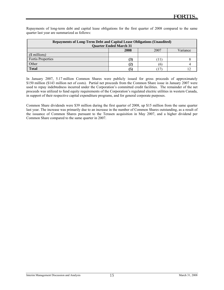Repayments of long-term debt and capital lease obligations for the first quarter of 2008 compared to the same quarter last year are summarized as follows:

| <b>Repayments of Long-Term Debt and Capital Lease Obligations (Unaudited)</b><br><b>Quarter Ended March 31</b> |   |       |  |  |  |  |  |
|----------------------------------------------------------------------------------------------------------------|---|-------|--|--|--|--|--|
| 2008<br>Variance<br>2007                                                                                       |   |       |  |  |  |  |  |
| $(\text{\$ millions})$                                                                                         |   |       |  |  |  |  |  |
| Fortis Properties                                                                                              | 3 | $\pm$ |  |  |  |  |  |
| Other                                                                                                          |   | 16    |  |  |  |  |  |
| <b>Total</b>                                                                                                   |   |       |  |  |  |  |  |

In January 2007, 5.17 million Common Shares were publicly issued for gross proceeds of approximately \$150 million (\$143 million net of costs). Partial net proceeds from the Common Share issue in January 2007 were used to repay indebtedness incurred under the Corporation's committed credit facilities. The remainder of the net proceeds was utilized to fund equity requirements of the Corporation's regulated electric utilities in western Canada, in support of their respective capital expenditure programs, and for general corporate purposes.

Common Share dividends were \$39 million during the first quarter of 2008, up \$15 million from the same quarter last year. The increase was primarily due to an increase in the number of Common Shares outstanding, as a result of the issuance of Common Shares pursuant to the Terasen acquisition in May 2007, and a higher dividend per Common Share compared to the same quarter in 2007.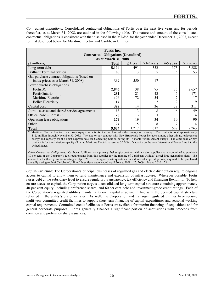*Contractual obligations:* Consolidated contractual obligations of Fortis over the next five years and for periods thereafter, as at March 31, 2008, are outlined in the following table. The nature and amount of the consolidated contractual obligations is consistent with that disclosed in the MD&A for the year ended December 31, 2007, except for that described below for Maritime Electric and Caribbean Utilities.

| <b>Fortis</b> Inc.                            |              |               |               |                |             |  |  |  |
|-----------------------------------------------|--------------|---------------|---------------|----------------|-------------|--|--|--|
| <b>Contractual Obligations (Unaudited)</b>    |              |               |               |                |             |  |  |  |
| as at March 31, 2008                          |              |               |               |                |             |  |  |  |
| (\$ millions)                                 | <b>Total</b> | $\leq$ 1 year | $>1-3$ years  | 4-5 years      | $> 5$ years |  |  |  |
| Long-term debt                                | 5,104        | 491           | 352           | 373            | 3,888       |  |  |  |
| <b>Brilliant Terminal Station</b>             | 66           | 3             |               | 5              | 53          |  |  |  |
| Gas purchase contract obligations (based on   |              |               |               |                |             |  |  |  |
| index prices as at March 31, 2008)            | 567          | 550           | 17            |                |             |  |  |  |
| Power purchase obligations                    |              |               |               |                |             |  |  |  |
| FortisBC                                      | 2,845        | 38            | 75            | 75             | 2,657       |  |  |  |
| FortisOntario                                 | 281          | 21            | 43            | 46             | 171         |  |  |  |
| Maritime Electric <sup>(1)</sup>              | 125          | 72            | 34            | 2              |             |  |  |  |
| Belize Electricity                            | 14           |               |               | $\mathfrak{D}$ | 9           |  |  |  |
| Capital cost                                  | 399          | 14            | 36            | 38             | 311         |  |  |  |
| Joint-use asset and shared service agreements | 66           | 3             | 8             | 6              | 49          |  |  |  |
| Office lease $-$ FortisBC                     | 20           |               | $\mathcal{E}$ | 3              | 14          |  |  |  |
| Operating lease obligations                   | 173          | 19            | 34            | 30             | 90          |  |  |  |
| Other                                         | 24           | 5             | 8             | 7              | 4           |  |  |  |
| <b>Total</b>                                  | 9,684        | 1,217         | 617           | 587            | 7,263       |  |  |  |

Maritime Electric has two new take-or-pay contracts for the purchase of either energy or capacity. The contracts total approximately \$125 million through November 30, 2032. The take-or-pay contract with New Brunswick Power includes, among other things, replacement energy and capacity for the Point Lepreau Nuclear Generating Station during its 18-month refurbishment outage. The other take-or-pay contract is for transmission capacity allowing Maritime Electric to reserve 30 MW of capacity on the new International Power Line into the United States.

*Other Contractual Obligations:* Caribbean Utilities has a primary fuel supply contract with a major supplier and is committed to purchase 80 per cent of the Company's fuel requirements from this supplier for the running of Caribbean Utilities' diesel-fired generating plant. The contract is for three years terminating in April 2010. The approximate quantities, in millions of imperial gallons, required to be purchased annually during each of Caribbean Utilities' three fiscal years ended April 30 are:  $2008 - 25$ ;  $2009 - 26$  and  $2010 - 28$ .

*Capital Structure:* The Corporation's principal businesses of regulated gas and electric distribution require ongoing access to capital to allow them to fund maintenance and expansion of infrastructure. Wherever possible, Fortis raises debt at the subsidiary level to ensure regulatory transparency, tax efficiency and financing flexibility. To help ensure access to capital, the Corporation targets a consolidated long-term capital structure containing approximately 40 per cent equity, including preference shares, and 60 per cent debt and investment-grade credit ratings. Each of the Corporation's regulated utilities maintains its own capital structure in line with the deemed capital structure reflected in the utility's customer rates. As well, the Corporation and its larger regulated utilities have secured multi-year committed credit facilities to support short-term financing of capital expenditures and seasonal working capital requirements. Committed credit facilitates at Fortis are available for interim financing of acquisitions and for general corporate purposes. Fortis generally finances a significant portion of acquisitions with proceeds from common and preference share issuances.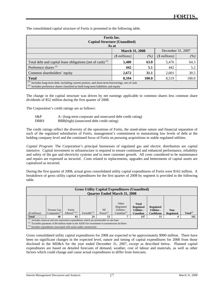| Fortis Inc.<br><b>Capital Structure (Unaudited)</b><br>As at                                                                                                                       |                                                      |      |       |      |  |  |  |
|------------------------------------------------------------------------------------------------------------------------------------------------------------------------------------|------------------------------------------------------|------|-------|------|--|--|--|
| <b>March 31, 2008</b><br>December 31, 2007                                                                                                                                         |                                                      |      |       |      |  |  |  |
|                                                                                                                                                                                    | $($$ millions $)$<br>$(\%)$<br>$($$ millions)<br>(%) |      |       |      |  |  |  |
| 64.3<br>Total debt and capital lease obligations (net of cash) $(1)$<br>5,480<br>63.8<br>5,476                                                                                     |                                                      |      |       |      |  |  |  |
| Preference shares $(2)$                                                                                                                                                            | 442                                                  | 5.1  | 442   | 5.2  |  |  |  |
| Common shareholders' equity                                                                                                                                                        | 2,672                                                | 31.1 | 2,601 | 30.5 |  |  |  |
| 8,594<br>100.0<br>100.0<br>8,519<br><b>Total</b>                                                                                                                                   |                                                      |      |       |      |  |  |  |
| Includes long-term debt, including current portion, and short-term borrowings, net of cash<br>$(2)$ Includes preference shares classified as both long-term liabilities and equity |                                                      |      |       |      |  |  |  |

The consolidated capital structure of Fortis is presented in the following table.

The change in the capital structure was driven by net earnings applicable to common shares less common share dividends of \$52 million during the first quarter of 2008.

The Corporation's credit ratings are as follows:

l

| $S\&P$      | A- (long-term corporate and unsecured debt credit rating) |
|-------------|-----------------------------------------------------------|
| <b>DBRS</b> | BBB(high) (unsecured debt credit rating)                  |

The credit ratings reflect the diversity of the operations of Fortis, the stand-alone nature and financial separation of each of the regulated subsidiaries of Fortis, management's commitment to maintaining low levels of debt at the holding company level and the continued focus of Fortis on pursuing acquisitions in stable regulated utilities.

*Capital Program*: The Corporation's principal businesses of regulated gas and electric distribution are capital intensive. Capital investment in infrastructure is required to ensure continued and enhanced performance, reliability and safety of the gas and electricity systems and to meet customer growth. All costs considered to be maintenance and repairs are expensed as incurred. Costs related to replacements, upgrades and betterments of capital assets are capitalized as incurred.

During the first quarter of 2008, actual gross consolidated utility capital expenditures of Fortis were \$162 million. A breakdown of gross utility capital expenditures for the first quarter of 2008 by segment is provided in the following table.

| <b>Gross Utility Capital Expenditures (Unaudited)</b><br><b>Quarter Ended March 31, 2008</b>                                                                                                                                                                                                                                                                                           |                                                                                                                                                                                                                                                                             |  |  |  |  |  |  |
|----------------------------------------------------------------------------------------------------------------------------------------------------------------------------------------------------------------------------------------------------------------------------------------------------------------------------------------------------------------------------------------|-----------------------------------------------------------------------------------------------------------------------------------------------------------------------------------------------------------------------------------------------------------------------------|--|--|--|--|--|--|
| Other<br><b>Total</b><br>Regulated<br><b>Regulated</b><br><b>Regulated</b><br>Utilities -<br><b>Terasen Gas</b><br><b>NF</b><br>Fortis<br><b>Utilities -</b><br><b>Utilities -</b><br>Non-<br>Alberta $^{(1)(2)}$<br>Power $^{(1)}$<br>Fortis $BC^{(1)}$<br>$Total^{(3)}$<br>Companies $\binom{I}{I}$<br>Canadian $(1)$<br>Canadian<br>$(S$ millions)<br>Caribbean<br><b>Regulated</b> |                                                                                                                                                                                                                                                                             |  |  |  |  |  |  |
| <b>Total</b>                                                                                                                                                                                                                                                                                                                                                                           | 40<br>13<br>162<br>63<br>24<br>147<br>11                                                                                                                                                                                                                                    |  |  |  |  |  |  |
| (3)                                                                                                                                                                                                                                                                                                                                                                                    | $\frac{1}{1}$ Includes removal and site restoration expenditures which are permissible in rate base<br>$(2)$ Excludes payments of \$4 million made to the AESO for investment in transmission facilities<br>Includes expenditures associated with assets under construction |  |  |  |  |  |  |

Gross consolidated utility capital expenditures for 2008 are expected to be approximately \$900 million. There have been no significant changes in the expected level, nature and timing of capital expenditures for 2008 from those disclosed in the MD&A for the year ended December 31, 2007, except as described below. Planned capital expenditures are based on detailed forecasts of demand, weather, cost of labour and materials, as well as other factors which could change and cause actual expenditures to differ from forecasts.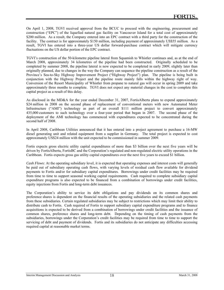On April 1, 2008, TGVI received approval from the BCUC to proceed with the engineering, procurement and construction ("EPC") of the liquefied natural gas facility on Vancouver Island for a total cost of approximately \$200 million. As a result, the Company entered into an EPC contract with a third party for the construction of the facility. The contract is for approximately \$150 million, including payment of approximately US\$55 million. As a result, TGVI has entered into a three-year US dollar forward-purchase contract which will mitigate currency fluctuations on the US dollar portion of the EPC contract.

TGVI's construction of the 50-kilometre pipeline lateral from Squamish to Whistler continues and, as at the end of March 2008, approximately 34 kilometres of the pipeline had been constructed. Originally scheduled to be completed by summer 2008, the pipeline lateral is now expected to be completed in early 2009, slightly later than originally planned, due to changes in the way the Company can sequence the pipeline construction as a result of the Province's Sea-to-Sky Highway Improvement Project ("Highway Project") plan. The pipeline is being built in conjunction with the Highway Project and the pipeline route mainly falls within the highway right of way. Conversion of the Resort Municipality of Whistler from propane to natural gas will occur in spring 2009 and take approximately three months to complete. TGVI does not expect any material changes in the cost to complete this capital project as a result of this delay.

As disclosed in the MD&A for the year ended December 31, 2007, FortisAlberta plans to expend approximately \$24 million in 2008 on the second phase of replacement of conventional meters with new Automated Meter Infrastructure ("AMI") technology as part of an overall \$111 million project to convert approximately 435,000 customers to such technology over a four-year period that began in 2007. The second phase of the deployment of the AMI technology has commenced with expenditures expected to be concentrated during the second half of 2008.

In April 2008, Caribbean Utilities announced that it has entered into a project agreement to purchase a 16-MW diesel generating unit and related equipment from a supplier in Germany. The total project is expected to cost approximately US\$24 million with the unit expected to be commissioned in summer 2009.

Fortis expects gross electric utility capital expenditures of more than \$3 billion over the next five years will be driven by FortisAlberta, FortisBC and the Corporation's regulated and non-regulated electric utility operations in the Caribbean. Fortis expects gross gas utility capital expenditures over the next five years to exceed \$1 billion.

*Cash Flows:* At the operating subsidiary level, it is expected that operating expenses and interest costs will generally be paid out of subsidiary operating cash flows, with varying levels of residual cash flow available for dividend payments to Fortis and/or for subsidiary capital expenditures. Borrowings under credit facilities may be required from time to time to support seasonal working capital requirements. Cash required to complete subsidiary capital expenditure programs is also expected to be financed from a combination of borrowings under credit facilities, equity injections from Fortis and long-term debt issuances.

The Corporation's ability to service its debt obligations and pay dividends on its common shares and preference shares is dependent on the financial results of the operating subsidiaries and the related cash payments from these subsidiaries. Certain regulated subsidiaries may be subject to restrictions which may limit their ability to distribute cash to Fortis. Cash required of Fortis to support subsidiary capital expenditure programs and to finance acquisitions is expected to be derived from a combination of borrowings under credit facilities and the issuance of common shares, preference shares and long-term debt. Depending on the timing of cash payments from the subsidiaries, borrowings under the Corporation's credit facilities may be required from time to time to support the servicing of debt and payment of dividends. Fortis and its subsidiaries do not anticipate any difficulties accessing required capital at reasonable market terms.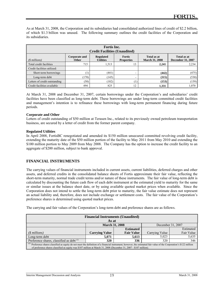As at March 31, 2008, the Corporation and its subsidiaries had consolidated authorized lines of credit of \$2.2 billion, of which \$1.3 billion was unused. The following summary outlines the credit facilities of the Corporation and its subsidiaries.

| Fortis Inc.<br><b>Credit Facilities (Unaudited)</b>                                                                                                                                                              |                  |       |    |       |       |  |  |  |
|------------------------------------------------------------------------------------------------------------------------------------------------------------------------------------------------------------------|------------------|-------|----|-------|-------|--|--|--|
| <b>Regulated</b><br><b>Fortis</b><br>Total as at<br>Total as at<br><b>Corporate and</b><br>$(S$ millions)<br><b>Utilities</b><br><b>December 31, 2007</b><br><b>March 31, 2008</b><br>Other<br><b>Properties</b> |                  |       |    |       |       |  |  |  |
| Total credit facilities                                                                                                                                                                                          | 715              | 1,513 | 13 | 2.241 | 2,234 |  |  |  |
| Credit facilities utilized:                                                                                                                                                                                      |                  |       |    |       |       |  |  |  |
| Short-term borrowings                                                                                                                                                                                            | $\left(1\right)$ | (441) |    | (442) | (475) |  |  |  |
| Long-term debt                                                                                                                                                                                                   | 170)             | (145) |    | (315) | (530) |  |  |  |
| Letters of credit outstanding                                                                                                                                                                                    | (50)             | (102) |    | (153) | (159) |  |  |  |
| Credit facilities available                                                                                                                                                                                      | 494              | 825   | 12 | 1,331 | 1,070 |  |  |  |

At March 31, 2008 and December 31, 2007, certain borrowings under the Corporation's and subsidiaries' credit facilities have been classified as long-term debt. These borrowings are under long-term committed credit facilities and management's intention is to refinance these borrowings with long-term permanent financing during future periods.

#### **Corporate and Other**

l

Letters of credit outstanding of \$50 million at Terasen Inc., related to its previously owned petroleum transportation business, are secured by a letter of credit from the former parent company.

#### **Regulated Utilities**

In April 2008, FortisBC renegotiated and amended its \$150 million unsecured committed revolving credit facility, extending the maturity date of the \$50 million portion of the facility to May 2011 from May 2010 and extending the \$100 million portion to May 2009 from May 2008. The Company has the option to increase the credit facility to an aggregate of \$200 million, subject to bank approval.

#### **FINANCIAL INSTRUMENTS**

The carrying values of financial instruments included in current assets, current liabilities, deferred charges and other assets, and deferred credits in the consolidated balance sheets of Fortis approximate their fair value, reflecting the short-term maturity, normal trade credit terms and/or nature of these instruments. The fair value of long-term debt is calculated by discounting the future cash flow of each debt instrument at the estimated yield to maturity for the same or similar issues at the balance sheet date, or by using available quoted market prices when available. Since the Corporation does not intend to settle the long-term debt prior to maturity, the fair value estimate does not represent an actual liability and, therefore, does not include exchange or settlement costs. The fair value of the Corporation's preference shares is determined using quoted market prices.

The carrying and fair values of the Corporation's long-term debt and preference shares are as follows.

| <b>Financial Instruments (Unaudited)</b>                                                                                                                                 |                       |                   |                |            |  |  |  |
|--------------------------------------------------------------------------------------------------------------------------------------------------------------------------|-----------------------|-------------------|----------------|------------|--|--|--|
| As at                                                                                                                                                                    |                       |                   |                |            |  |  |  |
| December 31, 2007<br><b>March 31, 2008</b>                                                                                                                               |                       |                   |                |            |  |  |  |
| Estimated<br><b>Estimated</b>                                                                                                                                            |                       |                   |                |            |  |  |  |
| $(S$ millions)                                                                                                                                                           | <b>Carrying Value</b> | <b>Fair Value</b> | Carrying Value | Fair Value |  |  |  |
| 5,635<br>Long-term debt<br>5.071<br>5,613<br>5.023                                                                                                                       |                       |                   |                |            |  |  |  |
| 346<br>Preference shares, classified as debt <sup>(1)</sup><br>320<br>320<br>336                                                                                         |                       |                   |                |            |  |  |  |
| (1)<br>Preference shares classified as equity do not meet the definition of a financial instrument; however, the estimated fair value of the Corporation's \$122 million |                       |                   |                |            |  |  |  |
| of preference shares classified as equity was \$107 million at March 31, 2008 (December 31, 2007 - \$107 million).                                                       |                       |                   |                |            |  |  |  |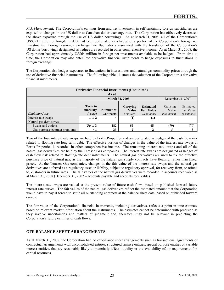*Risk Management:* The Corporation's earnings from and net investment in self-sustaining foreign subsidiaries are exposed to changes in the US dollar-to-Canadian dollar exchange rate. The Corporation has effectively decreased the above exposure through the use of US dollar borrowings. As at March 31, 2008, all of the Corporation's US\$391 million of long-term debt had been designated as a hedge of a portion of the Corporation's foreign net investments. Foreign currency exchange rate fluctuations associated with the translation of the Corporation's US dollar borrowings designated as hedges are recorded in other comprehensive income. As at March 31, 2008, the Corporation had approximately US\$64 million in foreign net investments available to be hedged. From time to time, the Corporation may also enter into derivative financial instruments to hedge exposures to fluctuations in foreign exchange.

The Corporation also hedges exposures to fluctuations in interest rates and natural gas commodity prices through the use of derivative financial instruments. The following table illustrates the valuation of the Corporation's derivative financial instruments.

| <b>Derivative Financial Instruments (Unaudited)</b> |                                            |                               |                                            |                                                         |                                     |                                           |  |
|-----------------------------------------------------|--------------------------------------------|-------------------------------|--------------------------------------------|---------------------------------------------------------|-------------------------------------|-------------------------------------------|--|
|                                                     |                                            | As at                         |                                            |                                                         |                                     |                                           |  |
|                                                     | December 31, 2007<br><b>March 31, 2008</b> |                               |                                            |                                                         |                                     |                                           |  |
| (Liability) Asset                                   | <b>Term to</b><br>maturity<br>(years)      | Number of<br><b>Contracts</b> | Carrying<br><b>Value</b><br>$(S$ millions) | <b>Estimated</b><br><b>Fair Value</b><br>$($$ millions) | Carrying<br>Value<br>$(S$ millions) | Estimated<br>Fair Value<br>$($$ millions) |  |
| Interest rate swaps                                 | $1$ to $2$                                 |                               | (1)                                        |                                                         |                                     |                                           |  |
| Natural gas derivatives:                            |                                            |                               |                                            |                                                         |                                     |                                           |  |
| Swaps and options                                   | Up to $3$                                  | 182                           | 65                                         | 65                                                      | (79)                                | (79)                                      |  |
| Gas purchase contract premiums                      | $<$ 1                                      | 35                            | 2                                          |                                                         |                                     |                                           |  |

Two of the four interest rate swaps are held by Fortis Properties and are designated as hedges of the cash flow risk related to floating-rate long-term debt. The effective portion of changes in the value of the interest rate swaps at Fortis Properties is recorded in other comprehensive income. The remaining interest rate swaps and all of the natural gas derivatives are held by the Terasen Gas companies. The interest rate swaps are designated as hedges of cash flow risk related to floating-rate debt instruments. The natural gas derivatives are used to fix the effective purchase price of natural gas, as the majority of the natural gas supply contracts have floating, rather than fixed, prices. At the Terasen Gas companies, changes in the fair value of the interest rate swaps and the natural gas derivatives are deferred as a regulatory asset or liability, subject to regulatory approval, for recovery from, or refund to, customers in future rates. The fair values of the natural gas derivatives were recorded in accounts receivable as at March 31, 2008 (December 31, 2007 – accounts payable and accounts receivable).

The interest rate swaps are valued at the present value of future cash flows based on published forward future interest rate curves. The fair values of the natural gas derivatives reflect the estimated amount that the Corporation would have to pay if forced to settle all outstanding contracts at the balance sheet date, based on published forward curves.

The fair value of the Corporation's financial instruments, including derivatives, reflects a point-in-time estimate based on relevant market information about the instruments. The estimates cannot be determined with precision as they involve uncertainties and matters of judgment and, therefore, may not be relevant in predicting the Corporation's future earnings or cash flows.

#### **OFF-BALANCE SHEET ARRANGEMENTS**

As at March 31, 2008, the Corporation had no off-balance sheet arrangements such as transactions, agreements or contractual arrangements with unconsolidated entities, structured finance entities, special purpose entities or variable interest entities, that are reasonably likely to materially affect liquidity or the availability of, or requirements for, capital resources.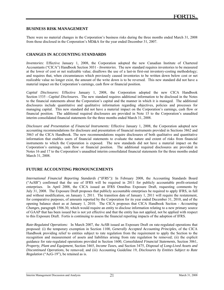#### **BUSINESS RISK MANAGEMENT**

l

There were no material changes in the Corporation's business risks during the three months ended March 31, 2008 from those disclosed in the Corporation's MD&A for the year ended December 31, 2007.

#### **CHANGES IN ACCOUNTING STANDARDS**

*Inventories:* Effective January 1, 2008, the Corporation adopted the new Canadian Institute of Chartered Accountants ("CICA") Handbook Section 3031 - *Inventories*. The new standard requires inventories to be measured at the lower of cost or net realizable value; disallows the use of a last-in first-out inventory-costing methodology; and requires that, when circumstances which previously caused inventories to be written down below cost or net realizable value no longer exist, the amount of the write down is to be reversed. This new standard did not have a material impact on the Corporation's earnings, cash flow or financial position.

*Capital Disclosures:* Effective January 1, 2008, the Corporation adopted the new CICA Handbook Section 1535 - *Capital Disclosures.* The new standard requires additional information to be disclosed in the Notes to the financial statements about the Corporation's capital and the manner in which it is managed. The additional disclosures include quantitative and qualitative information regarding objectives, policies and processes for managing capital. This new standard did not have a material impact on the Corporation's earnings, cash flow or financial position. The additional required disclosures are provided in Note 15 to the Corporation's unaudited interim consolidated financial statements for the three months ended March 31, 2008.

*Disclosure and Presentation of Financial Instruments:* Effective January 1, 2008, the Corporation adopted new accounting recommendations for disclosure and presentation of financial instruments provided in Sections 3862 and 3863 of the CICA Handbook. The new recommendations require disclosures of both qualitative and quantitative information that enables users of financial statements to evaluate the nature and extent of risks from financial instruments to which the Corporation is exposed. The new standards did not have a material impact on the Corporation's earnings, cash flow or financial position. The additional required disclosures are provided in Notes 16 and 17 to the Corporation's unaudited interim consolidated financial statements for the three months ended March 31, 2008.

#### **FUTURE ACCOUNTING PRONOUNCEMENTS**

*International Financial Reporting Standards ("IFRS"):* In February 2008, the Accounting Standards Board ("AcSB") confirmed that the use of IFRS will be required in 2011 for publicly accountable profit-oriented enterprises. In April 2008, the CICA issued an IFRS Omnibus Exposure Draft, requesting comments by July 31, 2008. The Exposure Draft proposes that publicly accountable enterprises be required to apply IFRS, in full and without modification, on January 1, 2011. The transition date of January 1, 2011 will require the restatement, for comparative purposes, of amounts reported by the Corporation for its year ended December 31, 2010, and of the opening balance sheet as at January 1, 2010. The CICA proposes that CICA Handbook Section - *Accounting Changes*, paragraph 1506.30, which would require an entity to disclose information relating to a new primary source of GAAP that has been issued but is not yet effective and that the entity has not applied, not be applied with respect to this Exposure Draft. Fortis is continuing to assess the financial reporting impacts of the adoption of IFRS.

*Rate-Regulated Operations:*In March 2007, the AcSB issued an Exposure Draft on rate-regulated operations that proposed: (i) the temporary exemption in Section 1100, *Generally Accepted Accounting Principles*, of the CICA Handbook providing relief to entities subject to rate regulation from the requirement to apply the Section to the recognition and measurement of assets and liabilities arising from rate regulation be removed; (ii) the explicit guidance for rate-regulated operations provided in Section 1600, *Consolidated Financial Statements*, Section 3061, *Property, Plant and Equipment*, Section 3465, *Income Taxe*s, and Section 3475, *Disposal of Long-Lived Assets and Discontinued Operations*, be removed; and (iii) Accounting Guideline 19, *Disclosures by Entities Subject to Rate Regulation* ("AcG-19"), be retained as is.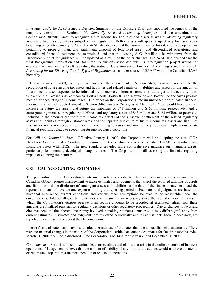In August 2007, the AcSB issued a Decision Summary on the Exposure Draft that supported the removal of the temporary exemption in Section 1100, *Generally Accepted Accounting Principles,* and the amendment to Section 3465, *Income Taxes,* to recognize future income tax liabilities and assets as well as offsetting regulatory assets and liabilities by entities subject to rate regulation. Both changes will apply prospectively for fiscal years beginning on or after January 1, 2009. The AcSB also decided that the current guidance for rate-regulated operations pertaining to property, plant and equipment, disposal of long-lived assets and discontinued operations, and consolidated financial statements be maintained, and that the existing AcG-19 will not be withdrawn from the Handbook but that the guidance will be updated as a result of the other changes. The AcSB also decided that the final Background Information and Basis for Conclusions associated with its rate-regulation project would not express any views of the AcSB regarding the status of US Statement of Financial Accounting Standards No. 71, *Accounting for the Effects of Certain Types of Regulation,* as "another source of GAAP" within the Canadian GAAP hierarchy.

Effective January 1, 2009, the impact on Fortis of the amendment to Section 3465, *Income Taxes*, will be the recognition of future income tax assets and liabilities and related regulatory liabilities and assets for the amount of future income taxes expected to be refunded to, or recovered from, customers in future gas and electricity rates. Currently, the Terasen Gas companies, FortisAlberta, FortisBC and Newfoundland Power use the taxes-payable method of accounting for income taxes. The effect on the Corporation's interim unaudited consolidated financial statements, if it had adopted amended Section 3465, *Income Taxes*, as at March 31, 2008, would have been an increase in future tax assets and future tax liabilities of \$43 million and \$463 million, respectively, and a corresponding increase in regulatory liabilities and regulatory assets of \$43 million and \$463 million, respectively. Included in the amounts are the future income tax effects of the subsequent settlement of the related regulatory assets and liabilities through customer rates, and the separate disclosure of future income tax assets and liabilities that are currently not recognized. Fortis is continuing to assess and monitor any additional implications on its financial reporting related to accounting for rate-regulated operations.

*Goodwill and Intangible Assets:* Effective January 1, 2009, the Corporation will be adopting the new CICA Handbook Section 3064 - *Goodwill and Intangible Assets* which converges Canadian GAAP for goodwill and intangible assets with IFRS. The new standard provides more comprehensive guidance on intangible assets, particularly for internally developed intangible assets. The Corporation is still assessing the financial reporting impact of adopting this standard.

#### **CRITICAL ACCOUNTING ESTIMATES**

l

The preparation of the Corporation's interim unaudited consolidated financial statements in accordance with Canadian GAAP requires management to make estimates and judgments that affect the reported amounts of assets and liabilities and the disclosure of contingent assets and liabilities at the date of the financial statements and the reported amounts of revenue and expenses during the reporting periods. Estimates and judgments are based on historical experience, current conditions and various other assumptions believed to be reasonable under the circumstances. Additionally, certain estimates and judgments are necessary since the regulatory environments in which the Corporation's utilities operate often require amounts to be recorded at estimated values until these amounts are finalized pursuant to regulatory decisions or other regulatory proceedings. Due to changes in facts and circumstances and the inherent uncertainty involved in making estimates, actual results may differ significantly from current estimates. Estimates and judgments are reviewed periodically and, as adjustments become necessary, are reported in earnings in the period they become known.

Interim financial statements may also employ a greater use of estimates than the annual financial statements. There were no material changes in the nature of the Corporation's critical accounting estimates for the three months ended March 31, 2008 from those disclosed in the Corporation's MD&A for the year ended December 31, 2007.

*Contingencies:* Fortis is subject to various legal proceedings and claims that arise in the ordinary course of business operations. Management believes that the amount of liability, if any, from these actions would not have a material effect on the Corporation's financial position or results of operations.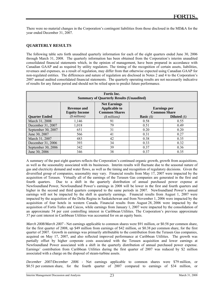There were no material changes in the Corporation's contingent liabilities from those disclosed in the MD&A for the year ended December 31, 2007.

#### **QUARTERLY RESULTS**

l

The following table sets forth unaudited quarterly information for each of the eight quarters ended June 30, 2006 through March 31, 2008. The quarterly information has been obtained from the Corporation's interim unaudited consolidated financial statements which, in the opinion of management, have been prepared in accordance with Canadian GAAP and as required by utility regulators. The timing of the recognition of certain assets, liabilities, revenues and expenses, as a result of regulation, may differ from that otherwise expected using Canadian GAAP for non-regulated entities. The differences and nature of regulation are disclosed in Notes 2 and 4 to the Corporation's 2007 annual audited consolidated financial statements. The quarterly operating results are not necessarily indicative of results for any future period and should not be relied upon to predict future performance.

| <b>Fortis</b> Inc.<br><b>Summary of Quarterly Results (Unaudited)</b> |                                            |                                                                     |                     |                                            |  |
|-----------------------------------------------------------------------|--------------------------------------------|---------------------------------------------------------------------|---------------------|--------------------------------------------|--|
|                                                                       | <b>Revenue and</b><br><b>Equity Income</b> | <b>Net Earnings</b><br><b>Applicable to</b><br><b>Common Shares</b> |                     | <b>Earnings</b> per<br><b>Common Share</b> |  |
| <b>Ouarter Ended</b>                                                  | $(S$ millions)                             | $($$ millions)                                                      | <b>Basic</b> $(\$)$ | <b>Diluted</b> $(s)$                       |  |
| March 31, 2008                                                        | 1.146                                      | 91                                                                  | 0.58                | 0.55                                       |  |
| December 31, 2007                                                     | 1,018                                      | 79                                                                  | 0.51                | 0.49                                       |  |
| September 30, 2007                                                    | 651                                        | 31                                                                  | 0.20                | 0.20                                       |  |
| June 30, 2007                                                         | 566                                        | 41                                                                  | 0.31                | 0.27                                       |  |
| March 31, 2007                                                        | 483                                        | 42                                                                  | 0.38                | 0.35                                       |  |
| December 31, 2006                                                     | 393                                        | 34                                                                  | 0.33                | 0.32                                       |  |
| September 30, 2006                                                    | 342                                        | 39                                                                  | 0.37                | 0.36                                       |  |
| June 30, 2006                                                         | 346                                        | 38                                                                  | 0.37                | 0.35                                       |  |

A summary of the past eight quarters reflects the Corporation's continued organic growth, growth from acquisitions, as well as the seasonality associated with its businesses. Interim results will fluctuate due to the seasonal nature of gas and electricity demand and water flows, as well as the timing and recognition of regulatory decisions. Given the diversified group of companies, seasonality may vary. Financial results from May 17, 2007 were impacted by the acquisition of Terasen. Virtually all of the earnings of the Terasen Gas companies are generated in the first and fourth quarters. Due to a shift in the quarterly distribution of annual purchased power expense at Newfoundland Power, Newfoundland Power's earnings in 2008 will be lower in the first and fourth quarters and higher in the second and third quarters compared to the same periods in 2007. Newfoundland Power's annual earnings will not be impacted by the shift in quarterly earnings. Financial results from August 1, 2007 were impacted by the acquisition of the Delta Regina in Saskatchewan and from November 1, 2006 were impacted by the acquisition of four hotels in western Canada. Financial results from August 28, 2006 were impacted by the acquisition of Fortis Turks and Caicos, while earnings from January 1, 2007 were impacted by the consolidation of an approximate 54 per cent controlling interest in Caribbean Utilities. The Corporation's previous approximate 37 per cent interest in Caribbean Utilities was accounted for on an equity basis.

*March 2008/March 2007 -* Net earnings applicable to common shares were \$91 million, or \$0.58 per common share, for the first quarter of 2008, up \$49 million from earnings of \$42 million, or \$0.38 per common share, for the first quarter of 2007. Growth in earnings was primarily attributable to the contribution from the Terasen Gas companies, acquired on May 17, 2007, and also reflected improved performance at Caribbean Utilities. The growth was partially offset by higher corporate costs associated with the Terasen acquisition and lower earnings at Newfoundland Power associated with a shift in the quarterly distribution of annual purchased power expense. Earnings' contribution from Caribbean Utilities during the first quarter of 2007 was reduced by \$2 million associated with a charge on the disposal of steam-turbine assets.

*December 2007/December 2006 -* Net earnings applicable to common shares were \$79 million, or \$0.51 per common share, for the fourth quarter of 2007 compared to earnings of \$34 million, or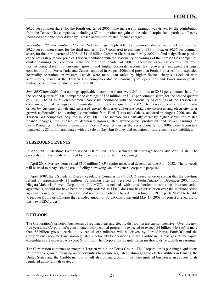\$0.33 per common share, for the fourth quarter of 2006. The increase in earnings was driven by the contribution from the Terasen Gas companies, including a \$7 million after-tax gain on the sale of surplus land, partially offset by increased corporate costs driven by Terasen acquisition-related finance charges.

*September 2007/September 2006 -* Net earnings applicable to common shares were \$31 million, or \$0.20 per common share, for the third quarter of 2007 compared to earnings of \$39 million, or \$0.37 per common share, for the third quarter of 2006. A \$1.15 billion Common Share issue in May 2007, to fund a significant portion of the net cash purchase price of Terasen, combined with the seasonality of earnings of the Terasen Gas companies, diluted earnings per common share for the third quarter of 2007. Increased earnings' contribution from FortisAlberta, driven by customer growth and higher corporate income tax recoveries; increased earnings' contribution from Fortis Turks and Caicos, acquired in August 2006; and growth at Fortis Properties from expanded hospitality operations in western Canada were more than offset by higher finance charges associated with acquisitions, losses at the Terasen Gas companies due to seasonality of operations and lower non-regulated hydroelectric production due to lower rainfall.

*June 2007/June 2006 -* Net earnings applicable to common shares were \$41 million, or \$0.31 per common share, for the second quarter of 2007 compared to earnings of \$38 million, or \$0.37 per common share, for the second quarter of 2006. The \$1.15 billion Common Share issue, combined with the seasonality of earnings of the Terasen Gas companies, diluted earnings per common share for the second quarter of 2007. The increase in overall earnings was driven by customer growth and increased energy deliveries at FortisAlberta; rate increases and electricity sales growth at FortisBC; and earnings' contribution from Fortis Turks and Caicos, acquired in August 2006, and the Terasen Gas companies, acquired in May 2007. The increase was partially offset by higher acquisition-related finance charges, the impact of decreased non-regulated hydroelectric production and lower earnings at Fortis Properties. However, earnings at Fortis Properties during the second quarter of 2006 were favourably impacted by \$3 million associated with the sale of Days Inn Sydney and reduction of future income tax liabilities.

#### **SUBSEQUENT EVENTS**

l

In April 2008, Maritime Electric issued \$60 million 6.05% secured first mortgage bonds, due April 2038. The proceeds from the bonds were used to repay existing short-term borrowings.

In April 2008, FortisAlberta issued \$100 million 5.85% senior unsecured debentures, due April 2038. The proceeds will be used to repay existing credit facility borrowings and for general corporate purposes.

In April 2008, the US Federal Energy Regulatory Commission ("FERC") issued an order stating that the one-time refund of approximately \$3 million (\$2 million after-tax) received by FortisOntario in December 2007 from Niagara Mohawk Power Corporation ("NIMO"), associated with cross-border transmission interconnection agreements, should not have been originally ordered as FERC does not have jurisdiction over the interconnection agreements in question and, therefore, did not have jurisdiction to order the refund. FERC expects NIMO to be able to recover from FortisOntario the refunded amounts. FortisOntario has until May 17, 2008 to request a rehearing of this new FERC order.

#### **OUTLOOK**

The Corporation's principal businesses of regulated gas and electric distribution are capital intensive. Over the next five years, the Corporation's consolidated utility capital program is expected to exceed \$4 billion. Most of its more than \$3 billion gross electric utility capital expenditures will be driven by FortisAlberta, FortisBC and the Corporation's regulated and non-regulated electric utility operations in the Caribbean. Gross gas utility capital expenditures are expected to exceed \$1 billion. The Corporation's capital program should drive growth in earnings.

The Corporation continues to integrate Terasen within the Fortis Group. The Corporation is pursuing acquisitions for profitable growth, focusing on opportunities to acquire regulated natural gas and electric utilities in Canada, the United States and the Caribbean. Fortis will also pursue growth in its non-regulated businesses in support of its regulated utility growth strategy.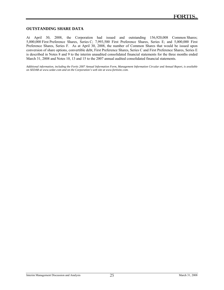#### **OUTSTANDING SHARE DATA**

l

At April 30, 2008, the Corporation had issued and outstanding 156,920,008 Common Shares; 5,000,000 First Preference Shares, Series C; 7,993,500 First Preference Shares, Series E; and 5,000,000 First Preference Shares, Series F. As at April 30, 2008, the number of Common Shares that would be issued upon conversion of share options, convertible debt, First Preference Shares, Series C and First Preference Shares, Series E is described in Notes 8 and 9 to the interim unaudited consolidated financial statements for the three months ended March 31, 2008 and Notes 10, 13 and 15 to the 2007 annual audited consolidated financial statements.

*Additional information, including the Fortis 2007 Annual Information Form, Management Information Circular and Annual Report, is available on SEDAR at www.sedar.com and on the Corporation's web site at www.fortisinc.com.*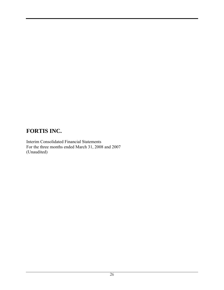Interim Consolidated Financial Statements For the three months ended March 31, 2008 and 2007 (Unaudited)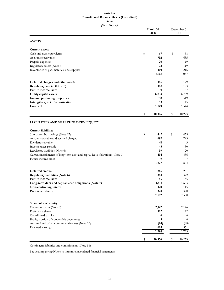#### **Fortis Inc. Consolidated Balance Sheets (Unaudited) As at**

**(in millions)**

|                                                                               |    | March 31<br>2008 |    | December 31<br>2007 |  |
|-------------------------------------------------------------------------------|----|------------------|----|---------------------|--|
| <b>ASSETS</b>                                                                 |    |                  |    |                     |  |
| <b>Current assets</b>                                                         |    |                  |    |                     |  |
| Cash and cash equivalents                                                     | \$ | 67               | \$ | 58                  |  |
| Accounts receivable                                                           |    | 792              |    | 635                 |  |
| Prepaid expenses                                                              |    | 20               |    | 19                  |  |
| Regulatory assets (Note 6)                                                    |    | 72               |    | 119                 |  |
| Inventories of gas, materials and supplies                                    |    | 100              |    | 216                 |  |
|                                                                               |    | 1,051            |    | 1,047               |  |
| Deferred charges and other assets                                             |    | 185              |    | 179                 |  |
| Regulatory assets (Note 6)                                                    |    | 188              |    | 193                 |  |
| Future income taxes                                                           |    | 39               |    | 37                  |  |
| Utility capital assets                                                        |    | 6,833            |    | 6,739               |  |
| Income producing properties                                                   |    | 518              |    | 519                 |  |
| Intangibles, net of amortization                                              |    | 13               |    | 15                  |  |
| Goodwill                                                                      |    | 1,549            |    | 1,544               |  |
|                                                                               | \$ | 10,376           | \$ | 10,273              |  |
| LIABILITIES AND SHAREHOLDERS' EQUITY<br><b>Current liabilities</b>            |    |                  |    |                     |  |
| Short-term borrowings (Note 17)                                               | \$ | 442              | \$ | 475                 |  |
| Accounts payable and accrued charges                                          |    | 697              |    | 793                 |  |
| Dividends payable                                                             |    | 41               |    | 43                  |  |
| Income taxes payable                                                          |    | 45               |    | 30                  |  |
| Regulatory liabilities (Note 6)                                               |    | 99               |    | 20                  |  |
| Current installments of long-term debt and capital lease obligations (Note 7) |    | 494              |    | 436                 |  |
| Future income taxes                                                           |    | 9                |    |                     |  |
|                                                                               |    | 1,827            |    | 1,804               |  |
| Deferred credits                                                              |    | 265              |    | 261                 |  |
| Regulatory liabilities (Note 6)                                               |    | 383              |    | 372                 |  |
| Future income taxes                                                           |    | 56               |    | 55                  |  |
| Long-term debt and capital lease obligations (Note 7)                         |    | 4,611            |    | 4,623               |  |
| Non-controlling interest                                                      |    | 120              |    | 115                 |  |
| Preference shares                                                             |    | 320              |    | 320                 |  |
|                                                                               |    | 7,582            |    | 7,550               |  |
| Shareholders' equity                                                          |    |                  |    |                     |  |
| Common shares (Note 8)                                                        |    | 2,142            |    | 2,126               |  |
| Preference shares                                                             |    | 122              |    | 122                 |  |
| Contributed surplus                                                           |    | 6                |    | 6                   |  |
| Equity portion of convertible debentures                                      |    | 5                |    | 6                   |  |
| Accumulated other comprehensive loss (Note 10)                                |    | (84)             |    | (88)                |  |
| Retained earnings                                                             |    | 603              |    | 551                 |  |
|                                                                               |    | 2,794            |    | 2,723               |  |
|                                                                               | \$ | 10,376           | \$ | 10,273              |  |

Contingent liabilities and commitments (Note 18)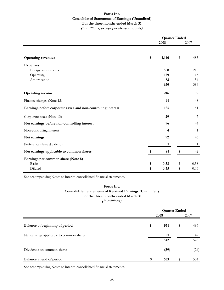#### **Fortis Inc. Consolidated Statements of Earnings (Unaudited) For the three months ended March 31 (in millions, except per share amounts)**

|                                                              | <b>Quarter Ended</b> |                         |    |              |
|--------------------------------------------------------------|----------------------|-------------------------|----|--------------|
|                                                              |                      | 2008                    |    | 2007         |
|                                                              |                      |                         |    |              |
| <b>Operating revenues</b>                                    | \$                   | 1,146                   | \$ | 483          |
| <b>Expenses</b>                                              |                      |                         |    |              |
| Energy supply costs                                          |                      | 668                     |    | 215          |
| Operating                                                    |                      | 179                     |    | 115          |
| Amortization                                                 |                      | 83                      |    | 54           |
|                                                              |                      | 930                     |    | 384          |
| <b>Operating income</b>                                      |                      | 216                     |    | 99           |
| Finance charges (Note 12)                                    |                      | 91                      |    | 48           |
| Earnings before corporate taxes and non-controlling interest |                      | 125                     |    | 51           |
| Corporate taxes (Note 13)                                    |                      | 29                      |    | 7            |
| Net earnings before non-controlling interest                 |                      | 96                      |    | 44           |
| Non-controlling interest                                     |                      | $\overline{\mathbf{4}}$ |    | $\mathbf{1}$ |
| Net earnings                                                 |                      | 92                      |    | 43           |
| Preference share dividends                                   |                      | 1                       |    | $\mathbf{1}$ |
| Net earnings applicable to common shares                     | \$                   | 91                      | \$ | 42           |
| Earnings per common share (Note 8)                           |                      |                         |    |              |
| Basic                                                        | \$                   | 0.58                    | \$ | 0.38         |
| Diluted                                                      | \$                   | 0.55                    | \$ | 0.35         |

See accompanying Notes to interim consolidated financial statements.

#### **Consolidated Statements of Retained Earnings (Unaudited) For the three months ended March 31 (in millions) Fortis Inc.**

|                                          | <b>Quarter Ended</b> |    |           |  |
|------------------------------------------|----------------------|----|-----------|--|
|                                          | 2008                 |    | 2007      |  |
| Balance at beginning of period           | \$<br>551            | \$ | 486       |  |
| Net earnings applicable to common shares | 91<br>642            |    | 42<br>528 |  |
| Dividends on common shares               | (39)                 |    | (24)      |  |
| Balance at end of period                 | \$<br>603            | \$ | 504       |  |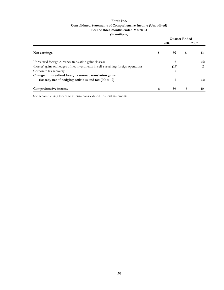#### **Fortis Inc. Consolidated Statements of Comprehensive Income (Unaudited) (in millions) For the three months ended March 31**

|                                                                                   |  |      | <b>Quarter Ended</b> |      |
|-----------------------------------------------------------------------------------|--|------|----------------------|------|
|                                                                                   |  | 2008 |                      | 2007 |
| Net earnings                                                                      |  | 92   |                      | 43   |
| Unrealized foreign currency translation gains (losses)                            |  | 16   |                      | (5)  |
| (Losses) gains on hedges of net investments in self-sustaining foreign operations |  | (14) |                      |      |
| Corporate tax recovery                                                            |  |      |                      |      |
| Change in unrealized foreign currency translation gains                           |  |      |                      |      |
| (losses), net of hedging activities and tax (Note 10)                             |  |      |                      |      |
| Comprehensive income                                                              |  | 96   |                      |      |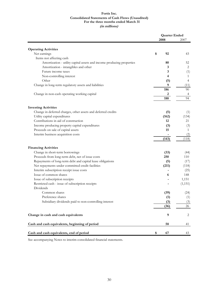#### **(in millions) Fortis Inc. Consolidated Statements of Cash Flows (Unaudited) For the three months ended March 31**

|                                                                                     | <b>Quarter Ended</b> |              |
|-------------------------------------------------------------------------------------|----------------------|--------------|
|                                                                                     | 2008                 | 2007         |
| <b>Operating Activities</b>                                                         |                      |              |
| Net earnings                                                                        | 92<br>\$             | 43           |
| Items not affecting cash                                                            |                      |              |
| Amortization - utility capital assets and income producing properties               | 80                   | 52           |
| Amortization - intangibles and other                                                | 3                    | 2            |
| Future income taxes                                                                 | 3                    | (1)          |
| Non-controlling interest                                                            | 4                    | 1            |
| Other                                                                               | (5)                  | 4            |
| Change in long-term regulatory assets and liabilities                               | 9                    | (11)         |
|                                                                                     | 186                  | 90           |
| Change in non-cash operating working capital                                        | 2                    | 4            |
|                                                                                     | 188                  | 94           |
| <b>Investing Activities</b>                                                         |                      |              |
| Change in deferred charges, other assets and deferred credits                       | (5)                  | (1)          |
| Utility capital expenditures                                                        | (162)                | (134)        |
| Contributions in aid of construction                                                | 12                   | 21           |
| Income producing property capital expenditures                                      | (3)                  | (3)          |
| Proceeds on sale of capital assets                                                  | 15                   | $\mathbf{1}$ |
| Interim business acquisition costs                                                  |                      | (2)          |
|                                                                                     | (143)                | (118)        |
|                                                                                     |                      |              |
| <b>Financing Activities</b>                                                         |                      |              |
| Change in short-term borrowings<br>Proceeds from long-term debt, net of issue costs | (33)<br>250          | (44)<br>110  |
| Repayments of long-term debt and capital lease obligations                          |                      | (17)         |
| Net repayments under committed credit facilities                                    | (5)<br>(211)         | (118)        |
| Interim subscription receipt issue costs                                            |                      | (25)         |
| Issue of common shares                                                              | 6                    | 148          |
| Issue of subscription receipts                                                      |                      | 1,151        |
| Restricted cash - issue of subscription receipts                                    |                      | (1,151)      |
| Dividends                                                                           |                      |              |
| Common shares                                                                       | (39)                 | (24)         |
| Preference shares                                                                   | (1)                  | (1)          |
| Subsidiary dividends paid to non-controlling interest                               | (3)                  | (3)          |
|                                                                                     | (36)                 | 26           |
|                                                                                     |                      |              |
| Change in cash and cash equivalents                                                 | 9                    | 2            |
| Cash and cash equivalents, beginning of period                                      | 58                   | 41           |
| Cash and cash equivalents, end of period                                            | \$<br>67             | 43           |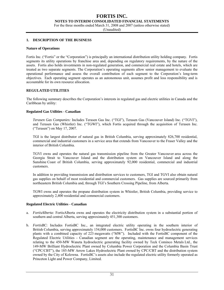**NOTES TO INTERIM CONSOLIDATED FINANCIAL STATEMENTS** 

For the three months ended March 31, 2008 and 2007 (unless otherwise stated)

(Unaudited)

#### **1. DESCRIPTION OF THE BUSINESS**

#### **Nature of Operations**

Fortis Inc. ("Fortis" or the "Corporation") is principally an international distribution utility holding company. Fortis segments its utility operations by franchise area and, depending on regulatory requirements, by the nature of the assets. Fortis also holds investments in non-regulated generation, and commercial real estate and hotels, which are treated as two separate segments. The Corporation's operating segments allow senior management to evaluate the operational performance and assess the overall contribution of each segment to the Corporation's long-term objectives. Each operating segment operates as an autonomous unit, assumes profit and loss responsibility and is accountable for its own resource allocation.

#### **REGULATED UTILITIES**

The following summary describes the Corporation's interests in regulated gas and electric utilities in Canada and the Caribbean by utility:

#### **Regulated Gas Utilities - Canadian**

*Terasen Gas Companies:* Includes Terasen Gas Inc. ("TGI"), Terasen Gas (Vancouver Island) Inc. ("TGVI"), and Terasen Gas (Whistler) Inc. ("TGWI"), which Fortis acquired through the acquisition of Terasen Inc. ("Terasen") on May 17, 2007.

TGI is the largest distributor of natural gas in British Columbia, serving approximately 826,700 residential, commercial and industrial customers in a service area that extends from Vancouver to the Fraser Valley and the interior of British Columbia.

TGVI owns and operates the natural gas transmission pipeline from the Greater Vancouver area across the Georgia Strait to Vancouver Island and the distribution system on Vancouver Island and along the Sunshine Coast of British Columbia, serving approximately 92,000 residential, commercial and industrial customers.

In addition to providing transmission and distribution services to customers, TGI and TGVI also obtain natural gas supplies on behalf of most residential and commercial customers. Gas supplies are sourced primarily from northeastern British Columbia and, through TGI's Southern Crossing Pipeline, from Alberta.

TGWI owns and operates the propane distribution system in Whistler, British Columbia, providing service to approximately 2,400 residential and commercial customers.

#### **Regulated Electric Utilities - Canadian**

- a. *FortisAlberta:* FortisAlberta owns and operates the electricity distribution system in a substantial portion of southern and central Alberta, serving approximately 451,300 customers.
- b. *FortisBC*: Includes FortisBC Inc., an integrated electric utility operating in the southern interior of British Columbia, serving approximately 154,000 customers. FortisBC Inc. owns four hydroelectric generating plants with a combined capacity of 223 megawatts ("MW"). Included with the FortisBC component of the Regulated Electric Utilities - Canadian segment are the operating, maintenance and management services relating to the 450-MW Waneta hydroelectric generating facility owned by Teck Cominco Metals Ltd., the 149-MW Brilliant Hydroelectric Plant owned by Columbia Power Corporation and the Columbia Basin Trust ("CPC/CBT"), the 185-MW Arrow Lakes Hydroelectric Plant owned by CPC/CBT and the distribution system owned by the City of Kelowna. FortisBC's assets also include the regulated electric utility formerly operated as Princeton Light and Power Company, Limited.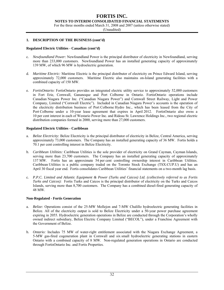#### **FORTIS INC. NOTES TO INTERIM CONSOLIDATED FINANCIAL STATEMENTS**

For the three months ended March 31, 2008 and 2007 (unless otherwise stated)

(Unaudited)

#### **1. DESCRIPTION OF THE BUSINESS (cont'd)**

#### **Regulated Electric Utilities - Canadian (cont'd)**

- c. *Newfoundland Power:* Newfoundland Power is the principal distributor of electricity in Newfoundland, serving more than 233,000 customers. Newfoundland Power has an installed generating capacity of approximately 139 MW, of which 96 MW is hydroelectric generation.
- d. *Maritime Electric:* Maritime Electric is the principal distributor of electricity on Prince Edward Island, serving approximately 72,000 customers. Maritime Electric also maintains on-Island generating facilities with a combined capacity of 150 MW.
- e. *FortisOntario:* FortisOntario provides an integrated electric utility service to approximately 52,000 customers in Fort Erie, Cornwall, Gananoque and Port Colborne in Ontario. FortisOntario operations include Canadian Niagara Power Inc. ("Canadian Niagara Power") and Cornwall Street Railway, Light and Power Company, Limited ("Cornwall Electric"). Included in Canadian Niagara Power's accounts is the operation of the electricity distribution business of Port Colborne Hydro Inc., which has been leased from the City of Port Colborne under a 10-year lease agreement that expires in April 2012. FortisOntario also owns a 10 per cent interest in each of Westario Power Inc. and Rideau St. Lawrence Holdings Inc., two regional electric distribution companies formed in 2000, serving more than 27,000 customers.

#### **Regulated Electric Utilities - Caribbean**

- a. *Belize Electricity:* Belize Electricity is the principal distributor of electricity in Belize, Central America, serving approximately 73,000 customers. The Company has an installed generating capacity of 36 MW. Fortis holds a 70.1 per cent controlling interest in Belize Electricity.
- b. *Caribbean Utilities:* Caribbean Utilities is the sole provider of electricity on Grand Cayman, Cayman Islands, serving more than 23,700 customers. The Company has an installed generating capacity of approximately 137 MW. Fortis has an approximate 54 per cent controlling ownership interest in Caribbean Utilities. Caribbean Utilities is a public company traded on the Toronto Stock Exchange (TSX:CUP.U) and has an April 30 fiscal year end. Fortis consolidates Caribbean Utilities' financial statements on a two-month lag basis.
- c. *P.P.C. Limited and Atlantic Equipment & Power (Turks and Caicos) Ltd. (collectively referred to as Fortis Turks and Caicos):* Fortis Turks and Caicos is the principal distributor of electricity on the Turks and Caicos Islands, serving more than 8,700 customers. The Company has a combined diesel-fired generating capacity of 48 MW.

#### **Non-Regulated - Fortis Generation**

- a. *Belize:* Operations consist of the 25-MW Mollejon and 7-MW Chalillo hydroelectric generating facilities in Belize. All of the electricity output is sold to Belize Electricity under a 50-year power purchase agreement expiring in 2055. Hydroelectric generation operations in Belize are conducted through the Corporation's wholly owned indirect subsidiary, Belize Electric Company Limited ("BECOL"), under a Franchise Agreement with the Government of Belize.
- b*. Ontario:* Includes 75 MW of water-right entitlement associated with the Niagara Exchange Agreement, a 5-MW gas-fired cogeneration plant in Cornwall and six small hydroelectric generating stations in eastern Ontario with a combined capacity of 8 MW. Non-regulated generation operations in Ontario are conducted through FortisOntario Inc. and Fortis Properties.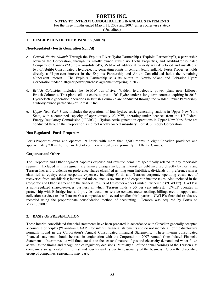#### **FORTIS INC. NOTES TO INTERIM CONSOLIDATED FINANCIAL STATEMENTS**

For the three months ended March 31, 2008 and 2007 (unless otherwise stated)

(Unaudited)

#### **1. DESCRIPTION OF THE BUSINESS (cont'd)**

#### **Non-Regulated - Fortis Generation (cont'd)**

- c. *Central Newfoundland:* Through the Exploits River Hydro Partnership ("Exploits Partnership"), a partnership between the Corporation, through its wholly owned subsidiary Fortis Properties, and Abitibi-Consolidated Company of Canada ("Abitibi-Consolidated"), 36 MW of additional capacity was developed and installed at two of Abitibi-Consolidated's hydroelectric generating plants in central Newfoundland. Fortis Properties holds directly a 51 per cent interest in the Exploits Partnership and Abitibi-Consolidated holds the remaining 49 per cent interest. The Exploits Partnership sells its output to Newfoundland and Labrador Hydro Corporation under a 30-year power purchase agreement expiring in 2033.
- d. *British Columbia:* Includes the 16-MW run-of-river Walden hydroelectric power plant near Lillooet, British Columbia. This plant sells its entire output to BC Hydro under a long-term contract expiring in 2013. Hydroelectric generation operations in British Columbia are conducted through the Walden Power Partnership, a wholly owned partnership of FortisBC Inc.
- e. *Upper New York State:* Includes the operations of four hydroelectric generating stations in Upper New York State, with a combined capacity of approximately 23 MW, operating under licences from the US Federal Energy Regulatory Commission ("FERC"). Hydroelectric generation operations in Upper New York State are conducted through the Corporation's indirect wholly owned subsidiary, FortisUS Energy Corporation.

#### **Non-Regulated - Fortis Properties**

Fortis Properties owns and operates 19 hotels with more than 3,500 rooms in eight Canadian provinces and approximately 2.8 million square feet of commercial real estate primarily in Atlantic Canada.

#### **Corporate and Other**

The Corporate and Other segment captures expense and revenue items not specifically related to any reportable segment. Included in this segment are finance charges including interest on debt incurred directly by Fortis and Terasen Inc. and dividends on preference shares classified as long-term liabilities; dividends on preference shares classified as equity; other corporate expenses, including Fortis and Terasen corporate operating costs, net of recoveries from subsidiaries; interest and miscellaneous revenues; and corporate income taxes. Also included in the Corporate and Other segment are the financial results of CustomerWorks Limited Partnership ("CWLP"). CWLP is a non-regulated shared-services business in which Terasen holds a 30 per cent interest. CWLP operates in partnership with Enbridge Inc. and provides customer service contact, meter reading, billing, credit, support and collection services to the Terasen Gas companies and several smaller third parties. CWLP's financial results are recorded using the proportionate consolidation method of accounting. Terasen was acquired by Fortis on May 17, 2007.

#### **2. BASIS OF PRESENTATION**

These interim consolidated financial statements have been prepared in accordance with Canadian generally accepted accounting principles ("Canadian GAAP") for interim financial statements and do not include all of the disclosures normally found in the Corporation's Annual Consolidated Financial Statements. These interim consolidated financial statements should be read in conjunction with the Corporation's 2007 Annual Consolidated Financial Statements. Interim results will fluctuate due to the seasonal nature of gas and electricity demand and water flows as well as the timing and recognition of regulatory decisions. Virtually all of the annual earnings of the Terasen Gas companies are generated in the first and fourth quarters due to seasonality of the business. Given the diversified group of companies, seasonality may vary.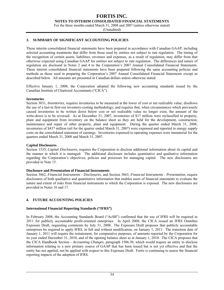**NOTES TO INTERIM CONSOLIDATED FINANCIAL STATEMENTS** 

For the three months ended March 31, 2008 and 2007 (unless otherwise stated)

(Unaudited)

#### **3. SUMMARY OF SIGNIFICANT ACCOUNTING POLICIES**

These interim consolidated financial statements have been prepared in accordance with Canadian GAAP, including selected accounting treatments that differ from those used by entities not subject to rate regulation. The timing of the recognition of certain assets, liabilities, revenues and expenses, as a result of regulation, may differ from that otherwise expected using Canadian GAAP for entities not subject to rate regulation. The differences and nature of regulation are disclosed in Notes 2 and 4 to the Corporation's 2007 Annual Consolidated Financial Statements. These interim consolidated financial statements have been prepared following the same accounting policies and methods as those used in preparing the Corporation's 2007 Annual Consolidated Financial Statements except as described below. All amounts are presented in Canadian dollars unless otherwise stated.

Effective January 1, 2008, the Corporation adopted the following new accounting standards issued by the Canadian Institute of Chartered Accountants ("CICA").

#### **Inventories**

Section 3031, *Inventories*, requires inventories to be measured at the lower of cost or net realizable value; disallows the use of a last-in first-out inventory-costing methodology; and requires that, when circumstances which previously caused inventories to be written down below cost or net realizable value no longer exist, the amount of the write-down is to be reversed. As at December 31, 2007, inventories of \$17 million were reclassified to property, plant and equipment from inventory on the balance sheet as they are held for the development, construction, maintenance and repair of other property, plant and equipment. During the quarter ended March 31, 2008, inventories of \$437 million (nil for the quarter ended March 31, 2007) were expensed and reported in energy supply costs on the consolidated statement of earnings. Inventories expensed to operating expenses were immaterial for the quarters ended March 31, 2008 and March 31, 2007.

#### **Capital Disclosures**

Section 1535, *Capital Disclosures*, requires the Corporation to disclose additional information about its capital and the manner in which it is managed. The additional disclosure includes quantitative and qualitative information regarding the Corporation's objectives, policies and processes for managing capital. The new disclosures are provided in Note 15.

#### **Disclosure and Presentation of Financial Instruments**

Section 3862, *Financial Instruments - Disclosures*, and Section 3863, *Financial Instruments - Presentation*, require disclosures of both qualitative and quantitative information that enables users of financial statements to evaluate the nature and extent of risks from financial instruments to which the Corporation is exposed. The new disclosures are provided in Notes 16 and 17.

#### **4. FUTURE ACCOUNTING POLICIES**

#### **International Financial Reporting Standards ("IFRS")**

In February 2008, the Accounting Standards Board ("AcSB") confirmed that the use of IFRS will be required in 2011 for publicly accountable profit-oriented enterprises. In April 2008, the CICA issued an IFRS Omnibus Exposure Draft, requesting comments by July 31, 2008. The Exposure Draft proposes that publicly accountable enterprises be required to apply IFRS, in full and without modification, on January 1, 2011. The transition date of January 1, 2011 will require the restatement, for comparative purposes, of amounts reported by the Corporation for its year ended December 31, 2010, and of the opening balance sheet as at January 1, 2010. The CICA proposes that the CICA Handbook Section - *Accounting Changes*, paragraph 1506.30, which would require an entity to disclose information relating to a new primary source of GAAP that has been issued but is not yet effective and that the entity has not applied, not be applied with respect to this Exposure Draft. Fortis is continuing to assess the financial reporting impacts of the adoption of IFRS.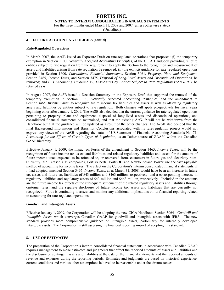**NOTES TO INTERIM CONSOLIDATED FINANCIAL STATEMENTS** 

For the three months ended March 31, 2008 and 2007 (unless otherwise stated)

(Unaudited)

#### **4. FUTURE ACCOUNTING POLICIES (cont'd)**

#### **Rate-Regulated Operations**

In March 2007, the AcSB issued an Exposure Draft on rate-regulated operations that proposed: (i) the temporary exemption in Section 1100, *Generally Accepted Accounting Principles*, of the CICA Handbook providing relief to entities subject to rate regulation from the requirement to apply the Section to the recognition and measurement of assets and liabilities arising from rate regulation be removed; (ii) the explicit guidance for rate-regulated operations provided in Section 1600, *Consolidated Financial Statements*, Section 3061, *Property, Plant and Equipment*, Section 3465, *Income Taxe*s, and Section 3475, *Disposal of Long-Lived Assets and Discontinued Operations*, be removed; and (iii) Accounting Guideline 19, *Disclosures by Entities Subject to Rate Regulation* ("AcG-19"), be retained as is.

In August 2007, the AcSB issued a Decision Summary on the Exposure Draft that supported the removal of the temporary exemption in Section 1100, *Generally Accepted Accounting Principles,* and the amendment to Section 3465, *Income Taxes,* to recognize future income tax liabilities and assets as well as offsetting regulatory assets and liabilities by entities subject to rate regulation. Both changes will apply prospectively for fiscal years beginning on or after January 1, 2009. The AcSB also decided that the current guidance for rate-regulated operations pertaining to property, plant and equipment, disposal of long-lived assets and discontinued operations, and consolidated financial statements be maintained, and that the existing AcG-19 will not be withdrawn from the Handbook but that the guidance will be updated as a result of the other changes. The AcSB also decided that the final Background Information and Basis for Conclusions associated with its rate-regulation project would not express any views of the AcSB regarding the status of US Statement of Financial Accounting Standards No. 71, *Accounting for the Effects of Certain Types of Regulation,* as an "other source of GAAP" within the Canadian GAAP hierarchy.

Effective January 1, 2009, the impact on Fortis of the amendment to Section 3465, *Income Taxes*, will be the recognition of future income tax assets and liabilities and related regulatory liabilities and assets for the amount of future income taxes expected to be refunded to, or recovered from, customers in future gas and electricity rates. Currently, the Terasen Gas companies, FortisAlberta, FortisBC and Newfoundland Power use the taxes-payable method of accounting for income taxes. The effect on the Corporation's interim consolidated financial statements, if it had adopted amended Section 3465, *Income Taxes*, as at March 31, 2008, would have been an increase in future tax assets and future tax liabilities of \$43 million and \$463 million, respectively, and a corresponding increase in regulatory liabilities and regulatory assets of \$43 million and \$463 million, respectively. Included in the amounts are the future income tax effects of the subsequent settlement of the related regulatory assets and liabilities through customer rates, and the separate disclosure of future income tax assets and liabilities that are currently not recognized. Fortis is continuing to assess and monitor any additional implications on its financial reporting related to accounting for rate-regulated operations.

#### **Goodwill and Intangible Assets**

Effective January 1, 2009, the Corporation will be adopting the new CICA Handbook Section 3064 - *Goodwill and Intangible Assets* which converges Canadian GAAP for goodwill and intangible assets with IFRS. The new standard provides more comprehensive guidance on intangible assets, particularly for internally developed intangible assets. The Corporation is still assessing the financial reporting impact of adopting this standard.

#### **5. USE OF ESTIMATES**

The preparation of the Corporation's interim consolidated financial statements in accordance with Canadian GAAP requires management to make estimates and judgments that affect the reported amounts of assets and liabilities and the disclosure of contingent assets and liabilities at the date of the financial statements and the reported amounts of revenue and expenses during the reporting periods. Estimates and judgments are based on historical experience, current conditions and various other assumptions believed to be reasonable under the circumstances.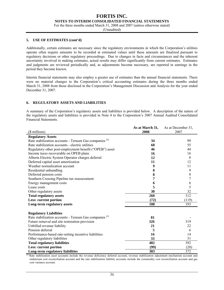**NOTES TO INTERIM CONSOLIDATED FINANCIAL STATEMENTS** 

For the three months ended March 31, 2008 and 2007 (unless otherwise stated)

(Unaudited)

#### **5. USE OF ESTIMATES (cont'd)**

Additionally, certain estimates are necessary since the regulatory environments in which the Corporation's utilities operate often require amounts to be recorded at estimated values until these amounts are finalized pursuant to regulatory decisions or other regulatory proceedings. Due to changes in facts and circumstances and the inherent uncertainty involved in making estimates, actual results may differ significantly from current estimates. Estimates and judgments are reviewed periodically and, as adjustments become necessary, are reported in earnings in the period they become known.

Interim financial statements may also employ a greater use of estimates than the annual financial statements. There were no material changes to the Corporation's critical accounting estimates during the three months ended March 31, 2008 from those disclosed in the Corporation's Management Discussion and Analysis for the year ended December 31, 2007.

#### **6. REGULATORY ASSETS AND LIABILITIES**

A summary of the Corporation's regulatory assets and liabilities is provided below. A description of the nature of the regulatory assets and liabilities is provided in Note 4 to the Corporation's 2007 Annual Audited Consolidated Financial Statements.

|                                                                    | As at March 31, | As at December 31, |
|--------------------------------------------------------------------|-----------------|--------------------|
| $($$ millions $)$                                                  | 2008            | 2007               |
| <b>Regulatory Assets</b>                                           |                 |                    |
| Rate stabilization accounts - Terasen Gas companies <sup>(1)</sup> | 34              | 99                 |
| Rate stabilization accounts - electric utilities                   | 68              | 55                 |
| Regulatory other post-employment benefit ("OPEB") asset            | 46              | 44                 |
| Income taxes recoverable on OPEB plans                             | 16              | 16                 |
| Alberta Electric System Operator charges deferral                  | 12              | 8                  |
| Deferred capital asset amortization                                | 11              | 12                 |
| Weather normalization account                                      | 9               | 11                 |
| Residential unbundling                                             | 8               | 9                  |
| Deferred pension costs                                             | 8               | 8                  |
| Southern Crossing Pipeline tax reassessment                        | 7               |                    |
| Energy management costs                                            | 6               | 6                  |
| Lease costs                                                        | 5               | 5                  |
| Other regulatory assets                                            | 30              | 32                 |
| <b>Total regulatory assets</b>                                     | 260             | 312                |
| Less: current portion                                              | (72)            | (119)              |
| Long-term regulatory assets                                        | 188             | 193                |
| <b>Regulatory Liabilities</b>                                      |                 |                    |
| Rate stabilization accounts - Terasen Gas companies <sup>(1)</sup> | 81              |                    |
| Future removal and site restoration provision                      | 326             | 319                |
| Unbilled revenue liability                                         | 21              | 22                 |
| Pension deferral                                                   | 5               | 6                  |
| Performance-based rate-setting incentive liabilities               | 16              | 14                 |
| Other regulatory liabilities                                       | 33              | 31                 |
| <b>Total regulatory liabilities</b>                                | 482             | 392                |
| <b>Less: current portion</b>                                       | (99)            | (20)               |
| Long-term regulatory liabilities                                   | 383             | 372                |

<sup>(1)</sup> Rate stabilization asset accounts include the revenue deficiency deferral account, revenue stabilization adjustment mechanism account and midstream cost reconciliation account and the rate stabilization liability accounts include the commodity cost reconciliation account and gas cost variance account.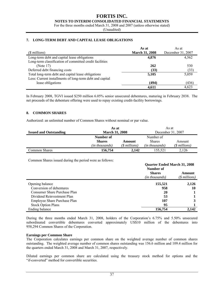#### **FORTIS INC. NOTES TO INTERIM CONSOLIDATED FINANCIAL STATEMENTS**

For the three months ended March 31, 2008 and 2007 (unless otherwise stated)

(Unaudited)

#### **7. LONG-TERM DEBT AND CAPITAL LEASE OBLIGATIONS**

|                                                          | As at                 | As at             |
|----------------------------------------------------------|-----------------------|-------------------|
| ( <i>§ millions</i> )                                    | <b>March 31, 2008</b> | December 31, 2007 |
| Long-term debt and capital lease obligations             | 4,876                 | 4,562             |
| Long-term classification of committed credit facilities  |                       |                   |
| (Note 17)                                                | 262                   | 530               |
| Deferred debt financing costs                            | (33)                  | (33)              |
| Total long-term debt and capital lease obligations       | 5,105                 | 5,059             |
| Less: Current installments of long-term debt and capital |                       |                   |
| lease obligations                                        | (494)                 | (436)             |
|                                                          | 4,611                 | 4,623             |

In February 2008, TGVI issued \$250 million 6.05% senior unsecured debentures, maturing in February 2038. The net proceeds of the debenture offering were used to repay existing credit-facility borrowings.

#### **8. COMMON SHARES**

Authorized: an unlimited number of Common Shares without nominal or par value.

|                               | As at                  |                   | As at          |                |  |
|-------------------------------|------------------------|-------------------|----------------|----------------|--|
| <b>Issued and Outstanding</b> | <b>March 31, 2008</b>  | December 31, 2007 |                |                |  |
|                               | Number of<br>Number of |                   |                |                |  |
|                               | <b>Shares</b>          | Amount            | <b>Shares</b>  | Amount         |  |
|                               | (in thousands)         | (\$ millions)     | (in thousands) | $(S$ millions) |  |
| Common Shares                 | 156,754                | 2.142             | 155.521        | 2.126          |  |

Common Shares issued during the period were as follows:

|                              | <b>Quarter Ended March 31, 2008</b><br>Number of |                         |  |
|------------------------------|--------------------------------------------------|-------------------------|--|
|                              | <b>Shares</b><br>(in thousands)                  | Amount<br>(\$ millions) |  |
| Opening balance              | 155,521                                          | 2,126                   |  |
| Conversion of debentures     | 958                                              | 10                      |  |
| Consumer Share Purchase Plan | 20                                               |                         |  |
| Dividend Reinvestment Plan   | 53                                               |                         |  |
| Employee Share Purchase Plan | 107                                              |                         |  |
| <b>Stock Option Plans</b>    | 95                                               |                         |  |
| Ending balance               | 156,754                                          | 2,142                   |  |

During the three months ended March 31, 2008, holders of the Corporation's 6.75% and 5.50% unsecured subordinated convertible debentures converted approximately US\$10 million of the debentures into 958,294 Common Shares of the Corporation.

#### **Earnings per Common Share**

The Corporation calculates earnings per common share on the weighted average number of common shares outstanding. The weighted average number of common shares outstanding was 156.6 million and 109.4 million for the quarters ended March 31, 2008 and March 31, 2007, respectively.

Diluted earnings per common share are calculated using the treasury stock method for options and the "if-converted" method for convertible securities.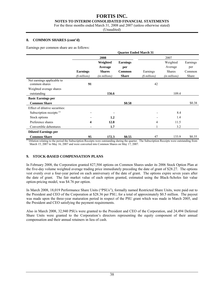#### **NOTES TO INTERIM CONSOLIDATED FINANCIAL STATEMENTS**

For the three months ended March 31, 2008 and 2007 (unless otherwise stated)

(Unaudited)

#### **8. COMMON SHARES (cont'd)**

Earnings per common share are as follows:

|                                             | <b>Quarter Ended March 31</b> |                     |                        |                       |                     |                 |  |
|---------------------------------------------|-------------------------------|---------------------|------------------------|-----------------------|---------------------|-----------------|--|
|                                             |                               | 2008                |                        |                       | 2007                |                 |  |
|                                             |                               | Weighted<br>Average | <b>Earnings</b><br>per |                       | Weighted<br>Average | Earnings<br>per |  |
|                                             | <b>Earnings</b>               | <b>Shares</b>       | <b>Common</b>          | Earnings              | <b>Shares</b>       | Common          |  |
|                                             | $($$ millions)                | (in millions)       | <b>Share</b>           | ( <i>§ millions</i> ) | (in millions)       | Share           |  |
| Net earnings applicable to<br>common shares | 91                            |                     |                        | 42                    |                     |                 |  |
| Weighted average shares                     |                               |                     |                        |                       |                     |                 |  |
| outstanding                                 |                               | 156.6               |                        |                       | 109.4               |                 |  |
| <b>Basic Earnings per</b>                   |                               |                     |                        |                       |                     |                 |  |
| <b>Common Share</b>                         |                               |                     | \$0.58                 |                       |                     | \$0.38          |  |
| Effect of dilutive securities:              |                               |                     |                        |                       |                     |                 |  |
| Subscription receipts <sup>(1)</sup>        |                               |                     |                        | -                     | 8.4                 |                 |  |
| Stock options                               |                               | 1.2                 |                        |                       | 1.4                 |                 |  |
| Preference shares                           | 4                             | 12.8                |                        | 4                     | 11.5                |                 |  |
| Convertible debentures                      |                               | 1.7                 |                        |                       | 3.2                 |                 |  |
| <b>Diluted Earnings per</b>                 |                               |                     |                        |                       |                     |                 |  |
| <b>Common Share</b><br>$\theta$             | 95                            | 172.3               | \$0.55                 | 47                    | 133.9               | \$0.35          |  |

*(1)* Dilution relating to the period the Subscription Receipts were outstanding during the quarter. The Subscription Receipts were outstanding from March 15, 2007 to May 16, 2007 and were converted into Common Shares on May 17, 2007.

#### **9. STOCK-BASED COMPENSATION PLANS**

In February 2008, the Corporation granted 827,504 options on Common Shares under its 2006 Stock Option Plan at the five-day volume weighted average trading price immediately preceding the date of grant of \$28.27. The options vest evenly over a four-year period on each anniversary of the date of grant. The options expire seven years after the date of grant. The fair market value of each option granted, estimated using the Black-Scholes fair value option-pricing model, was \$4.76 per option.

In March 2008, 18,019 Performance Share Units ("PSUs"), formally named Restricted Share Units, were paid out to the President and CEO of the Corporation at \$28.36 per PSU, for a total of approximately \$0.5 million. The payout was made upon the three-year maturation period in respect of the PSU grant which was made in March 2005, and the President and CEO satisfying the payment requirements.

Also in March 2008, 32,940 PSUs were granted to the President and CEO of the Corporation, and 24,494 Deferred Share Units were granted to the Corporation's directors representing the equity component of their annual compensation and their annual retainers in lieu of cash.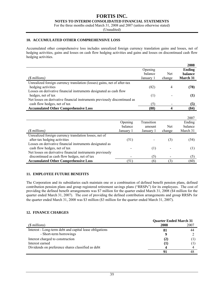**NOTES TO INTERIM CONSOLIDATED FINANCIAL STATEMENTS** 

For the three months ended March 31, 2008 and 2007 (unless otherwise stated)

(Unaudited)

#### **10. ACCUMULATED OTHER COMPREHENSIVE LOSS**

Accumulated other comprehensive loss includes unrealized foreign currency translation gains and losses, net of hedging activities, gains and losses on cash flow hedging activities and gains and losses on discontinued cash flow hedging activities.

|                                                                           |           |            | 2008            |
|---------------------------------------------------------------------------|-----------|------------|-----------------|
|                                                                           | Opening   |            | Ending          |
|                                                                           | balance   | <b>Net</b> | <b>balance</b>  |
| $(S$ millions)                                                            | January 1 | change     | <b>March 31</b> |
| Unrealized foreign currency translation (losses) gains, net of after-tax  |           |            |                 |
| hedging activities                                                        | (82)      | 4          | (78)            |
| Losses on derivative financial instruments designated as cash flow        |           |            |                 |
| hedges, net of tax                                                        | (1)       |            | $\bf(1)$        |
| Net losses on derivative financial instruments previously discontinued as |           |            |                 |
| cash flow hedges, net of tax                                              | (5)       |            | (5)             |
| <b>Accumulated Other Comprehensive Loss</b>                               | (88)      |            | (84)            |
|                                                                           |           |            |                 |

|                                                           |           |            |            | 2007     |
|-----------------------------------------------------------|-----------|------------|------------|----------|
|                                                           | Opening   | Transition |            | Ending   |
|                                                           | balance   | amount     | <b>Net</b> | balance  |
| (\$ millions)                                             | January 1 | January 1  | change     | March 31 |
| Unrealized foreign currency translation losses, net of    |           |            |            |          |
| after-tax hedging activities                              | (51)      |            | (3)        | (54)     |
| Losses on derivative financial instruments designated as  |           |            |            |          |
| cash flow hedges, net of tax                              |           | (1)        |            | ( F      |
| Net losses on derivative financial instruments previously |           |            |            |          |
| discontinued as cash flow hedges, net of tax              |           | (5)        |            | (5)      |
| <b>Accumulated Other Comprehensive Loss</b>               | (51       | (6)        |            | (60)     |

#### **11. EMPLOYEE FUTURE BENEFITS**

The Corporation and its subsidiaries each maintain one or a combination of defined benefit pension plans, defined contribution pension plans and group registered retirement savings plans ("RRSPs") for its employees. The cost of providing the defined benefit arrangements was \$7 million for the quarter ended March 31, 2008 (\$4 million for the quarter ended March 31, 2007). The cost of providing the defined contribution arrangements and group RRSPs for the quarter ended March 31, 2008 was \$3 million (\$3 million for the quarter ended March 31, 2007).

#### **12. FINANCE CHARGES**

|                                                         | <b>Quarter Ended March 31</b> |      |  |  |
|---------------------------------------------------------|-------------------------------|------|--|--|
| (\$ millions)                                           | 2008                          | 2007 |  |  |
| Interest - Long-term debt and capital lease obligations | -81                           | 44   |  |  |
| - Short-term borrowings                                 |                               |      |  |  |
| Interest charged to construction                        | (2)                           |      |  |  |
| Interest earned                                         | I.                            |      |  |  |
| Dividends on preference shares classified as debt       |                               |      |  |  |
|                                                         |                               |      |  |  |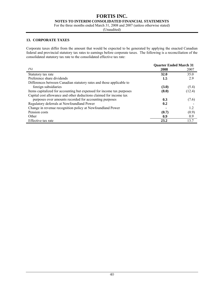**NOTES TO INTERIM CONSOLIDATED FINANCIAL STATEMENTS** 

For the three months ended March 31, 2008 and 2007 (unless otherwise stated)

(Unaudited)

#### **13. CORPORATE TAXES**

Corporate taxes differ from the amount that would be expected to be generated by applying the enacted Canadian federal and provincial statutory tax rates to earnings before corporate taxes. The following is a reconciliation of the consolidated statutory tax rate to the consolidated effective tax rate:

|                                                                       | <b>Quarter Ended March 31</b> |        |
|-----------------------------------------------------------------------|-------------------------------|--------|
| (%)                                                                   | 2008                          | 2007   |
| Statutory tax rate                                                    | <b>32.0</b>                   | 35.0   |
| Preference share dividends                                            | 1.5                           | 2.9    |
| Differences between Canadian statutory rates and those applicable to  |                               |        |
| foreign subsidiaries                                                  | (3.0)                         | (5.4)  |
| Items capitalized for accounting but expensed for income tax purposes | (8.0)                         | (12.4) |
| Capital cost allowance and other deductions claimed for income tax    |                               |        |
| purposes over amounts recorded for accounting purposes                | 0.3                           | (7.6)  |
| Regulatory deferrals at Newfoundland Power                            | 0.2                           |        |
| Change in revenue recognition policy at Newfoundland Power            |                               | 1.2    |
| Pension costs                                                         | (0.7)                         | (0.9)  |
| Other                                                                 | 0.9                           | 0.9    |
| Effective tax rate                                                    | 23.2                          | 13.7   |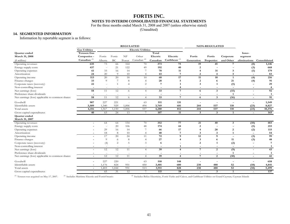### **FORTIS INC. NOTES TO INTERIM CONSOLIDATED FINANCIAL STATEMENTS**

For the three months ended March 31, 2008 and 2007 (unless otherwise stated)

(Unaudited)

#### **14. SEGMENTED INFORMATION**

Information by reportable segment is as follows:

| <b>Gas Utilities</b><br><b>Electric Utilities</b><br><b>Terasen Gas</b><br>Total<br>Quarter ended<br>Inter-<br>Electric<br>March 31, 2008<br>NF<br>Electric<br>Companies -<br>Fortis<br>Fortis<br>Other<br>Fortis<br>Fortis<br>Corporate<br>segment<br>Canadian <sup>(2)</sup><br>Caribbean $(3)$<br>Canadian $(1)$<br>Canadian<br>Alberta<br>BC<br>Generation<br>and Other<br>(§ millions)<br>Power<br>Properties<br>eliminations<br>Consolidated<br>635<br>75<br>73<br>70<br>373<br>19<br>45<br>66<br>164<br>$\overline{7}$<br>(8)<br>1,146<br>Operating revenues<br>192<br>40<br>437<br>21<br>122<br>49<br>668<br>$\overline{2}$<br>(3)<br>Energy supply costs<br>$\overline{\phantom{a}}$<br>61<br>33<br>70<br>11<br>31<br>179<br>Operating expenses<br>16<br>14<br>3<br>(1)<br>Amortization<br>20<br>24<br>$\Omega$<br>10<br>43<br>$\overline{2}$<br>3<br>83<br>7<br>$\overline{4}$<br>$\overline{4}$<br>$\overline{\phantom{a}}$<br>113<br>20<br>20<br>68<br>17<br>11<br>10<br>216<br>18<br>10<br>(4)<br>Operating income<br>$\mathbf{1}$<br>$\overline{9}$<br>28<br>$\mathbf{2}$<br>Finance charges<br>33<br>21<br>91<br>8<br>(4)<br>$\overline{4}$<br>6<br>22<br>7<br>29<br>Corporate taxes (recovery)<br>$\overline{2}$<br>$\overline{\mathbf{3}}$<br>(5)<br>$\boldsymbol{\varDelta}$<br>Non-controlling interest<br>$\overline{4}$<br>4<br>$\overline{\phantom{a}}$<br>$\overline{\phantom{a}}$<br>$\overline{\phantom{a}}$<br>$\overline{\phantom{a}}$<br>$\blacksquare$<br>ч.<br>$\overline{\phantom{a}}$<br>$\overline{\phantom{a}}$<br>$\overline{\phantom{a}}$<br>$\sim$<br>33<br>58<br>$\mathbf{3}$<br>92<br>11<br>12<br>$\overline{7}$<br>(15)<br>Net earnings (loss)<br>6<br>6<br>$\overline{4}$<br>$\overline{\phantom{a}}$<br>Preference share dividends<br>$\mathbf{1}$<br>$\mathbf{1}$<br>$\overline{a}$<br>$\overline{\phantom{a}}$<br>$\qquad \qquad \blacksquare$<br>۰<br>$\overline{\phantom{a}}$<br>33<br>$\mathbf{3}$<br>91<br>58<br>11<br>12<br>6<br>$7\phantom{.0}$<br>6<br>(16)<br>Net earnings (loss) applicable to common shares<br>$\overline{4}$<br>$\sim$<br>Goodwill<br>907<br>227<br>221<br>511<br>131<br>1,549<br>63<br>Identifiable assets<br>3,509<br>929<br>494<br>3,769<br>681<br>537<br>110<br>(23)<br>8,827<br>1,340<br>1,006<br>244<br>812<br>557<br>4,280<br>537<br>110<br>10,376<br>4,416<br>1,567<br>1,150<br>1,006<br>244<br>(23)<br>Total assets<br>165<br>40<br>24<br>13<br>107<br>11<br>3<br>Gross capital expenditures<br>63<br>7<br>3<br>1<br>$\overline{\phantom{a}}$<br>Quarter ended<br>March 31, 2007<br>352<br>77<br>154<br>70<br>21<br>40<br>(10)<br>483<br>64<br>64<br>3<br>Operating revenues<br>20<br>106<br>48<br>174<br>44<br>$\overline{2}$<br>215<br>Energy supply costs<br>(5)<br>$\overline{\phantom{a}}$<br>29<br>$\overline{7}$<br>115<br>66<br>17<br>28<br>$\overline{2}$<br>(2)<br>16<br>14<br>Operating expenses<br>$\overline{\bf 4}$<br>18<br>40<br>3<br>54<br>Amortization<br>8<br>10<br>7<br>3<br>$\overline{4}$<br>1<br>72<br>99<br>17<br>12<br>20<br>24<br>$\mathbf Q$<br>9<br>(3)<br>Operating income<br>11<br>$\overline{9}$<br>27<br>Finance charges<br>3<br>11<br>(3)<br>48<br>8<br>6<br>$\overline{4}$<br>6<br>(4)<br>$\overline{2}$<br>(2)<br>Corporate taxes (recovery)<br>2<br>5<br>7<br>3<br>6<br>-1<br>Non-controlling interest<br>$\mathbf{1}$<br>$\sim$<br>$\overline{a}$<br>$\overline{\phantom{a}}$<br>$\sim$<br>$\overline{\phantom{a}}$<br>$\overline{\phantom{a}}$<br>$\overline{\phantom{a}}$<br>$\overline{\phantom{a}}$<br>$\overline{\phantom{a}}$<br>$\overline{\phantom{a}}$<br>39<br>43<br>12<br>12<br>$\overline{7}$<br>2<br>(9)<br>Net earnings (loss)<br>11<br>$\overline{4}$<br>$\overline{4}$<br>$\sim$<br>$\blacksquare$<br>Preference share dividends<br>$\mathbf{1}$<br>$\mathbf{1}$<br>$\overline{a}$<br>$\overline{\phantom{a}}$<br>$\overline{\phantom{a}}$<br>$\overline{\phantom{a}}$<br>$\overline{\phantom{a}}$<br>$\overline{\phantom{a}}$<br>$\overline{\phantom{a}}$<br>$\overline{\phantom{a}}$<br>$\overline{\phantom{a}}$<br>$\overline{\phantom{a}}$<br>39<br>42<br>12<br>$7\phantom{.0}$<br>2<br>(10)<br>12<br>11<br>Net earnings (loss) applicable to common shares<br>$\overline{4}$<br>$\overline{4}$<br>$\overline{\phantom{a}}$<br>$\overline{\phantom{a}}$<br>227<br>148<br>658<br>Goodwill<br>220<br>63<br>510<br>Ξ.<br>$\overline{\phantom{a}}$<br>Identifiable assets<br>1,176<br>680<br>238<br>824<br>951<br>450<br>3,401<br>488<br>52<br>(18)<br>4,841<br>$\overline{\phantom{a}}$<br>52<br>513<br>828<br>238<br>488<br>5,499<br>Total assets<br>951<br>3,911<br>1,403<br>1,044<br>(18)<br>$\sim$<br>137<br>65<br>12<br>$\overline{7}$<br>115<br>18<br>$\mathbf{3}$<br>31<br>Gross capital expenditures<br>1<br>$\sim$ | <b>REGULATED</b> |  |  | <b>NON-REGULATED</b> |  |  |  |  |  |  |
|-------------------------------------------------------------------------------------------------------------------------------------------------------------------------------------------------------------------------------------------------------------------------------------------------------------------------------------------------------------------------------------------------------------------------------------------------------------------------------------------------------------------------------------------------------------------------------------------------------------------------------------------------------------------------------------------------------------------------------------------------------------------------------------------------------------------------------------------------------------------------------------------------------------------------------------------------------------------------------------------------------------------------------------------------------------------------------------------------------------------------------------------------------------------------------------------------------------------------------------------------------------------------------------------------------------------------------------------------------------------------------------------------------------------------------------------------------------------------------------------------------------------------------------------------------------------------------------------------------------------------------------------------------------------------------------------------------------------------------------------------------------------------------------------------------------------------------------------------------------------------------------------------------------------------------------------------------------------------------------------------------------------------------------------------------------------------------------------------------------------------------------------------------------------------------------------------------------------------------------------------------------------------------------------------------------------------------------------------------------------------------------------------------------------------------------------------------------------------------------------------------------------------------------------------------------------------------------------------------------------------------------------------------------------------------------------------------------------------------------------------------------------------------------------------------------------------------------------------------------------------------------------------------------------------------------------------------------------------------------------------------------------------------------------------------------------------------------------------------------------------------------------------------------------------------------------------------------------------------------------------------------------------------------------------------------------------------------------------------------------------------------------------------------------------------------------------------------------------------------------------------------------------------------------------------------------------------------------------------------------------------------------------------------------------------------------------------------------------------------------------------------------------------------------------------------------------------------------------------------------------------------------------------------------------------------------------------------------------------------------------------------------------------------------------------------------------------------------------------------------------------------------------------------------------------------------------------------------------------------------------------------------------------------------------------------------------------------------------------------------------------------------------------------------------------------------------------------------------------------------------------------------------------------------------------------------------------------------------------------------------------------------------------------------------------------------------------------------------------------------------------------------|------------------|--|--|----------------------|--|--|--|--|--|--|
|                                                                                                                                                                                                                                                                                                                                                                                                                                                                                                                                                                                                                                                                                                                                                                                                                                                                                                                                                                                                                                                                                                                                                                                                                                                                                                                                                                                                                                                                                                                                                                                                                                                                                                                                                                                                                                                                                                                                                                                                                                                                                                                                                                                                                                                                                                                                                                                                                                                                                                                                                                                                                                                                                                                                                                                                                                                                                                                                                                                                                                                                                                                                                                                                                                                                                                                                                                                                                                                                                                                                                                                                                                                                                                                                                                                                                                                                                                                                                                                                                                                                                                                                                                                                                                                                                                                                                                                                                                                                                                                                                                                                                                                                                                                                                                   |                  |  |  |                      |  |  |  |  |  |  |
|                                                                                                                                                                                                                                                                                                                                                                                                                                                                                                                                                                                                                                                                                                                                                                                                                                                                                                                                                                                                                                                                                                                                                                                                                                                                                                                                                                                                                                                                                                                                                                                                                                                                                                                                                                                                                                                                                                                                                                                                                                                                                                                                                                                                                                                                                                                                                                                                                                                                                                                                                                                                                                                                                                                                                                                                                                                                                                                                                                                                                                                                                                                                                                                                                                                                                                                                                                                                                                                                                                                                                                                                                                                                                                                                                                                                                                                                                                                                                                                                                                                                                                                                                                                                                                                                                                                                                                                                                                                                                                                                                                                                                                                                                                                                                                   |                  |  |  |                      |  |  |  |  |  |  |
|                                                                                                                                                                                                                                                                                                                                                                                                                                                                                                                                                                                                                                                                                                                                                                                                                                                                                                                                                                                                                                                                                                                                                                                                                                                                                                                                                                                                                                                                                                                                                                                                                                                                                                                                                                                                                                                                                                                                                                                                                                                                                                                                                                                                                                                                                                                                                                                                                                                                                                                                                                                                                                                                                                                                                                                                                                                                                                                                                                                                                                                                                                                                                                                                                                                                                                                                                                                                                                                                                                                                                                                                                                                                                                                                                                                                                                                                                                                                                                                                                                                                                                                                                                                                                                                                                                                                                                                                                                                                                                                                                                                                                                                                                                                                                                   |                  |  |  |                      |  |  |  |  |  |  |
|                                                                                                                                                                                                                                                                                                                                                                                                                                                                                                                                                                                                                                                                                                                                                                                                                                                                                                                                                                                                                                                                                                                                                                                                                                                                                                                                                                                                                                                                                                                                                                                                                                                                                                                                                                                                                                                                                                                                                                                                                                                                                                                                                                                                                                                                                                                                                                                                                                                                                                                                                                                                                                                                                                                                                                                                                                                                                                                                                                                                                                                                                                                                                                                                                                                                                                                                                                                                                                                                                                                                                                                                                                                                                                                                                                                                                                                                                                                                                                                                                                                                                                                                                                                                                                                                                                                                                                                                                                                                                                                                                                                                                                                                                                                                                                   |                  |  |  |                      |  |  |  |  |  |  |
|                                                                                                                                                                                                                                                                                                                                                                                                                                                                                                                                                                                                                                                                                                                                                                                                                                                                                                                                                                                                                                                                                                                                                                                                                                                                                                                                                                                                                                                                                                                                                                                                                                                                                                                                                                                                                                                                                                                                                                                                                                                                                                                                                                                                                                                                                                                                                                                                                                                                                                                                                                                                                                                                                                                                                                                                                                                                                                                                                                                                                                                                                                                                                                                                                                                                                                                                                                                                                                                                                                                                                                                                                                                                                                                                                                                                                                                                                                                                                                                                                                                                                                                                                                                                                                                                                                                                                                                                                                                                                                                                                                                                                                                                                                                                                                   |                  |  |  |                      |  |  |  |  |  |  |
|                                                                                                                                                                                                                                                                                                                                                                                                                                                                                                                                                                                                                                                                                                                                                                                                                                                                                                                                                                                                                                                                                                                                                                                                                                                                                                                                                                                                                                                                                                                                                                                                                                                                                                                                                                                                                                                                                                                                                                                                                                                                                                                                                                                                                                                                                                                                                                                                                                                                                                                                                                                                                                                                                                                                                                                                                                                                                                                                                                                                                                                                                                                                                                                                                                                                                                                                                                                                                                                                                                                                                                                                                                                                                                                                                                                                                                                                                                                                                                                                                                                                                                                                                                                                                                                                                                                                                                                                                                                                                                                                                                                                                                                                                                                                                                   |                  |  |  |                      |  |  |  |  |  |  |
|                                                                                                                                                                                                                                                                                                                                                                                                                                                                                                                                                                                                                                                                                                                                                                                                                                                                                                                                                                                                                                                                                                                                                                                                                                                                                                                                                                                                                                                                                                                                                                                                                                                                                                                                                                                                                                                                                                                                                                                                                                                                                                                                                                                                                                                                                                                                                                                                                                                                                                                                                                                                                                                                                                                                                                                                                                                                                                                                                                                                                                                                                                                                                                                                                                                                                                                                                                                                                                                                                                                                                                                                                                                                                                                                                                                                                                                                                                                                                                                                                                                                                                                                                                                                                                                                                                                                                                                                                                                                                                                                                                                                                                                                                                                                                                   |                  |  |  |                      |  |  |  |  |  |  |
|                                                                                                                                                                                                                                                                                                                                                                                                                                                                                                                                                                                                                                                                                                                                                                                                                                                                                                                                                                                                                                                                                                                                                                                                                                                                                                                                                                                                                                                                                                                                                                                                                                                                                                                                                                                                                                                                                                                                                                                                                                                                                                                                                                                                                                                                                                                                                                                                                                                                                                                                                                                                                                                                                                                                                                                                                                                                                                                                                                                                                                                                                                                                                                                                                                                                                                                                                                                                                                                                                                                                                                                                                                                                                                                                                                                                                                                                                                                                                                                                                                                                                                                                                                                                                                                                                                                                                                                                                                                                                                                                                                                                                                                                                                                                                                   |                  |  |  |                      |  |  |  |  |  |  |
|                                                                                                                                                                                                                                                                                                                                                                                                                                                                                                                                                                                                                                                                                                                                                                                                                                                                                                                                                                                                                                                                                                                                                                                                                                                                                                                                                                                                                                                                                                                                                                                                                                                                                                                                                                                                                                                                                                                                                                                                                                                                                                                                                                                                                                                                                                                                                                                                                                                                                                                                                                                                                                                                                                                                                                                                                                                                                                                                                                                                                                                                                                                                                                                                                                                                                                                                                                                                                                                                                                                                                                                                                                                                                                                                                                                                                                                                                                                                                                                                                                                                                                                                                                                                                                                                                                                                                                                                                                                                                                                                                                                                                                                                                                                                                                   |                  |  |  |                      |  |  |  |  |  |  |
|                                                                                                                                                                                                                                                                                                                                                                                                                                                                                                                                                                                                                                                                                                                                                                                                                                                                                                                                                                                                                                                                                                                                                                                                                                                                                                                                                                                                                                                                                                                                                                                                                                                                                                                                                                                                                                                                                                                                                                                                                                                                                                                                                                                                                                                                                                                                                                                                                                                                                                                                                                                                                                                                                                                                                                                                                                                                                                                                                                                                                                                                                                                                                                                                                                                                                                                                                                                                                                                                                                                                                                                                                                                                                                                                                                                                                                                                                                                                                                                                                                                                                                                                                                                                                                                                                                                                                                                                                                                                                                                                                                                                                                                                                                                                                                   |                  |  |  |                      |  |  |  |  |  |  |
|                                                                                                                                                                                                                                                                                                                                                                                                                                                                                                                                                                                                                                                                                                                                                                                                                                                                                                                                                                                                                                                                                                                                                                                                                                                                                                                                                                                                                                                                                                                                                                                                                                                                                                                                                                                                                                                                                                                                                                                                                                                                                                                                                                                                                                                                                                                                                                                                                                                                                                                                                                                                                                                                                                                                                                                                                                                                                                                                                                                                                                                                                                                                                                                                                                                                                                                                                                                                                                                                                                                                                                                                                                                                                                                                                                                                                                                                                                                                                                                                                                                                                                                                                                                                                                                                                                                                                                                                                                                                                                                                                                                                                                                                                                                                                                   |                  |  |  |                      |  |  |  |  |  |  |
|                                                                                                                                                                                                                                                                                                                                                                                                                                                                                                                                                                                                                                                                                                                                                                                                                                                                                                                                                                                                                                                                                                                                                                                                                                                                                                                                                                                                                                                                                                                                                                                                                                                                                                                                                                                                                                                                                                                                                                                                                                                                                                                                                                                                                                                                                                                                                                                                                                                                                                                                                                                                                                                                                                                                                                                                                                                                                                                                                                                                                                                                                                                                                                                                                                                                                                                                                                                                                                                                                                                                                                                                                                                                                                                                                                                                                                                                                                                                                                                                                                                                                                                                                                                                                                                                                                                                                                                                                                                                                                                                                                                                                                                                                                                                                                   |                  |  |  |                      |  |  |  |  |  |  |
|                                                                                                                                                                                                                                                                                                                                                                                                                                                                                                                                                                                                                                                                                                                                                                                                                                                                                                                                                                                                                                                                                                                                                                                                                                                                                                                                                                                                                                                                                                                                                                                                                                                                                                                                                                                                                                                                                                                                                                                                                                                                                                                                                                                                                                                                                                                                                                                                                                                                                                                                                                                                                                                                                                                                                                                                                                                                                                                                                                                                                                                                                                                                                                                                                                                                                                                                                                                                                                                                                                                                                                                                                                                                                                                                                                                                                                                                                                                                                                                                                                                                                                                                                                                                                                                                                                                                                                                                                                                                                                                                                                                                                                                                                                                                                                   |                  |  |  |                      |  |  |  |  |  |  |
|                                                                                                                                                                                                                                                                                                                                                                                                                                                                                                                                                                                                                                                                                                                                                                                                                                                                                                                                                                                                                                                                                                                                                                                                                                                                                                                                                                                                                                                                                                                                                                                                                                                                                                                                                                                                                                                                                                                                                                                                                                                                                                                                                                                                                                                                                                                                                                                                                                                                                                                                                                                                                                                                                                                                                                                                                                                                                                                                                                                                                                                                                                                                                                                                                                                                                                                                                                                                                                                                                                                                                                                                                                                                                                                                                                                                                                                                                                                                                                                                                                                                                                                                                                                                                                                                                                                                                                                                                                                                                                                                                                                                                                                                                                                                                                   |                  |  |  |                      |  |  |  |  |  |  |
|                                                                                                                                                                                                                                                                                                                                                                                                                                                                                                                                                                                                                                                                                                                                                                                                                                                                                                                                                                                                                                                                                                                                                                                                                                                                                                                                                                                                                                                                                                                                                                                                                                                                                                                                                                                                                                                                                                                                                                                                                                                                                                                                                                                                                                                                                                                                                                                                                                                                                                                                                                                                                                                                                                                                                                                                                                                                                                                                                                                                                                                                                                                                                                                                                                                                                                                                                                                                                                                                                                                                                                                                                                                                                                                                                                                                                                                                                                                                                                                                                                                                                                                                                                                                                                                                                                                                                                                                                                                                                                                                                                                                                                                                                                                                                                   |                  |  |  |                      |  |  |  |  |  |  |
|                                                                                                                                                                                                                                                                                                                                                                                                                                                                                                                                                                                                                                                                                                                                                                                                                                                                                                                                                                                                                                                                                                                                                                                                                                                                                                                                                                                                                                                                                                                                                                                                                                                                                                                                                                                                                                                                                                                                                                                                                                                                                                                                                                                                                                                                                                                                                                                                                                                                                                                                                                                                                                                                                                                                                                                                                                                                                                                                                                                                                                                                                                                                                                                                                                                                                                                                                                                                                                                                                                                                                                                                                                                                                                                                                                                                                                                                                                                                                                                                                                                                                                                                                                                                                                                                                                                                                                                                                                                                                                                                                                                                                                                                                                                                                                   |                  |  |  |                      |  |  |  |  |  |  |
|                                                                                                                                                                                                                                                                                                                                                                                                                                                                                                                                                                                                                                                                                                                                                                                                                                                                                                                                                                                                                                                                                                                                                                                                                                                                                                                                                                                                                                                                                                                                                                                                                                                                                                                                                                                                                                                                                                                                                                                                                                                                                                                                                                                                                                                                                                                                                                                                                                                                                                                                                                                                                                                                                                                                                                                                                                                                                                                                                                                                                                                                                                                                                                                                                                                                                                                                                                                                                                                                                                                                                                                                                                                                                                                                                                                                                                                                                                                                                                                                                                                                                                                                                                                                                                                                                                                                                                                                                                                                                                                                                                                                                                                                                                                                                                   |                  |  |  |                      |  |  |  |  |  |  |
|                                                                                                                                                                                                                                                                                                                                                                                                                                                                                                                                                                                                                                                                                                                                                                                                                                                                                                                                                                                                                                                                                                                                                                                                                                                                                                                                                                                                                                                                                                                                                                                                                                                                                                                                                                                                                                                                                                                                                                                                                                                                                                                                                                                                                                                                                                                                                                                                                                                                                                                                                                                                                                                                                                                                                                                                                                                                                                                                                                                                                                                                                                                                                                                                                                                                                                                                                                                                                                                                                                                                                                                                                                                                                                                                                                                                                                                                                                                                                                                                                                                                                                                                                                                                                                                                                                                                                                                                                                                                                                                                                                                                                                                                                                                                                                   |                  |  |  |                      |  |  |  |  |  |  |
|                                                                                                                                                                                                                                                                                                                                                                                                                                                                                                                                                                                                                                                                                                                                                                                                                                                                                                                                                                                                                                                                                                                                                                                                                                                                                                                                                                                                                                                                                                                                                                                                                                                                                                                                                                                                                                                                                                                                                                                                                                                                                                                                                                                                                                                                                                                                                                                                                                                                                                                                                                                                                                                                                                                                                                                                                                                                                                                                                                                                                                                                                                                                                                                                                                                                                                                                                                                                                                                                                                                                                                                                                                                                                                                                                                                                                                                                                                                                                                                                                                                                                                                                                                                                                                                                                                                                                                                                                                                                                                                                                                                                                                                                                                                                                                   |                  |  |  |                      |  |  |  |  |  |  |
|                                                                                                                                                                                                                                                                                                                                                                                                                                                                                                                                                                                                                                                                                                                                                                                                                                                                                                                                                                                                                                                                                                                                                                                                                                                                                                                                                                                                                                                                                                                                                                                                                                                                                                                                                                                                                                                                                                                                                                                                                                                                                                                                                                                                                                                                                                                                                                                                                                                                                                                                                                                                                                                                                                                                                                                                                                                                                                                                                                                                                                                                                                                                                                                                                                                                                                                                                                                                                                                                                                                                                                                                                                                                                                                                                                                                                                                                                                                                                                                                                                                                                                                                                                                                                                                                                                                                                                                                                                                                                                                                                                                                                                                                                                                                                                   |                  |  |  |                      |  |  |  |  |  |  |
|                                                                                                                                                                                                                                                                                                                                                                                                                                                                                                                                                                                                                                                                                                                                                                                                                                                                                                                                                                                                                                                                                                                                                                                                                                                                                                                                                                                                                                                                                                                                                                                                                                                                                                                                                                                                                                                                                                                                                                                                                                                                                                                                                                                                                                                                                                                                                                                                                                                                                                                                                                                                                                                                                                                                                                                                                                                                                                                                                                                                                                                                                                                                                                                                                                                                                                                                                                                                                                                                                                                                                                                                                                                                                                                                                                                                                                                                                                                                                                                                                                                                                                                                                                                                                                                                                                                                                                                                                                                                                                                                                                                                                                                                                                                                                                   |                  |  |  |                      |  |  |  |  |  |  |
|                                                                                                                                                                                                                                                                                                                                                                                                                                                                                                                                                                                                                                                                                                                                                                                                                                                                                                                                                                                                                                                                                                                                                                                                                                                                                                                                                                                                                                                                                                                                                                                                                                                                                                                                                                                                                                                                                                                                                                                                                                                                                                                                                                                                                                                                                                                                                                                                                                                                                                                                                                                                                                                                                                                                                                                                                                                                                                                                                                                                                                                                                                                                                                                                                                                                                                                                                                                                                                                                                                                                                                                                                                                                                                                                                                                                                                                                                                                                                                                                                                                                                                                                                                                                                                                                                                                                                                                                                                                                                                                                                                                                                                                                                                                                                                   |                  |  |  |                      |  |  |  |  |  |  |
|                                                                                                                                                                                                                                                                                                                                                                                                                                                                                                                                                                                                                                                                                                                                                                                                                                                                                                                                                                                                                                                                                                                                                                                                                                                                                                                                                                                                                                                                                                                                                                                                                                                                                                                                                                                                                                                                                                                                                                                                                                                                                                                                                                                                                                                                                                                                                                                                                                                                                                                                                                                                                                                                                                                                                                                                                                                                                                                                                                                                                                                                                                                                                                                                                                                                                                                                                                                                                                                                                                                                                                                                                                                                                                                                                                                                                                                                                                                                                                                                                                                                                                                                                                                                                                                                                                                                                                                                                                                                                                                                                                                                                                                                                                                                                                   |                  |  |  |                      |  |  |  |  |  |  |
|                                                                                                                                                                                                                                                                                                                                                                                                                                                                                                                                                                                                                                                                                                                                                                                                                                                                                                                                                                                                                                                                                                                                                                                                                                                                                                                                                                                                                                                                                                                                                                                                                                                                                                                                                                                                                                                                                                                                                                                                                                                                                                                                                                                                                                                                                                                                                                                                                                                                                                                                                                                                                                                                                                                                                                                                                                                                                                                                                                                                                                                                                                                                                                                                                                                                                                                                                                                                                                                                                                                                                                                                                                                                                                                                                                                                                                                                                                                                                                                                                                                                                                                                                                                                                                                                                                                                                                                                                                                                                                                                                                                                                                                                                                                                                                   |                  |  |  |                      |  |  |  |  |  |  |
|                                                                                                                                                                                                                                                                                                                                                                                                                                                                                                                                                                                                                                                                                                                                                                                                                                                                                                                                                                                                                                                                                                                                                                                                                                                                                                                                                                                                                                                                                                                                                                                                                                                                                                                                                                                                                                                                                                                                                                                                                                                                                                                                                                                                                                                                                                                                                                                                                                                                                                                                                                                                                                                                                                                                                                                                                                                                                                                                                                                                                                                                                                                                                                                                                                                                                                                                                                                                                                                                                                                                                                                                                                                                                                                                                                                                                                                                                                                                                                                                                                                                                                                                                                                                                                                                                                                                                                                                                                                                                                                                                                                                                                                                                                                                                                   |                  |  |  |                      |  |  |  |  |  |  |
|                                                                                                                                                                                                                                                                                                                                                                                                                                                                                                                                                                                                                                                                                                                                                                                                                                                                                                                                                                                                                                                                                                                                                                                                                                                                                                                                                                                                                                                                                                                                                                                                                                                                                                                                                                                                                                                                                                                                                                                                                                                                                                                                                                                                                                                                                                                                                                                                                                                                                                                                                                                                                                                                                                                                                                                                                                                                                                                                                                                                                                                                                                                                                                                                                                                                                                                                                                                                                                                                                                                                                                                                                                                                                                                                                                                                                                                                                                                                                                                                                                                                                                                                                                                                                                                                                                                                                                                                                                                                                                                                                                                                                                                                                                                                                                   |                  |  |  |                      |  |  |  |  |  |  |
|                                                                                                                                                                                                                                                                                                                                                                                                                                                                                                                                                                                                                                                                                                                                                                                                                                                                                                                                                                                                                                                                                                                                                                                                                                                                                                                                                                                                                                                                                                                                                                                                                                                                                                                                                                                                                                                                                                                                                                                                                                                                                                                                                                                                                                                                                                                                                                                                                                                                                                                                                                                                                                                                                                                                                                                                                                                                                                                                                                                                                                                                                                                                                                                                                                                                                                                                                                                                                                                                                                                                                                                                                                                                                                                                                                                                                                                                                                                                                                                                                                                                                                                                                                                                                                                                                                                                                                                                                                                                                                                                                                                                                                                                                                                                                                   |                  |  |  |                      |  |  |  |  |  |  |
|                                                                                                                                                                                                                                                                                                                                                                                                                                                                                                                                                                                                                                                                                                                                                                                                                                                                                                                                                                                                                                                                                                                                                                                                                                                                                                                                                                                                                                                                                                                                                                                                                                                                                                                                                                                                                                                                                                                                                                                                                                                                                                                                                                                                                                                                                                                                                                                                                                                                                                                                                                                                                                                                                                                                                                                                                                                                                                                                                                                                                                                                                                                                                                                                                                                                                                                                                                                                                                                                                                                                                                                                                                                                                                                                                                                                                                                                                                                                                                                                                                                                                                                                                                                                                                                                                                                                                                                                                                                                                                                                                                                                                                                                                                                                                                   |                  |  |  |                      |  |  |  |  |  |  |
|                                                                                                                                                                                                                                                                                                                                                                                                                                                                                                                                                                                                                                                                                                                                                                                                                                                                                                                                                                                                                                                                                                                                                                                                                                                                                                                                                                                                                                                                                                                                                                                                                                                                                                                                                                                                                                                                                                                                                                                                                                                                                                                                                                                                                                                                                                                                                                                                                                                                                                                                                                                                                                                                                                                                                                                                                                                                                                                                                                                                                                                                                                                                                                                                                                                                                                                                                                                                                                                                                                                                                                                                                                                                                                                                                                                                                                                                                                                                                                                                                                                                                                                                                                                                                                                                                                                                                                                                                                                                                                                                                                                                                                                                                                                                                                   |                  |  |  |                      |  |  |  |  |  |  |
|                                                                                                                                                                                                                                                                                                                                                                                                                                                                                                                                                                                                                                                                                                                                                                                                                                                                                                                                                                                                                                                                                                                                                                                                                                                                                                                                                                                                                                                                                                                                                                                                                                                                                                                                                                                                                                                                                                                                                                                                                                                                                                                                                                                                                                                                                                                                                                                                                                                                                                                                                                                                                                                                                                                                                                                                                                                                                                                                                                                                                                                                                                                                                                                                                                                                                                                                                                                                                                                                                                                                                                                                                                                                                                                                                                                                                                                                                                                                                                                                                                                                                                                                                                                                                                                                                                                                                                                                                                                                                                                                                                                                                                                                                                                                                                   |                  |  |  |                      |  |  |  |  |  |  |
|                                                                                                                                                                                                                                                                                                                                                                                                                                                                                                                                                                                                                                                                                                                                                                                                                                                                                                                                                                                                                                                                                                                                                                                                                                                                                                                                                                                                                                                                                                                                                                                                                                                                                                                                                                                                                                                                                                                                                                                                                                                                                                                                                                                                                                                                                                                                                                                                                                                                                                                                                                                                                                                                                                                                                                                                                                                                                                                                                                                                                                                                                                                                                                                                                                                                                                                                                                                                                                                                                                                                                                                                                                                                                                                                                                                                                                                                                                                                                                                                                                                                                                                                                                                                                                                                                                                                                                                                                                                                                                                                                                                                                                                                                                                                                                   |                  |  |  |                      |  |  |  |  |  |  |
|                                                                                                                                                                                                                                                                                                                                                                                                                                                                                                                                                                                                                                                                                                                                                                                                                                                                                                                                                                                                                                                                                                                                                                                                                                                                                                                                                                                                                                                                                                                                                                                                                                                                                                                                                                                                                                                                                                                                                                                                                                                                                                                                                                                                                                                                                                                                                                                                                                                                                                                                                                                                                                                                                                                                                                                                                                                                                                                                                                                                                                                                                                                                                                                                                                                                                                                                                                                                                                                                                                                                                                                                                                                                                                                                                                                                                                                                                                                                                                                                                                                                                                                                                                                                                                                                                                                                                                                                                                                                                                                                                                                                                                                                                                                                                                   |                  |  |  |                      |  |  |  |  |  |  |
|                                                                                                                                                                                                                                                                                                                                                                                                                                                                                                                                                                                                                                                                                                                                                                                                                                                                                                                                                                                                                                                                                                                                                                                                                                                                                                                                                                                                                                                                                                                                                                                                                                                                                                                                                                                                                                                                                                                                                                                                                                                                                                                                                                                                                                                                                                                                                                                                                                                                                                                                                                                                                                                                                                                                                                                                                                                                                                                                                                                                                                                                                                                                                                                                                                                                                                                                                                                                                                                                                                                                                                                                                                                                                                                                                                                                                                                                                                                                                                                                                                                                                                                                                                                                                                                                                                                                                                                                                                                                                                                                                                                                                                                                                                                                                                   |                  |  |  |                      |  |  |  |  |  |  |
|                                                                                                                                                                                                                                                                                                                                                                                                                                                                                                                                                                                                                                                                                                                                                                                                                                                                                                                                                                                                                                                                                                                                                                                                                                                                                                                                                                                                                                                                                                                                                                                                                                                                                                                                                                                                                                                                                                                                                                                                                                                                                                                                                                                                                                                                                                                                                                                                                                                                                                                                                                                                                                                                                                                                                                                                                                                                                                                                                                                                                                                                                                                                                                                                                                                                                                                                                                                                                                                                                                                                                                                                                                                                                                                                                                                                                                                                                                                                                                                                                                                                                                                                                                                                                                                                                                                                                                                                                                                                                                                                                                                                                                                                                                                                                                   |                  |  |  |                      |  |  |  |  |  |  |
|                                                                                                                                                                                                                                                                                                                                                                                                                                                                                                                                                                                                                                                                                                                                                                                                                                                                                                                                                                                                                                                                                                                                                                                                                                                                                                                                                                                                                                                                                                                                                                                                                                                                                                                                                                                                                                                                                                                                                                                                                                                                                                                                                                                                                                                                                                                                                                                                                                                                                                                                                                                                                                                                                                                                                                                                                                                                                                                                                                                                                                                                                                                                                                                                                                                                                                                                                                                                                                                                                                                                                                                                                                                                                                                                                                                                                                                                                                                                                                                                                                                                                                                                                                                                                                                                                                                                                                                                                                                                                                                                                                                                                                                                                                                                                                   |                  |  |  |                      |  |  |  |  |  |  |

<sup>(1)</sup> Terasen was acquired on May 17, 2007. <sup>(2)</sup> Includes Maritime Electric and FortisOntario <sup>(3)</sup> Includes Belize Electricity, Fortis Turks and Caicos, and Caribbean Utilities on Grand Cayman, Cayman Islands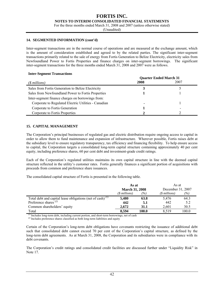#### **FORTIS INC. NOTES TO INTERIM CONSOLIDATED FINANCIAL STATEMENTS**

For the three months ended March 31, 2008 and 2007 (unless otherwise stated)

(Unaudited)

#### **14. SEGMENTED INFORMATION (cont'd)**

Inter-segment transactions are in the normal course of operations and are measured at the exchange amount, which is the amount of consideration established and agreed to by the related parties. The significant inter-segment transactions primarily related to the sale of energy from Fortis Generation to Belize Electricity, electricity sales from Newfoundland Power to Fortis Properties and finance charges on inter-segment borrowings. The significant inter-segment transactions for the three months ended March 31, 2008 and 2007 were as follows.

#### **Inter-Segment Transactions**

|                                                      | <b>Quarter Ended March 31</b> |      |  |
|------------------------------------------------------|-------------------------------|------|--|
| $(S$ millions)                                       | 2008                          | 2007 |  |
| Sales from Fortis Generation to Belize Electricity   |                               |      |  |
| Sales from Newfoundland Power to Fortis Properties   |                               |      |  |
| Inter-segment finance charges on borrowings from:    |                               |      |  |
| Corporate to Regulated Electric Utilities - Canadian |                               |      |  |
| Corporate to Fortis Generation                       |                               |      |  |
| Corporate to Fortis Properties                       |                               |      |  |

#### **15. CAPITAL MANAGEMENT**

The Corporation's principal businesses of regulated gas and electric distribution require ongoing access to capital in order to allow them to fund maintenance and expansion of infrastructure. Wherever possible, Fortis raises debt at the subsidiary level to ensure regulatory transparency, tax efficiency and financing flexibility. To help ensure access to capital, the Corporation targets a consolidated long-term capital structure containing approximately 40 per cent equity, including preference shares, 60 per cent debt and investment-grade credit ratings.

Each of the Corporation's regulated utilities maintains its own capital structure in line with the deemed capital structure reflected in the utility's customer rates. Fortis generally finances a significant portion of acquisitions with proceeds from common and preference share issuances.

The consolidated capital structure of Fortis is presented in the following table.

|                                                              | As at                 |          | As at<br>December 31, 2007 |        |  |
|--------------------------------------------------------------|-----------------------|----------|----------------------------|--------|--|
|                                                              | <b>March 31, 2008</b> |          |                            |        |  |
|                                                              | $(S$ millions)        | $( \% )$ | $($$ millions $)$          | $(\%)$ |  |
| Total debt and capital lease obligations (net of cash) $(1)$ | 5.480                 | 63.8     | 5.476                      | 64.3   |  |
| Preference shares $^{(2)}$                                   | 442                   | 5.1      | 442                        | 5.2    |  |
| Common shareholders' equity                                  | 2.672                 | 31.1     | 2.601                      | 30.5   |  |
| Total                                                        | 8,594                 | 100.0    | 8.519                      | 100.0  |  |

*(1)* Includes long-term debt, including current portion, and short-term borrowings, net of cash

*(2)* Includes preference shares classified as both long-term liabilities and equity

Certain of the Corporation's long-term debt obligations have covenants restricting the issuance of additional debt such that consolidated debt cannot exceed 70 per cent of the Corporation's capital structure, as defined by the long-term debt agreements. As at March 31, 2008, the Corporation and its subsidiaries were in compliance with its debt covenants.

The Corporation's credit ratings and consolidated credit facilities are discussed further under "Liquidity Risk" in Note 17.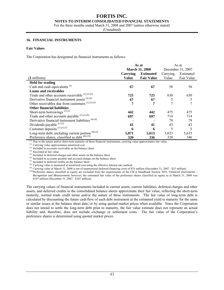#### **NOTES TO INTERIM CONSOLIDATED FINANCIAL STATEMENTS**

For the three months ended March 31, 2008 and 2007 (unless otherwise stated)

(Unaudited)

#### **16. FINANCIAL INSTRUMENTS**

#### **Fair Values**

The Corporation has designated its financial instruments as follows:

|                                                      | As at                               |                       | As at             |            |  |
|------------------------------------------------------|-------------------------------------|-----------------------|-------------------|------------|--|
|                                                      |                                     | <b>March 31, 2008</b> | December 31, 2007 |            |  |
|                                                      | <b>Estimated</b><br><b>Carrying</b> |                       |                   | Estimated  |  |
| $(S$ millions)                                       | <b>Value</b>                        | <b>Fair Value</b>     | Value             | Fair Value |  |
| <b>Held for trading</b>                              |                                     |                       |                   |            |  |
| Cash and cash equivalents $^{(1)}$                   | 67                                  | 67                    | 58                | 58         |  |
| <b>Loans and receivables</b>                         |                                     |                       |                   |            |  |
| Trade and other accounts receivable $^{(1)(2)(3)}$   | 725                                 | 725                   | 630               | 630        |  |
| Derivative financial instrument assets $(3)(4)$      | 67                                  | 67                    |                   | 5          |  |
| Other receivables due from customers $(1)(2)(5)$     | 7                                   | 7                     | 7                 |            |  |
| <b>Other financial liabilities</b>                   |                                     |                       |                   |            |  |
| Short-term borrowings $^{(1)(2)}$                    | 442                                 | 442                   | 475               | 475        |  |
| Trade and other accounts payable $^{(1)(2)(6)}$      | 697                                 | 697                   | 714               | 714        |  |
| Derivative financial instrument liabilities $(4)(6)$ |                                     |                       | 79                | 79         |  |
| Dividends payable $^{(1)(2)}$                        | 41                                  | 41                    | 43                | 43         |  |
| Customer deposits $(1)(2)(7)$                        | 6                                   | 6                     | 5                 | 5          |  |
| Long-term debt, including current portion $(8)(9)$   | 5,071                               | 5,613                 | 5,023             | 5,635      |  |
| Preference shares, classified as debt $^{(8)(10)}$   | 320                                 | 336                   | 320               | 346        |  |

*(1)* Due to the nature and/or short-term maturity of these financial instruments, carrying value approximates fair value.

*(2)* Carrying value approximates amortized cost *(3)* Included in accounts receivable on the balance sheet

*(4)* Recorded at fair value

*(5)* Included in deferred charges and other assets on the balance sheet

*(6)* Included in accounts payable and accrued charges on the balance sheet

*(7)* Included in deferred credits on the balance sheet

*(8)* Carrying value is measured at amortized cost using the effective interest rate method.

*(9)* Carrying value at March 31, 2008 is net of unamortized deferred financing costs of \$33 million (December 31, 2007 - \$33 million).

*(10)* Preference shares classified as equity are excluded from the requirements of the CICA Handbook Section 3855, *Financial Instruments – Recognition and Measurement*; however, the estimated fair value of the preference shares classified as equity as at March 31, 2008 was \$107 million (December 31, 2007 - \$107 million).

The carrying values of financial instruments included in current assets, current liabilities, deferred charges and other assets, and deferred credits in the consolidated balance sheets approximate their fair value, reflecting the short-term maturity, normal trade credit terms and/or the nature of these instruments. The fair value of long-term debt is calculated by discounting the future cash flow of each debt instrument at the estimated yield to maturity for the same or similar issues at the balance sheet date, or by using quoted market prices when available. Since the Corporation does not intend to settle the long-term debt prior to maturity, the fair value estimate does not represent an actual liability and, therefore, does not include exchange or settlement costs. The fair value of the Corporation's preference shares is determined using quoted market prices.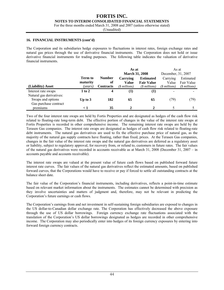#### **FORTIS INC. NOTES TO INTERIM CONSOLIDATED FINANCIAL STATEMENTS**

For the three months ended March 31, 2008 and 2007 (unless otherwise stated)

(Unaudited)

#### **16. FINANCIAL INSTRUMENTS (cont'd)**

The Corporation and its subsidiaries hedge exposures to fluctuations in interest rates, foreign exchange rates and natural gas prices through the use of derivative financial instruments. The Corporation does not hold or issue derivative financial instruments for trading purposes. The following table indicates the valuation of derivative financial instruments.

|                          |           |                  | As at                 |                   | As at                 |                |  |
|--------------------------|-----------|------------------|-----------------------|-------------------|-----------------------|----------------|--|
|                          |           |                  | <b>March 31, 2008</b> |                   | December, 31, 2007    |                |  |
|                          | Term to   | <b>Number</b>    | <b>Carrying</b>       | <b>Estimated</b>  | Carrying              | Estimated      |  |
|                          | maturity  | of               | <b>Value</b>          | <b>Fair Value</b> | Value                 | Fair Value     |  |
| (Liability) Asset        | (years)   | <b>Contracts</b> | (\$ millions)         | $(S$ millions)    | ( <i>sinillions</i> ) | $(S$ millions) |  |
| Interest rate swaps      | 1 to 2    | $\overline{4}$   | $\bf{(1)}$            | $\bf{(1)}$        |                       |                |  |
| Natural gas derivatives: |           |                  |                       |                   |                       |                |  |
| Swaps and options        | Up to $3$ | 182              | 65                    | 65                | (79)                  | (79)           |  |
| Gas purchase contract    |           |                  |                       |                   |                       |                |  |
| premiums                 |           | 35               |                       |                   |                       |                |  |

Two of the four interest rate swaps are held by Fortis Properties and are designated as hedges of the cash flow risk related to floating-rate long-term debt. The effective portion of changes in the value of the interest rate swaps at Fortis Properties is recorded in other comprehensive income. The remaining interest rate swaps are held by the Terasen Gas companies. The interest rate swaps are designated as hedges of cash flow risk related to floating-rate debt instruments. The natural gas derivatives are used to fix the effective purchase price of natural gas, as the majority of the natural gas supply contracts have floating, rather than fixed, prices. At the Terasen Gas companies, changes in the fair value of the interest rate swaps and the natural gas derivatives are deferred as a regulatory asset or liability, subject to regulatory approval, for recovery from, or refund to, customers in future rates. The fair values of the natural gas derivatives were recorded in accounts receivable as at March 31, 2008 (December 31, 2007 – in accounts payable and accounts receivable).

The interest rate swaps are valued at the present value of future cash flows based on published forward future interest rate curves. The fair values of the natural gas derivatives reflect the estimated amounts, based on published forward curves, that the Corporations would have to receive or pay if forced to settle all outstanding contracts at the balance sheet date.

The fair value of the Corporation's financial instruments, including derivatives, reflects a point-in-time estimate based on relevant market information about the instruments. The estimates cannot be determined with precision as they involve uncertainties and matters of judgment and, therefore, may not be relevant in predicting the Corporation's future earnings or cash flows.

The Corporation's earnings from and net investment in self-sustaining foreign subsidiaries are exposed to changes in the US dollar-to-Canadian dollar exchange rate. The Corporation has effectively decreased the above exposure through the use of US dollar borrowings. Foreign currency exchange rate fluctuations associated with the translation of the Corporation's US dollar borrowings designated as hedges are recorded in other comprehensive income. The Corporation may also periodically enter into hedges of its foreign currency exposures by entering into forward foreign currency contracts.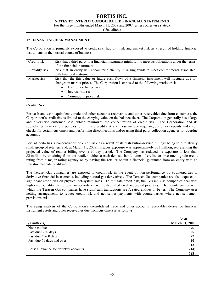#### **FORTIS INC. NOTES TO INTERIM CONSOLIDATED FINANCIAL STATEMENTS**

For the three months ended March 31, 2008 and 2007 (unless otherwise stated)

(Unaudited)

#### **17. FINANCIAL RISK MANAGMENT**

The Corporation is primarily exposed to credit risk, liquidity risk and market risk as a result of holding financial instruments in the normal course of business.

| Credit risk    | Risk that a third party to a financial instrument might fail to meet its obligations under the terms |
|----------------|------------------------------------------------------------------------------------------------------|
|                | of the financial instrument.                                                                         |
| Liquidity risk | Risk that an entity will encounter difficulty in raising funds to meet commitments associated        |
|                | with financial instruments.                                                                          |
| Market risk    | Risk that the fair value or future cash flows of a financial instrument will fluctuate due to        |
|                | changes in market prices. The Corporation is exposed to the following market risks:                  |
|                | Foreign exchange risk<br>$\bullet$                                                                   |
|                | Interest rate risk<br>$\bullet$                                                                      |
|                | Commodity price risk<br>$\bullet$                                                                    |

#### **Credit Risk**

For cash and cash equivalents, trade and other accounts receivable, and other receivables due from customers, the Corporation's credit risk is limited to the carrying value on the balance sheet. The Corporation generally has a large and diversified customer base, which minimizes the concentration of credit risk. The Corporation and its subsidiaries have various policies to minimize credit risk and these include requiring customer deposits and credit checks for certain customers and performing disconnections and/or using third-party collection agencies for overdue accounts.

FortisAlberta has a concentration of credit risk as a result of its distribution-service billings being to a relatively small group of retailers and, at March 31, 2008, its gross exposure was approximately \$83 million, representing the projected value of retailer billing over a 60-day period. The Company has reduced its exposure to less than \$2 million by obtaining from the retailers either a cash deposit, bond, letter of credit, an investment-grade credit rating from a major rating agency or by having the retailer obtain a financial guarantee from an entity with an investment-grade credit rating.

The Terasen Gas companies are exposed to credit risk in the event of non-performance by counterparties to derivative financial instruments, including natural gas derivatives. The Terasen Gas companies are also exposed to significant credit risk on physical off-system sales. To mitigate credit risk, the Terasen Gas companies deal with high credit-quality institutions, in accordance with established credit-approval practices. The counterparties with which the Terasen Gas companies have significant transactions are A-rated entities or better. The Company uses netting arrangements to reduce credit risk and net settles payments with counterparties where net settlement provisions exist.

The aging analysis of the Corporation's consolidated trade and other accounts receivable, derivative financial instrument assets and other receivables due from customers is as follows:

| $($$ millions)                        | As at<br><b>March 31, 2008</b> |
|---------------------------------------|--------------------------------|
| Not past due                          | 676                            |
| Past due 0-30 days                    | 95                             |
| Past due 31-60 days                   | 22                             |
| Past due 61 days and over             | 20                             |
|                                       | 813                            |
| Less: allowance for doubtful accounts | (14)                           |
|                                       | 799                            |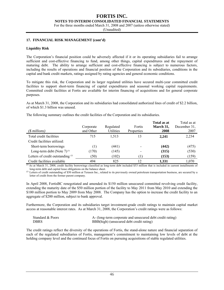**NOTES TO INTERIM CONSOLIDATED FINANCIAL STATEMENTS** 

For the three months ended March 31, 2008 and 2007 (unless otherwise stated)

(Unaudited)

#### **17. FINANCIAL RISK MANAGEMENT (cont'd)**

#### **Liquidity Risk**

The Corporation's financial position could be adversely affected if it or its operating subsidiaries fail to arrange sufficient and cost-effective financing to fund, among other things, capital expenditures and the repayment of maturing debt. The ability to arrange sufficient and cost-effective financing is subject to numerous factors, including the results of operations and financial position of the Corporation and its subsidiaries, conditions in the capital and bank credit markets, ratings assigned by rating agencies and general economic conditions.

To mitigate this risk, the Corporation and its larger regulated utilities have secured multi-year committed credit facilities to support short-term financing of capital expenditures and seasonal working capital requirements. Committed credit facilities at Fortis are available for interim financing of acquisitions and for general corporate purposes.

As at March 31, 2008, the Corporation and its subsidiaries had consolidated authorized lines of credit of \$2.2 billion, of which \$1.3 billion was unused.

The following summary outlines the credit facilities of the Corporation and its subsidiaries.

| $(\text{\$millions})$               | Corporate<br>and Other | Regulated<br>Utilities | Fortis<br>Properties | Total as at<br>March 31,<br>2008 | Total as at<br>December 31,<br>2007 |
|-------------------------------------|------------------------|------------------------|----------------------|----------------------------------|-------------------------------------|
| Total credit facilities             | 715                    | 1.513                  | 13                   | 2.241                            | 2,234                               |
| Credit facilities utilized:         |                        |                        |                      |                                  |                                     |
| Short-term borrowings               | $\left(1\right)$       | (441)                  |                      | (442)                            | (475)                               |
| Long-term debt (Note $7)^{(1)}$     | (170)                  | (145)                  |                      | (315)                            | (530)                               |
| Letters of credit outstanding $(2)$ | (50)                   | (102)                  |                      | (153)                            | (159)                               |
| Credit facilities available         | 494                    | 825                    | 12                   | 1,331                            | 1,070                               |

 $\overline{a}$ ) As at March 31, 2008, credit facility borrowings classified as long-term debt included \$53 million that is included in current installments of long-term debt and capital lease obligations on the balance sheet.

<sup>(2)</sup> Letters of credit outstanding of \$50 million at Terasen Inc., related to its previously owned petroleum transportation business, are secured by a letter of credit from the former parent company.

In April 2008, FortisBC renegotiated and amended its \$150 million unsecured committed revolving credit facility, extending the maturity date of the \$50 million portion of the facility to May 2011 from May 2010 and extending the \$100 million portion to May 2009 from May 2008. The Company has the option to increase the credit facility to an aggregate of \$200 million, subject to bank approval.

Furthermore, the Corporation and its subsidiaries target investment-grade credit ratings to maintain capital market access at reasonable interest rates. As at March 31, 2008, the Corporation's credit ratings were as follows:

| Standard & Poors | A- (long-term corporate and unsecured debt credit rating) |
|------------------|-----------------------------------------------------------|
| <b>DBRS</b>      | BBB(high) (unsecured debt credit rating)                  |

The credit ratings reflect the diversity of the operations of Fortis, the stand-alone nature and financial separation of each of the regulated subsidiaries of Fortis, management's commitment to maintaining low levels of debt at the holding company level and the continued focus of Fortis on pursuing acquisitions of stable regulated utilities.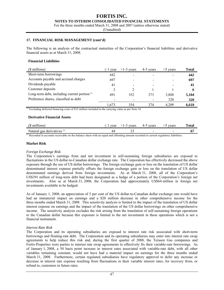#### **FORTIS INC. NOTES TO INTERIM CONSOLIDATED FINANCIAL STATEMENTS**

For the three months ended March 31, 2008 and 2007 (unless otherwise stated)

(Unaudited)

#### **17. FINANCIAL RISK MANAGEMENT (cont'd)**

The following is an analysis of the contractual maturities of the Corporation's financial liabilities and derivative financial assets as at March 31, 2008.

#### **Financial Liabilities**

| $(S$ millions)                                           | $\leq$ .<br>year         | $>1-3$ vears | 4-5 years | $>5$ years | Total |
|----------------------------------------------------------|--------------------------|--------------|-----------|------------|-------|
| Short-term borrowings                                    | 442                      |              |           |            | 442   |
| Accounts payable and accrued charges                     | 697                      |              | -         |            | 697   |
| Dividends payable                                        | 41                       |              |           |            | 41    |
| Customer deposits                                        | $\overline{c}$           |              |           |            | 6     |
| Long-term debt, including current portion <sup>(1)</sup> | 491                      | 352          | 373       | 3,888      | 5,104 |
| Preference shares, classified as debt                    | $\overline{\phantom{a}}$ |              |           | 320        | 320   |
| $(1)$ $      -$                                          | 1.673                    | 354          | 374       | 4.209      | 6,610 |

*(1)* Excluding deferred financing costs of \$33 million included in the carrying value as per Note 16

#### **Derivative Financial Assets**

| Natural<br>derivatives $\mathfrak{g}$<br>gas<br>$\sim$<br>ت ک | $\sim$ | U. |
|---------------------------------------------------------------|--------|----|

 $<sup>(1)</sup>$  Recorded in accounts receivable on the balance sheet with an equal and offsetting amount recorded in current regulatory liabilities.</sup>

#### **Market Risk**

#### *Foreign Exchange Risk*

The Corporation's earnings from and net investment in self-sustaining foreign subsidiaries are exposed to fluctuations in the US dollar-to-Canadian dollar exchange rate. The Corporation has effectively decreased the above exposure through the use of US dollar borrowings. The foreign exchange gain or loss on the translation of US dollar denominated interest expense partially offsets the foreign exchange gain or loss on the translation of US dollar denominated earnings derived from foreign investments. As at March 31, 2008, all of the Corporation's US\$391 million of long-term debt had been designated as a hedge of a portion of the Corporation's foreign net investments. Also as at March 31, 2008, the Corporation had approximately US\$64 million in foreign net investments available to be hedged.

As of January 1, 2008, an appreciation of 5 per cent of the US dollar-to-Canadian dollar exchange rate would have had an immaterial impact on earnings and a \$20 million decrease in other comprehensive income for the three months ended March 31, 2008. This sensitivity analysis is limited to the impact of the translation of US dollar interest expense on earnings and the impact of the translation of the US dollar borrowings on other comprehensive income. The sensitivity analysis excludes the risk arising from the translation of self-sustaining foreign operations to the Canadian dollar because this exposure is limited to the net investment in these operations which is not a financial instrument.

#### *Interest Rate Risk*

The Corporation and its operating subsidiaries are exposed to interest rate risk associated with short-term borrowings and floating-rate debt. The Corporation and its operating subsidiaries may enter into interest rate swap agreements to help reduce this risk and, during the first quarter of 2008, the Terasen Gas companies and Fortis Properties were parties to interest rate swap agreements to effectively fix their variable-rate borrowings. As of January 1, 2008, a 50 basis point increase in interest rates associated with variable-rate debt, with all other variables remaining constant, would not have had a material impact on earnings for the three months ended March 31, 2008. Furthermore, certain regulated subsidiaries have regulatory approval to defer any increase or decrease in interest rate expense resulting from fluctuations in their variable interest rates, for recovery from, or refund to, customers in future rates.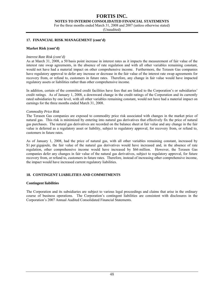**NOTES TO INTERIM CONSOLIDATED FINANCIAL STATEMENTS** 

For the three months ended March 31, 2008 and 2007 (unless otherwise stated)

(Unaudited)

#### **17. FINANCIAL RISK MANAGEMENT (cont'd)**

#### **Market Risk (cont'd)**

#### *Interest Rate Risk (cont'd)*

As at March 31, 2008, a 50 basis point increase in interest rates as it impacts the measurement of fair value of the interest rate swap agreements, in the absence of rate regulation and with all other variables remaining constant, would not have had a material impact on other comprehensive income. Furthermore, the Terasen Gas companies have regulatory approval to defer any increase or decrease in the fair value of the interest rate swap agreements for recovery from, or refund to, customers in future rates. Therefore, any change in fair value would have impacted regulatory assets or liabilities rather than other comprehensive income.

In addition, certain of the committed credit facilities have fees that are linked to the Corporation's or subsidiaries' credit ratings. As of January 1, 2008, a downward change in the credit ratings of the Corporation and its currently rated subsidiaries by one level, with all other variables remaining constant, would not have had a material impact on earnings for the three months ended March 31, 2008.

#### *Commodity Price Risk*

The Terasen Gas companies are exposed to commodity price risk associated with changes in the market price of natural gas. This risk is minimized by entering into natural gas derivatives that effectively fix the price of natural gas purchases. The natural gas derivatives are recorded on the balance sheet at fair value and any change in the fair value is deferred as a regulatory asset or liability, subject to regulatory approval, for recovery from, or refund to, customers in future rates.

As of January 1, 2008, had the price of natural gas, with all other variables remaining constant, increased by \$1 per gigajoule, the fair value of the natural gas derivatives would have increased and, in the absence of rate regulation, other comprehensive income would have increased by \$66 million. However, the Terasen Gas companies defer any changes in fair value of the natural gas derivatives, subject to regulatory approval, for future recovery from, or refund to, customers in future rates. Therefore, instead of increasing other comprehensive income, the impact would have increased current regulatory liabilities.

#### **18. CONTINGENT LIABILITIES AND COMMITMENTS**

#### **Contingent liabilities**

The Corporation and its subsidiaries are subject to various legal proceedings and claims that arise in the ordinary course of business operations. The Corporation's contingent liabilities are consistent with disclosures in the Corporation's 2007 Annual Audited Consolidated Financial Statements.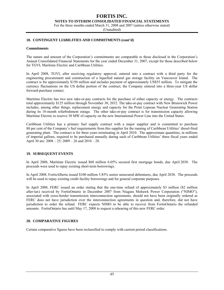**NOTES TO INTERIM CONSOLIDATED FINANCIAL STATEMENTS** 

For the three months ended March 31, 2008 and 2007 (unless otherwise stated)

(Unaudited)

#### **18. CONTINGENT LIABILITIES AND COMMITMENTS (cont'd)**

#### **Commitments**

The nature and amount of the Corporation's commitments are comparable to those disclosed in the Corporation's Annual Consolidated Financial Statements for the year ended December 31, 2007, except for those described below for TGVI, Maritime Electric and Caribbean Utilities.

In April 2008, TGVI, after receiving regulatory approval, entered into a contract with a third party for the engineering procurement and construction of a liquefied natural gas storage facility on Vancouver Island. The contract is for approximately \$150 million and includes payment of approximately US\$55 million. To mitigate the currency fluctuations on the US dollar portion of the contract, the Company entered into a three-year US dollar forward-purchase contact.

Maritime Electric has two new take-or-pay contracts for the purchase of either capacity or energy. The contracts total approximately \$125 million through November 30, 2032. The take-or-pay contract with New Brunswick Power includes, among other things, replacement energy and capacity for the Point Lepreau Nuclear Generating Station during its 18-month refurbishment outage. The other take-or-pay contract is for transmission capacity allowing Maritime Electric to reserve 30 MW of capacity on the new International Power Line into the United States.

Caribbean Utilities has a primary fuel supply contract with a major supplier and is committed to purchase 80 per cent of the Company's fuel requirements from this supplier for the running of Caribbean Utilities' diesel-fired generating plant. The contract is for three years terminating in April 2010. The approximate quantities, in millions of imperial gallons, required to be purchased annually during each of Caribbean Utilities' three fiscal years ended April 30 are: 2008 – 25; 2009 – 26 and 2010 – 28.

#### **19. SUBSEQUENT EVENTS**

In April 2008, Maritime Electric issued \$60 million 6.05% secured first mortgage bonds, due April 2038. The proceeds were used to repay existing short-term borrowings.

In April 2008, FortisAlberta issued \$100 million 5.85% senior unsecured debentures, due April 2038. The proceeds will be used to repay existing credit facility borrowings and for general corporate purposes.

In April 2008, FERC issued an order stating that the one-time refund of approximately \$3 million (\$2 million after-tax) received by FortisOntario in December 2007 from Niagara Mohawk Power Corporation ("NIMO"), associated with cross-border transmission interconnection agreements, should not have been originally ordered as FERC does not have jurisdiction over the interconnection agreements in question and, therefore, did not have jurisdiction to order the refund. FERC expects NIMO to be able to recover from FortisOntario the refunded amounts. FortisOntario has until May 17, 2008 to request a rehearing of this new FERC order.

#### **20. COMPARATIVE FIGURES**

Certain comparative figures have been reclassified to comply with current period classifications.